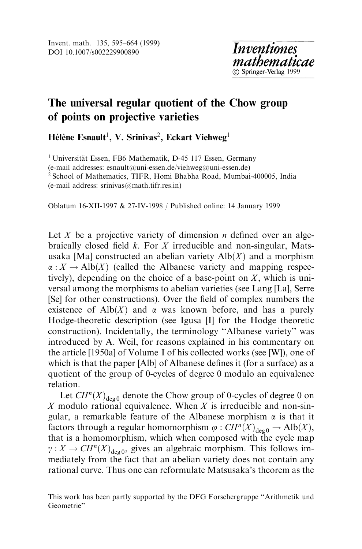# The universal regular quotient of the Chow group of points on projective varieties

Hélène Esnault<sup>1</sup>, V. Srinivas<sup>2</sup>, Eckart Viehweg<sup>1</sup>

<sup>1</sup> Universität Essen, FB6 Mathematik, D-45 117 Essen, Germany (e-mail addresses: esnault@uni-essen.de/viehweg@uni-essen.de) <sup>2</sup> School of Mathematics, TIFR, Homi Bhabha Road, Mumbai-400005, India (e-mail address: srinivas@math.tifr.res.in)

Oblatum 16-XII-1997 & 27-IV-1998 / Published online: 14 January 1999

Let X be a projective variety of dimension *n* defined over an algebraically closed field  $k$ . For  $X$  irreducible and non-singular, Matsusaka [Ma] constructed an abelian variety  $\text{Alb}(X)$  and a morphism  $\alpha: X \to \mathrm{Alb}(X)$  (called the Albanese variety and mapping respectively), depending on the choice of a base-point on  $X$ , which is universal among the morphisms to abelian varieties (see Lang [La], Serre [Se] for other constructions). Over the field of complex numbers the existence of Alb $(X)$  and  $\alpha$  was known before, and has a purely Hodge-theoretic description (see Igusa [I] for the Hodge theoretic construction). Incidentally, the terminology "Albanese variety" was introduced by A. Weil, for reasons explained in his commentary on the article [1950a] of Volume I of his collected works (see [W]), one of which is that the paper [Alb] of Albanese defines it (for a surface) as a quotient of the group of 0-cycles of degree 0 modulo an equivalence relation.

Let  $CH^n(X)_{\text{deg } 0}$  denote the Chow group of 0-cycles of degree 0 on X modulo rational equivalence. When X is irreducible and non-singular, a remarkable feature of the Albanese morphism  $\alpha$  is that it factors through a regular homomorphism  $\varphi$  :  $CH^n(X)_{\text{des}\,0} \to Alb(X)$ , that is a homomorphism, which when composed with the cycle map  $\gamma : X \to CH^n(X)_{\text{deg }0}$ , gives an algebraic morphism. This follows immediately from the fact that an abelian variety does not contain any rational curve. Thus one can reformulate Matsusaka's theorem as the

This work has been partly supported by the DFG Forschergruppe "Arithmetik und Geometrie''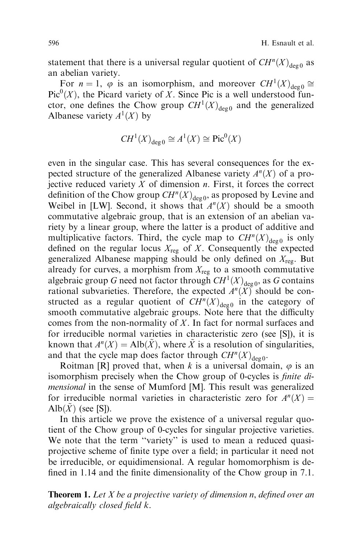statement that there is a universal regular quotient of  $CH^{n}(X)_{\text{deg }0}$  as an abelian variety.

For  $n = 1$ ,  $\varphi$  is an isomorphism, and moreover  $CH^1(X)_{\text{deco}} \cong$  $Pic^{0}(X)$ , the Picard variety of X. Since Pic is a well understood functor, one defines the Chow group  $CH^1(X)_{\text{deg } 0}$  and the generalized Albanese variety  $A^1(X)$  by

$$
CH^1(X)_{\deg 0} \cong A^1(X) \cong \text{Pic}^0(X)
$$

even in the singular case. This has several consequences for the expected structure of the generalized Albanese variety  $A<sup>n</sup>(X)$  of a projective reduced variety  $X$  of dimension  $n$ . First, it forces the correct definition of the Chow group  $CH^n(X)_{\text{deg } 0}$ , as proposed by Levine and Weibel in [LW]. Second, it shows that  $A<sup>n</sup>(X)$  should be a smooth commutative algebraic group, that is an extension of an abelian variety by a linear group, where the latter is a product of additive and multiplicative factors. Third, the cycle map to  $CH^{n}(X)_{\text{deg0}}$  is only defined on the regular locus  $X_{reg}$  of X. Consequently the expected generalized Albanese mapping should be only defined on  $X_{\text{reg}}$ . But already for curves, a morphism from  $X_{\text{reg}}$  to a smooth commutative algebraic group G need not factor through  $CH<sup>1</sup>(X)_{\text{deg }0}$ , as G contains rational subvarieties. Therefore, the expected  $A^{n}(X)$  should be constructed as a regular quotient of  $CH^{n}(X)_{\text{deg } 0}$  in the category of smooth commutative algebraic groups. Note here that the difficulty comes from the non-normality of  $X$ . In fact for normal surfaces and for irreducible normal varieties in characteristic zero (see [S]), it is known that  $A^{n}(X) = Alb(\tilde{X})$ , where  $\tilde{X}$  is a resolution of singularities, and that the cycle map does factor through  $CH^{n}(X)_{\text{deco}}$ .

Roitman [R] proved that, when k is a universal domain,  $\varphi$  is an isomorphism precisely when the Chow group of 0-cycles is *finite di*mensional in the sense of Mumford [M]. This result was generalized for irreducible normal varieties in characteristic zero for  $A<sup>n</sup>(X) =$ Alb $(X)$  (see [S]).

In this article we prove the existence of a universal regular quotient of the Chow group of 0-cycles for singular projective varieties. We note that the term "variety" is used to mean a reduced quasiprojective scheme of finite type over a field; in particular it need not be irreducible, or equidimensional. A regular homomorphism is de fined in 1.14 and the finite dimensionality of the Chow group in 7.1.

**Theorem 1.** Let  $X$  be a projective variety of dimension  $n$ , defined over an algebraically closed field  $k$ .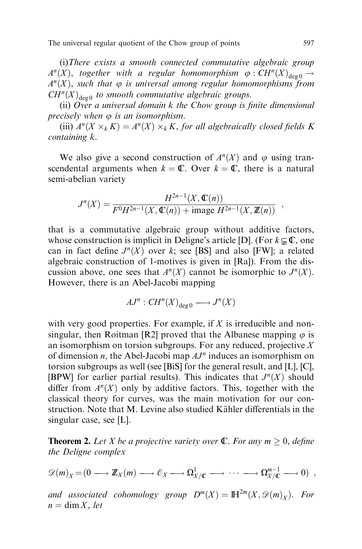(i)There exists a smooth connected commutative algebraic group  $A^{n}(X)$ , together with a regular homomorphism  $\varphi : CH^{n}(X)_{\text{deg }0} \rightarrow$  $A<sup>n</sup>(X)$ , such that  $\varphi$  is universal among regular homomorphisms from  $CH^{n}(X)_{\text{deg}\,0}$  to smooth commutative algebraic groups.

(ii) Over a universal domain  $k$  the Chow group is finite dimensional precisely when  $\varphi$  is an isomorphism.

(iii)  $A^{n}(X \times_{k} K) = A^{n}(X) \times_{k} K$ , for all algebraically closed fields K containing k.

We also give a second construction of  $A<sup>n</sup>(X)$  and  $\varphi$  using transcendental arguments when  $k = \mathbb{C}$ . Over  $k = \mathbb{C}$ , there is a natural semi-abelian variety

$$
J^{n}(X) = \frac{H^{2n-1}(X, \mathbb{C}(n))}{F^{0}H^{2n-1}(X, \mathbb{C}(n)) + \text{image } H^{2n-1}(X, \mathbb{Z}(n))},
$$

that is a commutative algebraic group without additive factors, whose construction is implicit in Deligne's article [D]. (For  $k \subsetneq \mathbb{C}$ , one can in fact define  $J^n(X)$  over k; see [BS] and also [FW]; a related algebraic construction of 1-motives is given in [Ra]). From the discussion above, one sees that  $A<sup>n</sup>(X)$  cannot be isomorphic to  $J<sup>n</sup>(X)$ . However, there is an Abel-Jacobi mapping

$$
AJ^n: CH^n(X)_{\deg 0} \longrightarrow J^n(X)
$$

with very good properties. For example, if  $X$  is irreducible and nonsingular, then Roitman [R2] proved that the Albanese mapping  $\varphi$  is an isomorphism on torsion subgroups. For any reduced, projective  $X$ of dimension *n*, the Abel-Jacobi map  $AJ^n$  induces an isomorphism on torsion subgroups as well (see [BiS] for the general result, and [L], [C], [BPW] for earlier partial results). This indicates that  $J^n(X)$  should differ from  $A<sup>n</sup>(X)$  only by additive factors. This, together with the classical theory for curves, was the main motivation for our construction. Note that M. Levine also studied Kähler differentials in the singular case, see [L].

**Theorem 2.** Let X be a projective variety over  $\mathbb{C}$ . For any  $m \geq 0$ , define the Deligne complex

$$
\mathscr{D}(m)_X = (0 \longrightarrow \mathbb{Z}_X(m) \longrightarrow \mathcal{O}_X \longrightarrow \Omega^1_{X/\mathbb{C}} \longrightarrow \cdots \longrightarrow \Omega^{m-1}_{X/\mathbb{C}} \longrightarrow 0) ,
$$

and associated cohomology group  $D^m(X) = \mathbb{H}^{2m}(X, \mathscr{D}(m)_X)$ . For  $n = \dim X$ , let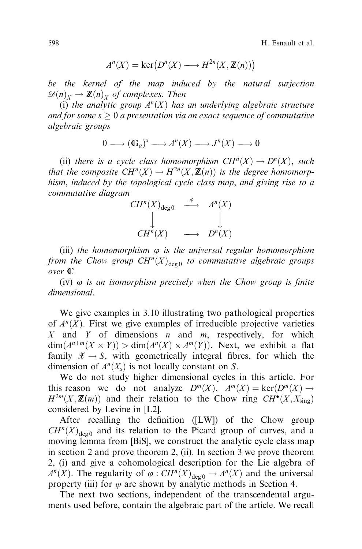598 H. Esnault et al.

$$
A^{n}(X) = \ker(D^{n}(X) \longrightarrow H^{2n}(X, \mathbb{Z}(n)))
$$

be the kernel of the map induced by the natural surjection  $\mathscr{D}(n)_X \to \mathbb{Z}(n)_X$  of complexes. Then

(i) the analytic group  $A<sup>n</sup>(X)$  has an underlying algebraic structure and for some  $s \geq 0$  a presentation via an exact sequence of commutative algebraic groups

$$
0 \longrightarrow (\mathbb{G}_a)^s \longrightarrow A^n(X) \longrightarrow J^n(X) \longrightarrow 0
$$

(ii) there is a cycle class homomorphism  $CH^{n}(X) \rightarrow D^{n}(X)$ , such that the composite  $CH^n(X) \to H^{2n}(X, \mathbb{Z}(n))$  is the degree homomorphism, induced by the topological cycle class map, and giving rise to a commutative diagram



(iii) the homomorphism  $\varphi$  is the universal regular homomorphism from the Chow group  $CH^n(X)_{\text{deg } 0}$  to commutative algebraic groups over C

(iv)  $\varphi$  is an isomorphism precisely when the Chow group is finite dimensional.

We give examples in 3.10 illustrating two pathological properties of  $A<sup>n</sup>(X)$ . First we give examples of irreducible projective varieties X and Y of dimensions n and m, respectively, for which  $\dim(A^{n+m}(X \times Y)) > \dim(A^{n}(X) \times A^{m}(Y)).$  Next, we exhibit a flat family  $\mathscr{X} \to S$ , with geometrically integral fibres, for which the dimension of  $A<sup>n</sup>(X<sub>s</sub>)$  is not locally constant on S.

We do not study higher dimensional cycles in this article. For this reason we do not analyze  $D^{m}(X)$ ,  $A^{m}(X) = \text{ker}(D^{m}(X) \rightarrow$  $H^{2m}(X, \mathbb{Z}(m))$  and their relation to the Chow ring  $CH^{\bullet}(X, X_{sing})$ considered by Levine in [L2].

After recalling the definition ([LW]) of the Chow group  $CH^{n}(X)_{\text{deg }0}$  and its relation to the Picard group of curves, and a moving lemma from [BiS], we construct the analytic cycle class map in section 2 and prove theorem 2, (ii). In section 3 we prove theorem 2, (i) and give a cohomological description for the Lie algebra of  $A^{n}(X)$ . The regularity of  $\varphi : CH^{n}(X)_{\text{deg }0} \to A^{n}(X)$  and the universal property (iii) for  $\varphi$  are shown by analytic methods in Section 4.

The next two sections, independent of the transcendental arguments used before, contain the algebraic part of the article. We recall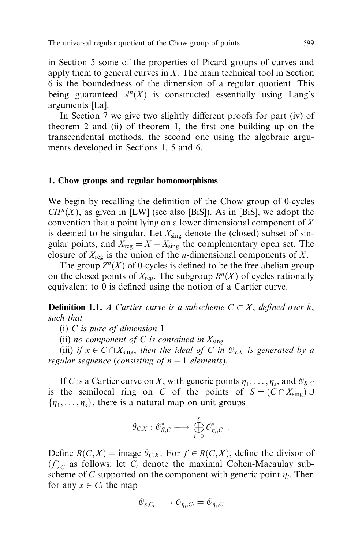in Section 5 some of the properties of Picard groups of curves and apply them to general curves in  $X$ . The main technical tool in Section 6 is the boundedness of the dimension of a regular quotient. This being guaranteed  $A<sup>n</sup>(X)$  is constructed essentially using Lang's arguments [La].

In Section 7 we give two slightly different proofs for part (iv) of theorem 2 and (ii) of theorem 1, the first one building up on the transcendental methods, the second one using the algebraic arguments developed in Sections 1, 5 and 6.

## 1. Chow groups and regular homomorphisms

We begin by recalling the definition of the Chow group of 0-cycles  $CH<sup>n</sup>(X)$ , as given in [LW] (see also [BiS]). As in [BiS], we adopt the convention that a point lying on a lower dimensional component of  $X$ is deemed to be singular. Let  $X_{\text{sing}}$  denote the (closed) subset of singular points, and  $X_{reg} = X - X_{sing}$  the complementary open set. The closure of  $X_{\text{reg}}$  is the union of the *n*-dimensional components of X.

The group  $Z^n(X)$  of 0-cycles is defined to be the free abelian group on the closed points of  $X_{\text{reg}}$ . The subgroup  $R^n(X)$  of cycles rationally equivalent to 0 is defined using the notion of a Cartier curve.

**Definition 1.1.** A Cartier curve is a subscheme  $C \subset X$ , defined over k, such that

(i) C is pure of dimension 1

(ii) no component of C is contained in  $X_{\text{sing}}$ 

(iii) if  $x \in C \cap X_{sing}$ , then the ideal of C in  $\mathcal{O}_{x,X}$  is generated by a regular sequence (consisting of  $n - 1$  elements).

If C is a Cartier curve on X, with generic points  $\eta_1, \ldots, \eta_s$ , and  $\mathcal{O}_{S,C}$ is the semilocal ring on C of the points of  $S = (C \cap X_{sing}) \cup$  $\{\eta_1, \ldots, \eta_s\}$ , there is a natural map on unit groups

$$
\theta_{C,X} : \mathcal{C}_{S,C}^* \longrightarrow \bigoplus_{i=0}^s \mathcal{C}_{\eta_i,C}^*.
$$

Define  $R(C, X) = \text{image } \theta_{C,X}$ . For  $f \in R(C, X)$ , define the divisor of  $f(c)$  as follows: let  $C_i$  denote the maximal Cohen-Macaulay subscheme of C supported on the component with generic point  $\eta_i$ . Then for any  $x \in C_i$  the map

$$
\mathcal{O}_{x,C_i} \longrightarrow \mathcal{O}_{\eta_i,C_i} = \mathcal{O}_{\eta_i,C}
$$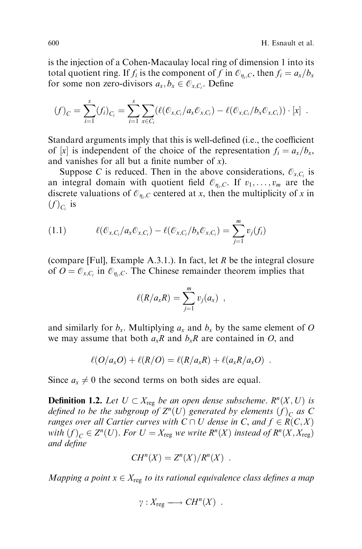is the injection of a Cohen-Macaulay local ring of dimension 1 into its total quotient ring. If  $f_i$  is the component of f in  $\mathcal{O}_{\eta_i, C}$ , then  $f_i = a_x/b_x$ for some non zero-divisors  $a_x, b_x \in \mathcal{O}_{x,C_i}$ . Define

$$
(f)_C = \sum_{i=1}^s (f_i)_{C_i} = \sum_{i=1}^s \sum_{x \in C_i} (\ell(\mathcal{O}_{x,C_i}/a_x \mathcal{O}_{x,C_i}) - \ell(\mathcal{O}_{x,C_i}/b_x \mathcal{O}_{x,C_i})) \cdot [x] .
$$

Standard arguments imply that this is well-defined (i.e., the coefficient of |x| is independent of the choice of the representation  $f_i = a_x/b_x$ , and vanishes for all but a finite number of  $x$ ).

Suppose C is reduced. Then in the above considerations,  $\mathcal{O}_{X,C_i}$  is an integral domain with quotient field  $\mathcal{O}_{n_i,C}$ . If  $v_1,\ldots,v_m$  are the discrete valuations of  $\mathcal{O}_{n,C}$  centered at x, then the multiplicity of x in  $(f)_{C_i}$  is

(1.1) 
$$
\ell(\mathcal{O}_{x,C_i}/a_x \mathcal{O}_{x,C_i}) - \ell(\mathcal{O}_{x,C_i}/b_x \mathcal{O}_{x,C_i}) = \sum_{j=1}^m v_j(f_i)
$$

(compare [Ful], Example A.3.1.). In fact, let  $R$  be the integral closure of  $O = \mathcal{O}_{x,C_i}$  in  $\mathcal{O}_{y_i,C_i}$ . The Chinese remainder theorem implies that

$$
\ell(R/a_xR)=\sum_{j=1}^m v_j(a_x) ,
$$

and similarly for  $b_x$ . Multiplying  $a_x$  and  $b_x$  by the same element of O we may assume that both  $a_xR$  and  $b_xR$  are contained in O, and

$$
\ell(O/a_x O) + \ell(R/O) = \ell(R/a_x R) + \ell(a_x R/a_x O) .
$$

Since  $a_x \neq 0$  the second terms on both sides are equal.

**Definition 1.2.** Let  $U \subset X_{reg}$  be an open dense subscheme.  $R^{n}(X, U)$  is defined to be the subgroup of  $Z^n(U)$  generated by elements  $(f)_C$  as C ranges over all Cartier curves with  $C \cap U$  dense in C, and  $f \in R(C, X)$ with  $(f)_C \in Z^n(U)$ . For  $U = X_{reg}$  we write  $R^n(X)$  instead of  $R^n(X, X_{reg})$ and define

$$
CH^n(X) = Z^n(X)/R^n(X) .
$$

Mapping a point  $x \in X_{reg}$  to its rational equivalence class defines a map

$$
\gamma: X_{reg} \longrightarrow CH^n(X) .
$$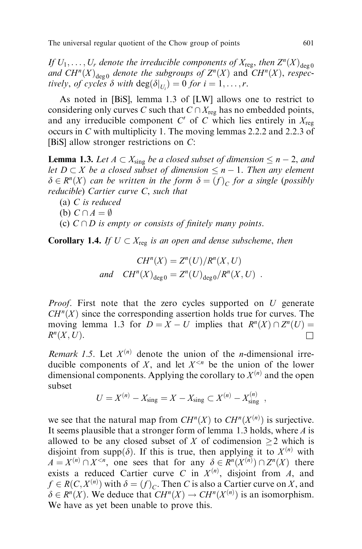If  $U_1, \ldots, U_r$  denote the irreducible components of  $X_{\text{reg}}$ , then  $Z^n(X)_{\text{deg }0}$ and  $CH^{n}(X)_{\text{deg}\,0}$  denote the subgroups of  $Z^{n}(X)$  and  $CH^{n}(X)$ , respectively, of cycles  $\delta$  with  $deg(\delta|_{U_i}) = 0$  for  $i = 1, \ldots, r$ .

As noted in [BiS], lemma 1.3 of [LW] allows one to restrict to considering only curves C such that  $C \cap X_{\text{reg}}$  has no embedded points, and any irreducible component C' of C which lies entirely in  $X_{\text{reg}}$ occurs in C with multiplicity 1. The moving lemmas 2.2.2 and 2.2.3 of [BiS] allow stronger restrictions on C:

**Lemma 1.3.** Let  $A \subset X_{sing}$  be a closed subset of dimension  $\leq n-2$ , and let  $D \subset X$  be a closed subset of dimension  $\leq n - 1$ . Then any element  $\delta \in R^n(X)$  can be written in the form  $\delta = (f)_C$  for a single (possibly reducible) Cartier curve C, such that

- (a) C is reduced
- (b)  $C \cap A = \emptyset$
- (c)  $C \cap D$  is empty or consists of finitely many points.

**Corollary 1.4.** If  $U \subset X_{reg}$  is an open and dense subscheme, then

$$
CH^n(X) = Z^n(U)/R^n(X, U)
$$
  
and 
$$
CH^n(X)_{\text{deg }0} = Z^n(U)_{\text{deg }0}/R^n(X, U) .
$$

Proof. First note that the zero cycles supported on U generate  $CH<sup>n</sup>(X)$  since the corresponding assertion holds true for curves. The moving lemma 1.3 for  $D = X - U$  implies that  $R^n(X) \cap Z^n(U) =$  $R^n(X, U)$ .

Remark 1.5. Let  $X^{(n)}$  denote the union of the *n*-dimensional irreducible components of  $X$ , and let  $X^{\leq n}$  be the union of the lower dimensional components. Applying the corollary to  $X^{(n)}$  and the open subset

$$
U = X^{(n)} - X_{\text{sing}} = X - X_{\text{sing}} \subset X^{(n)} - X_{\text{sing}}^{(n)}
$$

we see that the natural map from  $CH^n(X)$  to  $CH^n(X^{(n)})$  is surjective. It seems plausible that a stronger form of lemma 1.3 holds, where  $A$  is allowed to be any closed subset of X of codimension  $\geq 2$  which is disjoint from supp $(\delta)$ . If this is true, then applying it to  $X^{(n)}$  with  $A = X^{(n)} \cap X^{\leq n}$ , one sees that for any  $\delta \in R^n(X^{(n)}) \cap Z^n(X)$  there exists a reduced Cartier curve C in  $X^{(n)}$ , disjoint from A, and  $f \in R(C, X^{(n)})$  with  $\delta = (f)_C$ . Then C is also a Cartier curve on X, and  $\delta \in R^n(X)$ . We deduce that  $CH^n(X) \to CH^n(X^{(n)})$  is an isomorphism. We have as yet been unable to prove this.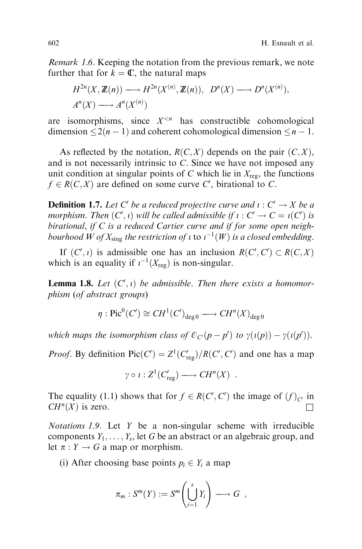Remark 1.6. Keeping the notation from the previous remark, we note further that for  $k = \mathbb{C}$ , the natural maps

$$
H^{2n}(X, \mathbb{Z}(n)) \longrightarrow H^{2n}(X^{(n)}, \mathbb{Z}(n)), \quad D^{n}(X) \longrightarrow D^{n}(X^{(n)}),
$$
  

$$
A^{n}(X) \longrightarrow A^{n}(X^{(n)})
$$

are isomorphisms, since  $X^{\leq n}$  has constructible cohomological dimension  $\leq 2(n - 1)$  and coherent cohomological dimension  $\leq n - 1$ .

As reflected by the notation,  $R(C, X)$  depends on the pair  $(C, X)$ , and is not necessarily intrinsic to C. Since we have not imposed any unit condition at singular points of  $C$  which lie in  $X_{\text{reg}}$ , the functions  $f \in R(C, X)$  are defined on some curve C', birational to C.

**Definition 1.7.** Let C' be a reduced projective curve and  $\iota : C' \to X$  be a morphism. Then  $(C', i)$  will be called admissible if  $i : C' \to C = i(C')$  is birational, if C is a reduced Cartier curve and if for some open neighbourhood W of  $X_{\rm sing}$  the restriction of 1 to  $\iota^{-1}(W)$  is a closed embedding.

If  $(C', i)$  is admissible one has an inclusion  $R(C', C') \subset R(C, X)$ which is an equality if  $i^{-1}(X_{\text{reg}})$  is non-singular.

**Lemma 1.8.** Let  $(C', i)$  be admissible. Then there exists a homomorphism (of abstract groups)

$$
\eta : \mathrm{Pic}^0(C') \cong CH^1(C')_{\deg 0} \longrightarrow CH^n(X)_{\deg 0}
$$

which maps the isomorphism class of  $\mathcal{O}_{C'}(p-p')$  to  $\gamma(\iota(p)) - \gamma(\iota(p'))$ .

*Proof.* By definition  $Pic(C') = Z^1(C'_{reg})/R(C', C')$  and one has a map

$$
\gamma \circ \iota : Z^1(C'_{reg}) \longrightarrow CH^n(X) .
$$

The equality (1.1) shows that for  $f \in R(C', C')$  the image of  $(f)_{C'}$  in  $CH^n(X)$  is zero.

Notations 1.9. Let Y be a non-singular scheme with irreducible components  $Y_1, \ldots, Y_s$ , let G be an abstract or an algebraic group, and let  $\pi : Y \to G$  a map or morphism.

(i) After choosing base points  $p_i \in Y_i$  a map

$$
\pi_m: S^m(Y) := S^m\left(\bigcup_{i=1}^s Y_i\right) \longrightarrow G \ ,
$$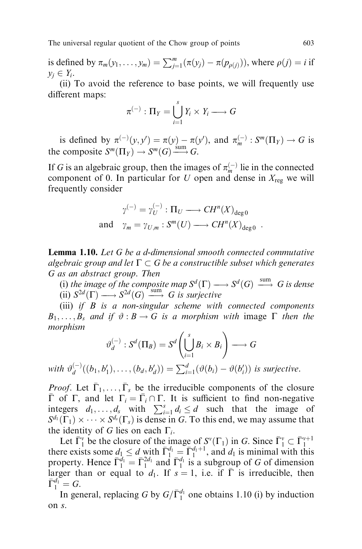is defined by  $\pi_m(y_1, \ldots, y_m) = \sum_{j=1}^m (\pi(y_j) - \pi(p_{\rho(j)}))$ , where  $\rho(j) = i$  if  $y_i \in Y_i$ .

(ii) To avoid the reference to base points, we will frequently use different maps:

$$
\pi^{(-)} : \Pi_Y = \bigcup_{i=1}^s Y_i \times Y_i \longrightarrow G
$$

is defined by  $\pi^{(-)}(y, y') = \pi(y) - \pi(y')$ , and  $\pi_m^{(-)} : S^m(\Pi_Y) \to G$  is the composite  $S^m(\Pi_Y) \to S^m(G) \xrightarrow{\text{sum}} G$ .

If G is an algebraic group, then the images of  $\pi_m^{(-)}$  lie in the connected component of 0. In particular for U open and dense in  $X_{reg}$  we will frequently consider

$$
\gamma^{(-)} = \gamma_U^{(-)} : \Pi_U \longrightarrow CH^n(X)_{\text{deg }0}
$$
  
and 
$$
\gamma_m = \gamma_{U,m} : S^m(U) \longrightarrow CH^n(X)_{\text{deg }0} .
$$

Lemma 1.10. Let G be a d-dimensional smooth connected commutative algebraic group and let  $\Gamma \subset G$  be a constructible subset which generates G as an abstract group. Then

(i) the image of the composite map  $S^d(\Gamma) \longrightarrow S^d(G) \xrightarrow{\text{sum}} G$  is dense (ii)  $S^{2d}(\Gamma) \longrightarrow S^{2d}(G) \longrightarrow G$  is surjective<br>(iii) if  $P$  is a non-singular school with

(iii) if  $B$  is a non-singular scheme with connected components  $B_1, \ldots, B_s$  and if  $\vartheta : B \to G$  is a morphism with image  $\Gamma$  then the morphism

$$
\vartheta_d^{(-)} : S^d(\Pi_B) = S^d \left( \bigcup_{i=1}^s B_i \times B_i \right) \longrightarrow G
$$
  
with  $\vartheta_d^{(-)}((b_1, b'_1), \dots, (b_d, b'_d)) = \sum_{i=1}^d (\vartheta(b_i) - \vartheta(b'_i))$  is surjective.

*Proof.* Let  $\overline{\Gamma}_1, \ldots, \overline{\Gamma}_s$  be the irreducible components of the closure  $\bar{\Gamma}$  of  $\Gamma$ , and let  $\Gamma_i = \bar{\Gamma}_i \cap \Gamma$ . It is sufficient to find non-negative integers  $d_1, \ldots, d_s$  with  $\sum_{i=1}^s d_i \leq d$  such that the image of  $S^{d_1}(\Gamma_1) \times \cdots \times S^{d_s}(\Gamma_s)$  is dense in G. To this end, we may assume that the identity of G lies on each  $\Gamma_i$ .

Let  $\overline{\Gamma}_1^{\nu}$  be the closure of the image of  $S^{\nu}(\Gamma_1)$  in G. Since  $\overline{\Gamma}_1^{\nu} \subset \overline{\Gamma}_1^{\nu+1}$ <br>there exists some  $d_1 \le d$  with  $\overline{\Gamma}_1^{d_1} = \overline{\Gamma}_1^{d_1+1}$ , and  $d_1$  is minimal with this property. Hence  $\bar{\Gamma}_1^{d_1} = \bar{\Gamma}_1^{2d_1}$  and  $\bar{\Gamma}_1^{d_1}$  is a subgroup of G of dimension larger than or equal to  $d_1$ . If  $s = 1$ , i.e. if  $\overline{\Gamma}$  is irreducible, then  $\overline{\Gamma}_1^{d_1} = G.$ 

In general, replacing G by  $G/\overline{\Gamma}_1^{d_1}$  one obtains 1.10 (i) by induction on s.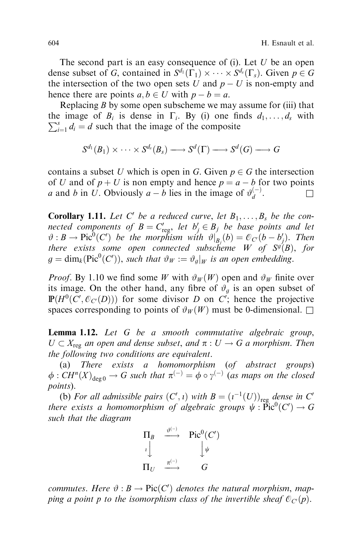The second part is an easy consequence of (i). Let  $U$  be an open dense subset of G, contained in  $S^{d_1}(\Gamma_1) \times \cdots \times S^{d_s}(\Gamma_s)$ . Given  $p \in G$ the intersection of the two open sets U and  $p - U$  is non-empty and hence there are points  $a, b \in U$  with  $p - b = a$ .

Replacing  $B$  by some open subscheme we may assume for (iii) that the image of  $B_i$  is dense in  $\Gamma_i$ . By (i) one finds  $d_1, \ldots, d_s$  with  $\sum_s^s d_i = d$  such that the image of the composite  $\sum_{i=1}^{s} d_i = d$  such that the image of the composite

$$
S^{d_1}(B_1)\times\cdots\times S^{d_s}(B_s)\longrightarrow S^d(\Gamma)\longrightarrow S^d(G)\longrightarrow G
$$

contains a subset U which is open in G. Given  $p \in G$  the intersection of U and of  $p + U$  is non empty and hence  $p = a - b$  for two points a and b in U. Obviously  $a - b$  lies in the image of  $\vartheta_d^{(-)}$ .

**Corollary 1.11.** Let C' be a reduced curve, let  $B_1, \ldots, B_s$  be the connected components of  $B = C'_{\text{reg}}$ , let  $b'_j \in B_j$  be base points and let  $\vartheta: B \to \text{Pic}^0(C')$  be the morphism with  $\vartheta|_{B_j}(b) = \mathcal{O}_{C'}(b - b'_j)$ . Then there exists some open connected subscheme W of  $S<sup>g</sup>(B)$ , for  $g = \dim_k(\text{Pic}^0(C'))$ , such that  $\vartheta_W := \vartheta_g|_W$  is an open embedding.

*Proof.* By 1.10 we find some W with  $\vartheta_W(W)$  open and  $\vartheta_W$  finite over its image. On the other hand, any fibre of  $\vartheta_q$  is an open subset of  $\mathbb{P}(H^0(C', \mathcal{O}_{C'}(D)))$  for some divisor D on  $C'$ ; hence the projective spaces corresponding to points of  $\vartheta_W(W)$  must be 0-dimensional.  $\square$ 

Lemma 1.12. Let G be a smooth commutative algebraic group,  $U \subset X_{\text{reg}}$  an open and dense subset, and  $\pi : U \to G$  a morphism. Then the following two conditions are equivalent.

(a) There exists a homomorphism (of abstract groups)  $\phi: CH^n(X)_{\text{deg}\,0} \to G$  such that  $\pi^{(-)} = \phi \circ \gamma^{(-)}$  (as maps on the closed points).

(b) For all admissible pairs  $(C',\iota)$  with  $B = (\iota^{-1}(U))_{\text{reg}}$  dense in  $C'$ there exists a homomorphism of algebraic groups  $\psi : \operatorname{Pic}^0(C') \to G$ such that the diagram



commutes. Here  $\vartheta$  :  $B \to Pic(C')$  denotes the natural morphism, mapping a point p to the isomorphism class of the invertible sheaf  $\mathcal{O}_{C}(p)$ .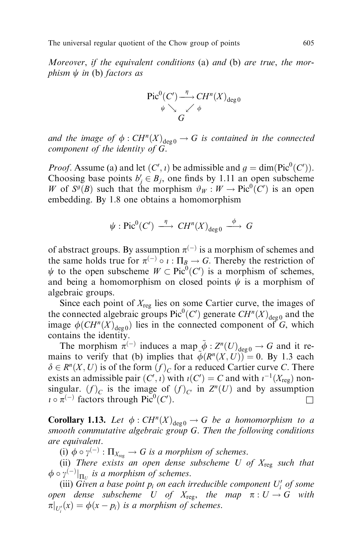Moreover, if the equivalent conditions (a) and (b) are true, the morphism  $\psi$  in (b) factors as

$$
\begin{array}{ccc}\n\operatorname{Pic}^0(C') & \xrightarrow{\eta} CH^n(X)_{\deg 0} \\
\downarrow \searrow & \swarrow & \phi \\
G & & \n\end{array}
$$

and the image of  $\phi : CH^n(X)_{\text{deg }0} \to G$  is contained in the connected component of the identity of G.

*Proof.* Assume (a) and let  $(C', i)$  be admissible and  $g = \dim(\text{Pic}^0(C'))$ . Choosing base points  $b'_j \in B_j$ , one finds by 1.11 an open subscheme W of  $S^g(B)$  such that the morphism  $\vartheta_W : W \to \text{Pic}^0(C')$  is an open embedding. By 1.8 one obtains a homomorphism

$$
\psi : Pic^0(C') \xrightarrow{\eta} CH^n(X)_{deg\ 0} \xrightarrow{\phi} G
$$

of abstract groups. By assumption  $\pi^{(-)}$  is a morphism of schemes and the same holds true for  $\pi^{(-)} \circ i : \Pi_B \to G$ . Thereby the restriction of  $\psi$  to the open subscheme  $W \subset Pic^0(C')$  is a morphism of schemes, and being a homomorphism on closed points  $\psi$  is a morphism of algebraic groups.

Since each point of  $X_{\text{reg}}$  lies on some Cartier curve, the images of the connected algebraic groups  $Pic^0(C')$  generate  $CH^n(X)_{deg0}$  and the image  $\phi(CH^{n}(X)_{\text{des}})$  lies in the connected component of G, which contains the identity.

The morphism  $\pi^{(-)}$  induces a map  $\tilde{\phi}: Z^n(U)_{\text{deg }0} \to G$  and it remains to verify that (b) implies that  $\tilde{\phi}(R^n(X, U)) = 0$ . By 1.3 each  $\delta \in R^n(X, U)$  is of the form  $(f)_C$  for a reduced Cartier curve C. There exists an admissible pair  $(C',\iota)$  with  $\iota(C') = C$  and with  $\iota^{-1}(X_{\text{reg}})$  nonsingular.  $(f)_C$  is the image of  $(f)_C$  in  $Z^n(U)$  and by assumption  $i \circ \pi^{(-)}$  factors through Pic<sup>0</sup>(C' ).  $\qquad \qquad \Box$ 

**Corollary 1.13.** Let  $\phi$ :  $CH^n(X)_{\text{deg }0} \to G$  be a homomorphism to a smooth commutative algebraic group G. Then the following conditions are equivalent.

(i)  $\phi \circ \gamma^{(-)} : \Pi_{X_{reg}} \to G$  is a morphism of schemes.

(ii) There exists an open dense subscheme U of  $X_{reg}$  such that  $\phi \circ \gamma^{(-)}|_{\Pi_U}$  is a morphism of schemes.

(iii) Given a base point  $p_i$  on each irreducible component  $U'_i$  of some open dense subscheme U of  $X_{reg}$ , the map  $\pi : U \to G$  with  $\pi|_{U_i'}(x) = \phi(x - p_i)$  is a morphism of schemes.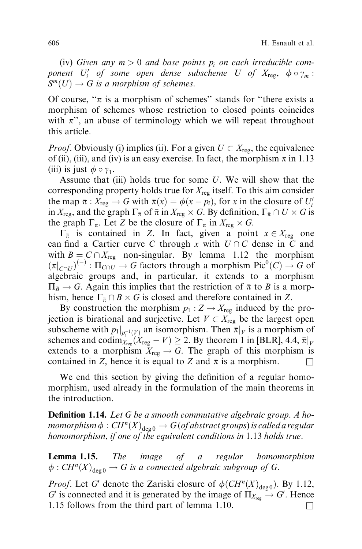(iv) Given any  $m > 0$  and base points  $p_i$  on each irreducible component  $U'_i$  of some open dense subscheme U of  $X_{\text{reg}}, \phi \circ \gamma_m$ :  $S^m(U) \to G$  is a morphism of schemes.

Of course, " $\pi$  is a morphism of schemes" stands for "there exists a morphism of schemes whose restriction to closed points coincides with  $\pi$ ", an abuse of terminology which we will repeat throughout this article.

*Proof.* Obviously (i) implies (ii). For a given  $U \subset X_{reg}$ , the equivalence of (ii), (iii), and (iv) is an easy exercise. In fact, the morphism  $\pi$  in 1.13 (iii) is just  $\phi \circ \gamma_1$ .

Assume that (iii) holds true for some U. We will show that the corresponding property holds true for  $X_{\text{reg}}$  itself. To this aim consider the map  $\bar{\pi}: X_{reg} \to G$  with  $\bar{\pi}(x) = \phi(x - p_i)$ , for x in the closure of  $U_i'$ in  $X_{\text{reg}}$ , and the graph  $\Gamma_{\bar{\pi}}$  of  $\bar{\pi}$  in  $X_{\text{reg}} \times G$ . By definition,  $\Gamma_{\bar{\pi}} \cap U \times G$  is the graph  $\Gamma_{\pi}$ . Let Z be the closure of  $\Gamma_{\pi}$  in  $X_{reg} \times G$ .

 $\Gamma_{\bar{\pi}}$  is contained in Z. In fact, given a point  $x \in X_{reg}$  one can find a Cartier curve C through x with  $U \cap C$  dense in C and with  $B = C \cap X_{reg}$  non-singular. By lemma 1.12 the morphism  $(\pi|_{C\cap U})^{(-)} : \Pi_{C\cap U} \to G$  factors through a morphism Pic<sup>0</sup>(C)  $\to G$  of algebraic groups and, in particular, it extends to a morphism  $\Pi_B \to G$ . Again this implies that the restriction of  $\bar{\pi}$  to B is a morphism, hence  $\Gamma_{\bar{\pi}} \cap B \times G$  is closed and therefore contained in Z.

By construction the morphism  $p_1 : Z \to X_{\text{reg}}$  induced by the projection is birational and surjective. Let  $V \subset X_{reg}$  be the largest open subscheme with  $p_1|_{p_1^{-1}(V)}$  an isomorphism. Then  $\bar{\pi}|_V$  is a morphism of schemes and codim $X_{\text{reg}}(X_{\text{reg}} - V) \geq 2$ . By theorem 1 in [BLR], 4.4,  $\bar{\pi}|_V$ extends to a morphism  $X_{\text{reg}} \to G$ . The graph of this morphism is contained in Z, hence it is equal to Z and  $\bar{\pi}$  is a morphism.

We end this section by giving the definition of a regular homomorphism, used already in the formulation of the main theorems in the introduction.

**Definition 1.14.** Let G be a smooth commutative algebraic group. A homomorphism  $\phi : CH^n(X)_{\text{deg }0} \to G$  (of abstract groups) is called a regular homomorphism, if one of the equivalent conditions in 1.13 holds true.

Lemma 1.15. The image of a regular homomorphism  $\phi: CH^n(X)_{\text{deg }0} \to G$  is a connected algebraic subgroup of G.

*Proof.* Let G' denote the Zariski closure of  $\phi(CH^n(X)_{\text{deg }0})$ . By 1.12, G' is connected and it is generated by the image of  $\Pi_{X_{reg}} \to G'$ . Hence 1.15 follows from the third part of lemma 1.10.  $\Box$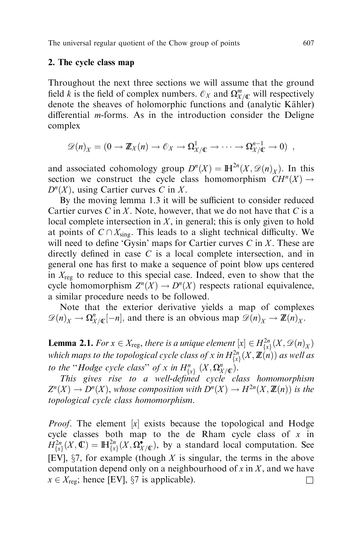## 2. The cycle class map

Throughout the next three sections we will assume that the ground field k is the field of complex numbers.  $\mathcal{O}_X$  and  $\Omega_{X/\mathbb{C}}^m$  will respectively denote the sheaves of holomorphic functions and (analytic Kähler) differential  $m$ -forms. As in the introduction consider the Deligne complex

$$
\mathscr{D}(n)_X = (0 \to \mathbb{Z}_X(n) \to \mathcal{O}_X \to \Omega^1_{X/\mathbb{C}} \to \cdots \to \Omega^{n-1}_{X/\mathbb{C}} \to 0) ,
$$

and associated cohomology group  $D^{n}(X) = \mathbb{H}^{2n}(X, \mathcal{D}(n)_{X})$ . In this section we construct the cycle class homomorphism  $CH^n(X) \rightarrow$  $D^{n}(X)$ , using Cartier curves C in X.

By the moving lemma 1.3 it will be sufficient to consider reduced Cartier curves  $C$  in  $X$ . Note, however, that we do not have that  $C$  is a local complete intersection in  $X$ , in general; this is only given to hold at points of  $C \cap X_{\text{sing}}$ . This leads to a slight technical difficulty. We will need to define 'Gysin' maps for Cartier curves  $C$  in  $X$ . These are directly defined in case  $C$  is a local complete intersection, and in general one has first to make a sequence of point blow ups centered in  $X_{\text{reg}}$  to reduce to this special case. Indeed, even to show that the cycle homomorphism  $Z^n(X) \to D^n(X)$  respects rational equivalence, a similar procedure needs to be followed.

Note that the exterior derivative yields a map of complexes  $\mathscr{D}(n)_X \to \Omega^n_{X/\mathbb{C}}[-n]$ , and there is an obvious map  $\mathscr{D}(n)_X \to \mathbb{Z}(n)_X$ .

**Lemma 2.1.** For  $x \in X_{\text{reg}}$ , there is a unique element  $[x] \in H^{2n}_{\{x\}}(X, \mathscr{D}(n)_X)$ which maps to the topological cycle class of x in  $H^{2n}_{\{x\}}(X, \mathbb{Z}(n))$  as well as to the "Hodge cycle class" of x in  $H_{\{x\}}^n(X,\Omega_{X/\mathbb{C}}^n)$ .

This gives rise to a well-defined cycle class homomorphism  $Z^{n}(X) \to D^{n}(X)$ , whose composition with  $D^{n}(X) \to H^{2n}(X, \mathbb{Z}(n))$  is the topological cycle class homomorphism.

*Proof.* The element  $[x]$  exists because the topological and Hodge cycle classes both map to the de Rham cycle class of  $x$  in  $H^{2n}_{\{x\}}(X,\mathbb{C}) = \mathbb{H}^{2n}_{\{x\}}(X,\Omega^{\bullet}_{X/\mathbb{C}})$ , by a standard local computation. See [EV],  $\S$ 7, for example (though X is singular, the terms in the above computation depend only on a neighbourhood of x in  $X$ , and we have  $x \in X_{\text{reg}}$ ; hence [EV], §7 is applicable).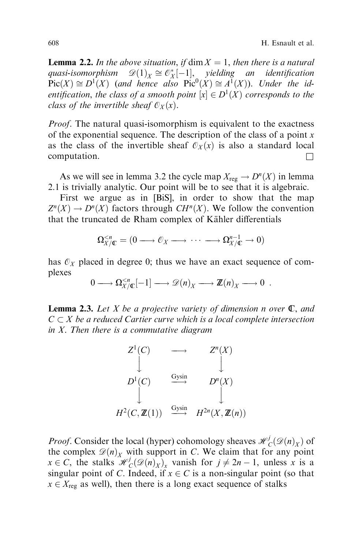**Lemma 2.2.** In the above situation, if  $\dim X = 1$ , then there is a natural quasi-isomorphism  $\mathscr{D}(1)_X \cong \mathcal{O}_X^*[-1]$ , yielding an identification  $Pic(X) \cong D^{1}(X)$  (and hence also  $Pic^{0}(X) \cong A^{1}(X)$ ). Under the identification, the class of a smooth point  $[x] \in D^1(X)$  corresponds to the class of the invertible sheaf  $\mathcal{O}_X(x)$ .

*Proof.* The natural quasi-isomorphism is equivalent to the exactness of the exponential sequence. The description of the class of a point  $x$ as the class of the invertible sheaf  $\mathcal{O}_X(x)$  is also a standard local computation.  $\Box$ 

As we will see in lemma 3.2 the cycle map  $X_{reg} \to D^{n}(X)$  in lemma 2.1 is trivially analytic. Our point will be to see that it is algebraic.

First we argue as in [BiS], in order to show that the map  $Z^{n}(X) \to D^{n}(X)$  factors through  $CH^{n}(X)$ . We follow the convention that the truncated de Rham complex of Kähler differentials

$$
\Omega_{X/\mathbb{C}}^{
$$

has  $\mathcal{O}_X$  placed in degree 0; thus we have an exact sequence of complexes

$$
0 \longrightarrow \Omega_{X/\mathbb{C}}^{\leq n}[-1] \longrightarrow \mathscr{D}(n)_X \longrightarrow \mathbb{Z}(n)_X \longrightarrow 0.
$$

**Lemma 2.3.** Let X be a projective variety of dimension n over  $\mathbb{C}$ , and  $C \subset X$  be a reduced Cartier curve which is a local complete intersection in X. Then there is a commutative diagram

$$
Z^{1}(C) \longrightarrow Z^{n}(X)
$$
  
\n
$$
D^{1}(C) \longrightarrow D^{n}(X)
$$
  
\n
$$
\downarrow D^{n}(X)
$$
  
\n
$$
H^{2}(C, \mathbb{Z}(1)) \longrightarrow H^{2n}(X, \mathbb{Z}(n))
$$

*Proof.* Consider the local (hyper) cohomology sheaves  $\mathcal{H}_C^j(\mathcal{D}(n)_X)$  of the complex  $\mathcal{D}(n)_x$  with support in C. We claim that for any point  $x \in C$ , the stalks  $\mathcal{H}_C^j(\mathcal{D}(n)_X)_x$  vanish for  $j \neq 2n - 1$ , unless x is a singular point of C. Indeed, if  $x \in C$  is a non-singular point (so that  $x \in X_{\text{reg}}$  as well), then there is a long exact sequence of stalks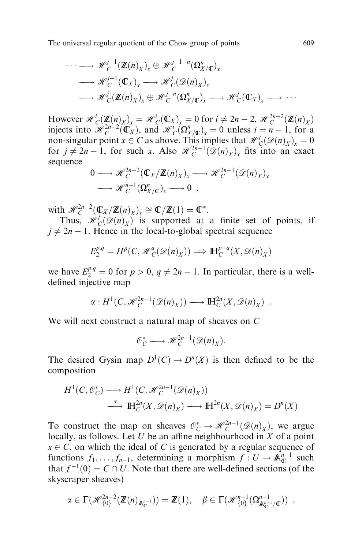$$
\cdots \longrightarrow \mathscr{H}_{C}^{j-1}(\mathbb{Z}(n)_{X})_{x} \oplus \mathscr{H}_{C}^{j-1-n}(\Omega_{X/\mathbb{C}}^{n})_{x}
$$

$$
\longrightarrow \mathscr{H}_{C}^{j-1}(\mathbb{C}_{X})_{x} \longrightarrow \mathscr{H}_{C}^{j}(\mathscr{D}(n)_{X})_{x}
$$

$$
\longrightarrow \mathscr{H}_{C}^{j}(\mathbb{Z}(n)_{X})_{x} \oplus \mathscr{H}_{C}^{j-n}(\Omega_{X/\mathbb{C}}^{n})_{x} \longrightarrow \mathscr{H}_{C}^{j}(\mathbb{C}_{X})_{x} \longrightarrow \cdots
$$

However  $\mathcal{H}_C^i(\mathbf{Z}(n)_X)_x = \mathcal{H}_C^i(\mathbb{C}_X)_x = 0$  for  $i \neq 2n-2$ ,  $\mathcal{H}_C^{2n-2}(\mathbf{Z}(n)_X)$ injects into  $\mathcal{H}_C^{2n-2}(\mathbb{C}_X)$ , and  $\mathcal{H}_C^{i}(\Omega_{X/\mathbb{C}}^n)_x = 0$  unless  $i = n - 1$ , for a non-singular point  $x \in C$  as above. This implies that  $\mathcal{H}_C^j(\mathcal{D}(n)_X)_x = 0$ for  $j \neq 2n-1$ , for such x. Also  $\mathcal{H}_C^{2n-1}(\mathcal{D}(n)_X)_x$  fits into an exact sequence

$$
0 \longrightarrow \mathcal{H}_C^{2n-2}(\mathbb{C}_X/\mathbb{Z}(n)_X)_x \longrightarrow \mathcal{H}_C^{2n-1}(\mathcal{D}(n)_X)_x
$$
  

$$
\longrightarrow \mathcal{H}_C^{n-1}(\Omega_{X/\mathbb{C}}^n)_x \longrightarrow 0 ,
$$

with  $\mathcal{H}_C^{2n-2}(\mathbb{C}_X/\mathbb{Z}(n)_X)_x \cong \mathbb{C}/\mathbb{Z}(1) = \mathbb{C}^*$ .

Thus,  $\mathcal{H}_C^j(\mathcal{D}(n)_X)$  is supported at a finite set of points, if  $j \neq 2n - 1$ . Hence in the local-to-global spectral sequence

$$
E_2^{p,q} = H^p(C, \mathcal{H}_C^q(\mathcal{D}(n)_X)) \Longrightarrow \mathbb{H}_C^{p+q}(X, \mathcal{D}(n)_X)
$$

we have  $E_2^{p,q} = 0$  for  $p > 0$ ,  $q \neq 2n - 1$ . In particular, there is a welldefined injective map

$$
\alpha: H^1(C, \mathcal{H}_C^{2n-1}(\mathcal{D}(n)_X)) \longrightarrow \mathbb{H}_C^{2n}(X, \mathcal{D}(n)_X) .
$$

We will next construct a natural map of sheaves on C

$$
\mathcal{O}_C^* \longrightarrow \mathcal{H}_C^{2n-1}(\mathcal{D}(n)_X).
$$

The desired Gysin map  $D^1(C) \to D^n(X)$  is then defined to be the composition

$$
H^1(C, \mathcal{O}_C^*) \longrightarrow H^1(C, \mathcal{H}_C^{2n-1}(\mathcal{D}(n)_X))
$$
  

$$
\xrightarrow{\alpha} \mathbb{H}_C^{2n}(X, \mathcal{D}(n)_X) \longrightarrow \mathbb{H}^{2n}(X, \mathcal{D}(n)_X) = D^n(X)
$$

To construct the map on sheaves  $\mathcal{O}_C^* \to \mathcal{H}_C^{2n-1}(\mathcal{D}(n)_X)$ , we argue locally, as follows. Let U be an affine neighbourhood in X of a point  $x \in C$ , on which the ideal of C is generated by a regular sequence of functions  $f_1, \ldots, f_{n-1}$ , determining a morphism  $f : U \to \mathbb{A}_{\mathbb{C}}^{n-1}$  such that  $f^{-1}(0) = C \cap U$ . Note that there are well-defined sections (of the skyscraper sheaves)

$$
\alpha \in \Gamma(\mathscr{H}_{\{0\}}^{2n-2}(\mathbb{Z}(n)_{\mathbb{A}_{\mathbb{C}}^{n-1}})) = \mathbb{Z}(1), \quad \beta \in \Gamma(\mathscr{H}_{\{0\}}^{n-1}(\Omega_{\mathbb{A}_{\mathbb{C}}^{n-1}/\mathbb{C}}^{n-1})) ,
$$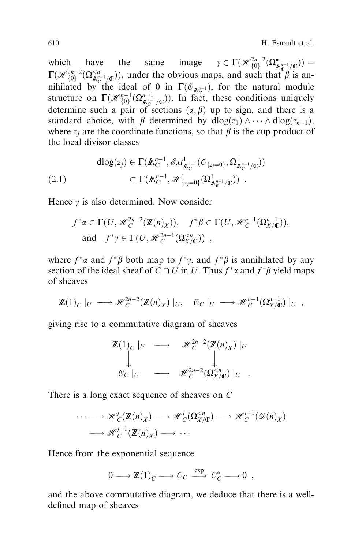which have the same image  $\gamma \in \Gamma(\mathcal{H}_{\{0\}}^{2n-2}(\Omega_{\mathbb{A}_{\mathbb{C}}^{n-1}/\mathbb{C}}^{\bullet})) =$  $\Gamma(\mathcal{H}_{\{0\}}^{2n-2}(\Omega_{\mathbb{A}_{\mathbb{C}}^{n-1}/\mathbb{C}}^{ under the obvious maps, and such that  $\beta$  is an$ nihilated by the ideal of 0 in  $\Gamma(\mathcal{O}_{\mathbb{A}_{\mathbb{C}}^{n-1}})$ , for the natural module structure on  $\Gamma(\mathcal{H}_{\{0\}}^{n-1}(\Omega_{\mathbb{A}_{\mathbb{C}}^{n-1}/\mathbb{C}}^{n-1}))$ . In fact, these conditions uniquely determine such a pair of sections  $(\alpha, \beta)$  up to sign, and there is a standard choice, with  $\beta$  determined by  $dlog(z_1) \wedge \cdots \wedge dlog(z_{n-1}),$ where  $z_i$  are the coordinate functions, so that  $\beta$  is the cup product of the local divisor classes

$$
\begin{aligned} \text{dlog}(z_j) &\in \Gamma(\mathbb{A}_{\mathbb{C}}^{n-1}, \mathscr{E}xt^1_{\mathbb{A}_{\mathbb{C}}^{n-1}}(\mathcal{O}_{\{z_j=0\}}, \Omega^1_{\mathbb{A}_{\mathbb{C}}^{n-1}/\mathbb{C}})) \\ &\subset \Gamma(\mathbb{A}_{\mathbb{C}}^{n-1}, \mathscr{H}^1_{\{z_j=0\}}(\Omega^1_{\mathbb{A}_{\mathbb{C}}^{n-1}/\mathbb{C}})) \end{aligned}
$$

Hence  $\gamma$  is also determined. Now consider

$$
f^*\alpha \in \Gamma(U, \mathcal{H}_C^{2n-2}(\mathbb{Z}(n)_X)), \quad f^*\beta \in \Gamma(U, \mathcal{H}_C^{n-1}(\Omega_{X/\mathbb{C}}^{n-1})),
$$
  
and 
$$
f^*\gamma \in \Gamma(U, \mathcal{H}_C^{2n-1}(\Omega_{X/\mathbb{C}}^{< n}))
$$
,

where  $f^* \alpha$  and  $f^* \beta$  both map to  $f^* \gamma$ , and  $f^* \beta$  is annihilated by any section of the ideal sheaf of  $C \cap U$  in U. Thus  $f^* \alpha$  and  $f^* \beta$  yield maps of sheaves

$$
\mathbb{Z}(1)_C|_U \longrightarrow \mathcal{H}_C^{2n-2}(\mathbb{Z}(n)_X)|_U, \quad \mathcal{O}_C|_U \longrightarrow \mathcal{H}_C^{n-1}(\Omega_{X/\mathbb{C}}^{n-1})|_U,
$$

giving rise to a commutative diagram of sheaves

$$
\mathbb{Z}(1)_C |_U \longrightarrow \mathscr{H}_C^{2n-2}(\mathbb{Z}(n)_X) |_U
$$
  

$$
\downarrow \qquad \qquad \downarrow
$$
  

$$
\mathscr{O}_C |_U \longrightarrow \mathscr{H}_C^{2n-2}(\Omega_{X/\mathbb{C}}^{\leq n}) |_U.
$$

There is a long exact sequence of sheaves on C

$$
\cdots \longrightarrow \mathscr{H}_C^j(\mathbb{Z}(n)_X) \longrightarrow \mathscr{H}_C^j(\Omega_{X/\mathbb{C}}^{< n}) \longrightarrow \mathscr{H}_C^{j+1}(\mathscr{D}(n)_X)
$$
  

$$
\longrightarrow \mathscr{H}_C^{j+1}(\mathbb{Z}(n)_X) \longrightarrow \cdots
$$

Hence from the exponential sequence

 $0 \longrightarrow \mathbb{Z}(1)_C \longrightarrow \mathcal{O}_C \stackrel{\text{exp}}{\longrightarrow} \mathcal{O}_C^* \longrightarrow 0 ,$ 

and the above commutative diagram, we deduce that there is a welldefined map of sheaves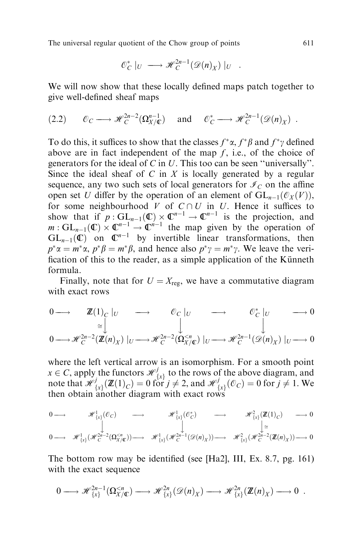$$
\mathcal{O}_C^*|_U \longrightarrow \mathcal{H}_C^{2n-1}(\mathcal{D}(n)_X)|_U .
$$

We will now show that these locally defined maps patch together to give well-defined sheaf maps

$$
(2.2) \qquad \mathcal{O}_C \longrightarrow \mathcal{H}_C^{2n-2}(\Omega_{X/\mathbb{C}}^{n-1}) \quad \text{ and } \quad \mathcal{O}_C^* \longrightarrow \mathcal{H}_C^{2n-1}(\mathcal{D}(n)_X) \; .
$$

To do this, it suffices to show that the classes  $f^* \alpha$ ,  $f^* \beta$  and  $f^* \gamma$  defined above are in fact independent of the map  $f$ , i.e., of the choice of generators for the ideal of  $C$  in  $U$ . This too can be seen "universally". Since the ideal sheaf of C in X is locally generated by a regular sequence, any two such sets of local generators for  $\mathcal{I}_C$  on the affine open set U differ by the operation of an element of  $GL_{n-1}(\mathcal{O}_X(V)),$ for some neighbourhood  $V$  of  $C \cap U$  in  $U$ . Hence it suffices to show that if  $p: GL_{n-1}(\mathbb{C}) \times \mathbb{C}^{n-1} \to \mathbb{C}^{n-1}$  is the projection, and  $m: GL_{n-1}(\mathbb{C}) \times \mathbb{C}^{n-1} \to \mathbb{C}^{n-1}$  the map given by the operation of  $GL_{n-1}(\mathbb{C})$  on  $\mathbb{C}^{n-1}$  by invertible linear transformations, then  $p^*\alpha = m^*\alpha$ ,  $p^*\beta = m^*\beta$ , and hence also  $p^*\gamma = m^*\gamma$ . We leave the verification of this to the reader, as a simple application of the Künneth formula.

Finally, note that for  $U = X_{\text{reg}}$ , we have a commutative diagram with exact rows

$$
\begin{array}{ccc}\n0 \longrightarrow & \mathbb{Z}(1)_{C} \mid_{U} & \longrightarrow & \mathbb{O}_{C} \mid_{U} & \longrightarrow & \mathbb{O}_{C}^{*} \mid_{U} & \longrightarrow & 0 \\
& & \cong \bigcup_{\alpha=0}^{N-2} (\mathbb{Z}(n)_{X}) \mid_{U} \longrightarrow \mathcal{H}_{C}^{2n-2}(\Omega_{X/C}^{
$$

where the left vertical arrow is an isomorphism. For a smooth point  $x \in C$ , apply the functors  $\mathcal{H}^j_{\{x\}}$  to the rows of the above diagram, and note that  $\mathcal{H}_{\{x\}}^j(\mathbb{Z}(1)_C) = 0$  for  $j \neq 2$ , and  $\mathcal{H}_{\{x\}}^j(\mathcal{O}_C) = 0$  for  $j \neq 1$ . We then obtain another diagram with exact rows

$$
\begin{array}{ccccccc} 0\longrightarrow &\mathscr{H}^1_{\{x\}}(\mathcal{O}_C) &\longrightarrow &\mathscr{H}^1_{\{x\}}(\mathcal{C}_C^*) &\longrightarrow &\mathscr{H}^2_{\{x\}}(\mathbf{Z}(1)_C) &\longrightarrow &0\\ &\bigcup\limits_{\mathbf{Z}\subseteq\mathcal{M}^1} &\bigcup\limits_{\mathbf{Z}\subseteq\mathcal{M}^2} &\bigcup\limits_{\mathbf{Z}\subseteq\mathcal{M}^2} &\mathscr{H}^1_{\{x\}}(\mathscr{H}_C^{2n-1}(\mathcal{D}(n)_X))\longrightarrow &\mathscr{H}^2_{\{x\}}(\mathscr{H}_C^{2n-2}(\mathbf{Z}(n)_X))\longrightarrow &0\end{array}
$$

The bottom row may be identified (see  $[Ha2], III, Ex. 8.7, pg. 161]$ ) with the exact sequence

$$
0 \longrightarrow \mathscr{H}_{\{x\}}^{2n-1}(\Omega_{X/\mathbb{C}}^{
$$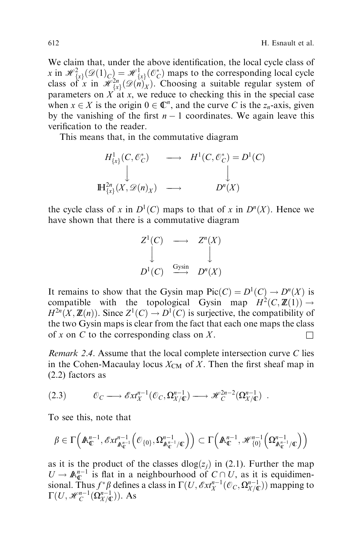We claim that, under the above identification, the local cycle class of x in  $\mathcal{H}^2_{\{x\}}(\mathcal{D}(1)_C) = \mathcal{H}^1_{\{x\}}(\mathcal{O}_C^*)$  maps to the corresponding local cycle class of x in  $\mathcal{H}_{\{x\}}^{2n}(\mathcal{D}(n)_X)$ . Choosing a suitable regular system of parameters on  $X$  at x, we reduce to checking this in the special case when  $x \in X$  is the origin  $0 \in \mathbb{C}^n$ , and the curve C is the  $z_n$ -axis, given by the vanishing of the first  $n - 1$  coordinates. We again leave this verification to the reader.

This means that, in the commutative diagram

$$
H^1_{\{x\}}(C, \mathcal{O}_C^*) \longrightarrow H^1(C, \mathcal{O}_C^*) = D^1(C)
$$
  

$$
\downarrow \qquad \qquad \downarrow
$$
  

$$
\mathbb{H}^{2n}_{\{x\}}(X, \mathcal{D}(n)_X) \longrightarrow D^n(X)
$$

the cycle class of x in  $D^1(C)$  maps to that of x in  $D^n(X)$ . Hence we have shown that there is a commutative diagram

$$
Z^{1}(C) \longrightarrow Z^{n}(X)
$$
  

$$
\downarrow \qquad \qquad \downarrow
$$
  

$$
D^{1}(C) \xrightarrow{\text{Gysin}} D^{n}(X)
$$

It remains to show that the Gysin map  $Pic(C) = D^{1}(C) \rightarrow D^{n}(X)$  is compatible with the topological Gysin map  $H^2(C, \mathbb{Z}(1)) \rightarrow$  $H^{2n}(X, \mathbb{Z}(n))$ . Since  $Z^{1}(C) \to D^{1}(C)$  is surjective, the compatibility of the two Gysin maps is clear from the fact that each one maps the class of x on C to the corresponding class on X.

Remark 2.4. Assume that the local complete intersection curve C lies in the Cohen-Macaulay locus  $X_{CM}$  of X. Then the first sheaf map in (2.2) factors as

$$
(2.3) \t\t \t\t \mathcal{O}_C \longrightarrow \mathcal{E}xt_X^{n-1}(\mathcal{O}_C, \Omega_{X/\mathbb{C}}^{n-1}) \longrightarrow \mathcal{H}_C^{2n-2}(\Omega_{X/\mathbb{C}}^{n-1}) .
$$

To see this, note that

$$
\beta\in\Gamma\Big(\mathbb{A}_{\mathbb{C}}^{n-1},\mathscr{E}xt^{n-1}_{\mathbb{A}_{\mathbb{C}}^{n-1}}\Big(\mathcal{O}_{\{0\}},\Omega^{n-1}_{\mathbb{A}_{\mathbb{C}}^{n-1}/\mathbb{C}}\Big)\Big)\subset\Gamma\Big(\mathbb{A}_{\mathbb{C}}^{n-1},\mathscr{H}_{\{0\}}^{n-1}\Big(\Omega^{n-1}_{\mathbb{A}_{\mathbb{C}}^{n-1}/\mathbb{C}}\Big)\Big)
$$

as it is the product of the classes  $dlog(z_i)$  in (2.1). Further the map  $U \to \mathbb{A}_{\mathbb{C}}^{n-1}$  is flat in a neighbourhood of  $C \cap U$ , as it is equidimensional. Thus  $f^*\beta$  defines a class in  $\Gamma(U, \mathscr{E}xt_X^{n-1}(\mathscr{O}_C, \Omega_{X/\mathbb{C}}^{n-1}))$  mapping to  $\Gamma(U, \mathcal{H}_C^{n-1}(\Omega_{X/}\mathbb{C}^n))$ . As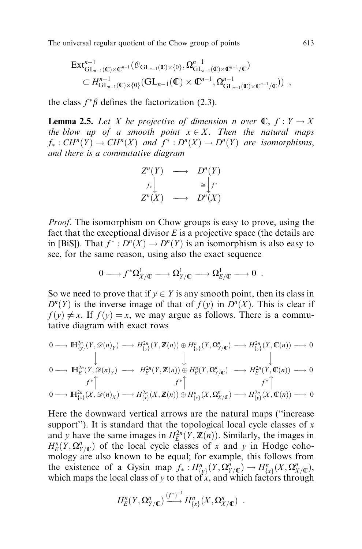$$
\operatorname{Ext}^{n-1}_{\operatorname{GL}_{n-1}(\mathbb{C})\times\mathbb{C}^{n-1}}(\mathbb{C}_{\operatorname{GL}_{n-1}(\mathbb{C})\times\{0\}}\Omega^{n-1}_{\operatorname{GL}_{n-1}(\mathbb{C})\times\mathbb{C}^{n-1}/\mathbb{C}})
$$
  

$$
\subset H^{n-1}_{\operatorname{GL}_{n-1}(\mathbb{C})\times\{0\}}(\operatorname{GL}_{n-1}(\mathbb{C})\times\mathbb{C}^{n-1},\Omega^{n-1}_{\operatorname{GL}_{n-1}(\mathbb{C})\times\mathbb{C}^{n-1}/\mathbb{C}}))
$$

the class  $f^*\beta$  defines the factorization (2.3).

**Lemma 2.5.** Let X be projective of dimension n over  $\mathbb{C}$ ,  $f: Y \to X$ the blow up of a smooth point  $x \in X$ . Then the natural maps  $f_*: CH^n(Y) \to CH^n(X)$  and  $f^*: D^n(X) \to D^n(Y)$  are isomorphisms, and there is a commutative diagram

$$
\begin{array}{ccc}\nZ^n(Y) & \longrightarrow & D^n(Y) \\
f_*\downarrow & & \cong & f^* \\
Z^n(X) & \longrightarrow & D^n(X)\n\end{array}
$$

Proof. The isomorphism on Chow groups is easy to prove, using the fact that the exceptional divisor  $E$  is a projective space (the details are in [BiS]). That  $f^*: D^n(X) \to D^n(Y)$  is an isomorphism is also easy to see, for the same reason, using also the exact sequence

$$
0 \longrightarrow f^* \Omega^1_{X/\mathbb{C}} \longrightarrow \Omega^1_{Y/\mathbb{C}} \longrightarrow \Omega^1_{E/\mathbb{C}} \longrightarrow 0.
$$

So we need to prove that if  $y \in Y$  is any smooth point, then its class in  $D^{n}(Y)$  is the inverse image of that of  $f(y)$  in  $D^{n}(X)$ . This is clear if  $f(y) \neq x$ . If  $f(y) = x$ , we may argue as follows. There is a commutative diagram with exact rows

$$
\begin{array}{ccc}\n0 \longrightarrow & \mathbb{H}_{\{y\}}^{2n}(Y, \mathscr{D}(n)_Y) \longrightarrow & H_{\{y\}}^{2n}(Y, \mathbb{Z}(n)) \oplus & H_{\{y\}}^n(Y, \Omega_{Y/\mathbb{C}}^n) \longrightarrow & H_{\{y\}}^{2n}(Y, \mathbb{C}(n)) \longrightarrow 0 \\
& & \downarrow & & \downarrow & & \downarrow \\
0 \longrightarrow & \mathbb{H}_{E}^{2n}(Y, \mathscr{D}(n)_Y) \longrightarrow & H_{E}^{2n}(Y, \mathbb{Z}(n)) \oplus & H_{E}^n(Y, \Omega_{Y/\mathbb{C}}^n) \longrightarrow & H_{E}^{2n}(Y, \mathbb{C}(n)) \longrightarrow 0 \\
& & f^* \uparrow & f^* \uparrow & f^* \uparrow & f^* \uparrow \\
0 \longrightarrow & \mathbb{H}_{\{x\}}^{2n}(X, \mathscr{D}(n)_X) \longrightarrow & H_{\{x\}}^{2n}(X, \mathbb{Z}(n)) \oplus & H_{\{x\}}^n(X, \Omega_{X/\mathbb{C}}^n) \longrightarrow & H_{\{y\}}^{2n}(X, \mathbb{C}(n)) \longrightarrow 0\n\end{array}
$$

Here the downward vertical arrows are the natural maps ("increase support''). It is standard that the topological local cycle classes of  $x$ and y have the same images in  $H_E^{2n}(Y, Z(n))$ . Similarly, the images in  $H_E^n(Y, \Omega_{Y/\mathbb{C}}^n)$  of the local cycle classes of x and y in Hodge cohomology are also known to be equal; for example, this follows from the existence of a Gysin map  $f_*: H^n_{\{y\}}(Y, \Omega^n_{Y/\mathbb{C}}) \to H^n_{\{x\}}(X, \Omega^n_{X/\mathbb{C}})$ , which maps the local class of y to that of x, and which factors through

$$
H_{E}^{n}(Y,\Omega_{Y/\mathbb{C}}^{n})\xrightarrow{(f^{*})^{-1}} H_{\{x\}}^{n}(X,\Omega_{X/\mathbb{C}}^{n})\ .
$$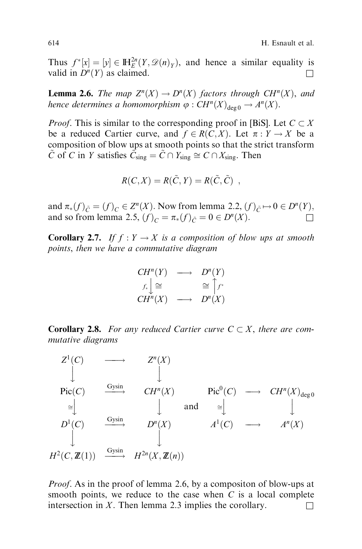Thus  $f^*[x] = [y] \in \mathbb{H}_{E}^{2n}(Y, \mathcal{D}(n)_Y)$ , and hence a similar equality is valid in  $D^n(Y)$  as claimed.

**Lemma 2.6.** The map  $Z^{n}(X) \to D^{n}(X)$  factors through CH<sup>n</sup>(X), and hence determines a homomorphism  $\varphi : CH^n(X)_{\text{deg }0} \to A^n(X)$ .

*Proof.* This is similar to the corresponding proof in [BiS]. Let  $C \subset X$ be a reduced Cartier curve, and  $f \in R(C, X)$ . Let  $\pi : Y \to X$  be a composition of blow ups at smooth points so that the strict transform  $\tilde{C}$  of C in Y satisfies  $\tilde{C}_{sing} = \tilde{C} \cap Y_{sing} \cong C \cap X_{sing}$ . Then

$$
R(C, X) = R(\tilde{C}, Y) = R(\tilde{C}, \tilde{C}) ,
$$

and  $\pi_*(f)_{\tilde{C}} = (f)_C \in Z^n(X)$ . Now from lemma 2.2,  $(f)_{\tilde{C}} \mapsto 0 \in D^n(Y)$ , and so from lemma 2.5,  $(f)_C = \pi_*(f)_{\tilde{C}} = 0 \in D^n(X)$ .

**Corollary 2.7.** If  $f : Y \to X$  is a composition of blow ups at smooth points, then we have a commutative diagram

$$
CH^n(Y) \longrightarrow D^n(Y)
$$
  
\n $f_*\downarrow \cong \cong \uparrow f^*$   
\n $CH^n(X) \longrightarrow D^n(X)$ 

**Corollary 2.8.** For any reduced Cartier curve  $C \subset X$ , there are commutative diagrams



Proof. As in the proof of lemma 2.6, by a compositon of blow-ups at smooth points, we reduce to the case when  $C$  is a local complete intersection in X. Then lemma 2.3 implies the corollary.  $\square$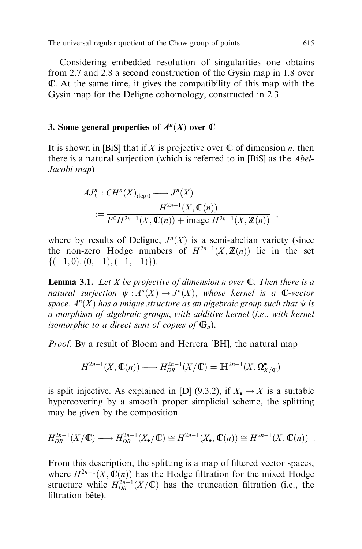Considering embedded resolution of singularities one obtains from 2.7 and 2.8 a second construction of the Gysin map in 1.8 over C. At the same time, it gives the compatibility of this map with the Gysin map for the Deligne cohomology, constructed in 2.3.

# 3. Some general properties of  $A<sup>n</sup>(X)$  over  $\mathbb C$

It is shown in [BiS] that if X is projective over  $\mathbb C$  of dimension n, then there is a natural surjection (which is referred to in [BiS] as the Abel-Jacobi map)

$$
AJ_X^n : CH^n(X)_{\deg 0} \longrightarrow J^n(X)
$$
  
 := 
$$
\frac{H^{2n-1}(X, \mathbb{C}(n))}{F^0 H^{2n-1}(X, \mathbb{C}(n)) + \text{image } H^{2n-1}(X, \mathbb{Z}(n))}
$$

where by results of Deligne,  $J<sup>n</sup>(X)$  is a semi-abelian variety (since the non-zero Hodge numbers of  $H^{2n-1}(X, \mathbb{Z}(n))$  lie in the set  $\{(-1, 0), (0, -1), (-1, -1)\}\.$ 

**Lemma 3.1.** Let X be projective of dimension n over  $\mathbb{C}$ . Then there is a natural surjection  $\psi : A^n(X) \to J^n(X)$ , whose kernel is a C-vector space.  $A<sup>n</sup>(X)$  has a unique structure as an algebraic group such that  $\psi$  is a morphism of algebraic groups, with additive kernel (i.e., with kernel isomorphic to a direct sum of copies of  $\mathbb{G}_a$ ).

*Proof.* By a result of Bloom and Herrera [BH], the natural map

$$
H^{2n-1}(X,\mathbb{C}(n)) \longrightarrow H^{2n-1}_{DR}(X/\mathbb{C}) = \mathbb{H}^{2n-1}(X,\Omega^{\bullet}_{X/\mathbb{C}})
$$

is split injective. As explained in [D] (9.3.2), if  $X_{\bullet} \to X$  is a suitable hypercovering by a smooth proper simplicial scheme, the splitting may be given by the composition

$$
H_{DR}^{2n-1}(X/\mathbb{C}) \longrightarrow H_{DR}^{2n-1}(X_{\bullet}/\mathbb{C}) \cong H^{2n-1}(X_{\bullet}, \mathbb{C}(n)) \cong H^{2n-1}(X, \mathbb{C}(n)) .
$$

From this description, the splitting is a map of filtered vector spaces, where  $H^{2n-1}(X, \mathbb{C}(n))$  has the Hodge filtration for the mixed Hodge structure while  $H_{DR}^{2n-1}(X/\mathbb{C})$  has the truncation filtration (i.e., the filtration bête).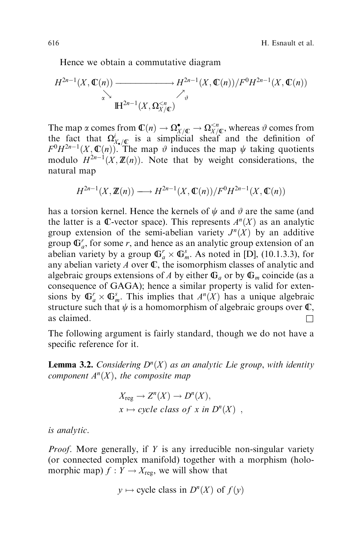Hence we obtain a commutative diagram

$$
H^{2n-1}(X,\mathbb{C}(n)) \xrightarrow[\alpha]{\alpha} H^{2n-1}(X,\mathbb{C}(n))/F^0H^{2n-1}(X,\mathbb{C}(n))
$$
  

$$
\xrightarrow[\alpha]{\alpha} H^{2n-1}(X,\Omega_{X/\mathbb{C}}^{< n})
$$

The map  $\alpha$  comes from  $\mathbb{C}(n) \to \Omega_{X/ \mathbb{C}}^{\bullet} \to \Omega_{X/ \mathbb{C}}^{< n}$ , whereas  $\vartheta$  comes from the fact that  $\Omega_{X,\sqrt{\mathbb{C}}}^{i}$  is a simplicial sheaf and the definition of  $F^0H^{2n-1}(X,\mathbb{C}(n))$ . The map  $\vartheta$  induces the map  $\psi$  taking quotients modulo  $H^{2n-1}(X, \mathbb{Z}(n))$ . Note that by weight considerations, the natural map

$$
H^{2n-1}(X,\mathbb{Z}(n)) \longrightarrow H^{2n-1}(X,\mathbb{C}(n))/F^0H^{2n-1}(X,\mathbb{C}(n))
$$

has a torsion kernel. Hence the kernels of  $\psi$  and  $\vartheta$  are the same (and the latter is a C-vector space). This represents  $A<sup>n</sup>(X)$  as an analytic group extension of the semi-abelian variety  $J^n(X)$  by an additive group  $\mathbb{G}_a^r$ , for some r, and hence as an analytic group extension of an abelian variety by a group  $\mathbb{G}_a^r \times \mathbb{G}_m^s$ . As noted in [D], (10.1.3.3), for any abelian variety  $A$  over  $\mathbb{C}$ , the isomorphism classes of analytic and algebraic groups extensions of A by either  $\mathbb{G}_a$  or by  $\mathbb{G}_m$  coincide (as a consequence of GAGA); hence a similar property is valid for extensions by  $\mathbb{G}_a^r \times \mathbb{G}_m^s$ . This implies that  $A^n(X)$  has a unique algebraic structure such that  $\psi$  is a homomorphism of algebraic groups over  $\mathbb{C}$ , as claimed.  $\Box$ 

The following argument is fairly standard, though we do not have a specific reference for it.

**Lemma 3.2.** Considering  $D^{n}(X)$  as an analytic Lie group, with identity component  $A<sup>n</sup>(X)$ , the composite map

$$
X_{\text{reg}} \to Z^{n}(X) \to D^{n}(X),
$$
  

$$
x \mapsto cycle \text{ class of } x \text{ in } D^{n}(X) ,
$$

is analytic.

*Proof.* More generally, if Y is any irreducible non-singular variety (or connected complex manifold) together with a morphism (holomorphic map)  $f : Y \to X_{\text{reg}}$ , we will show that

$$
y \mapsto
$$
 cycle class in  $D^{n}(X)$  of  $f(y)$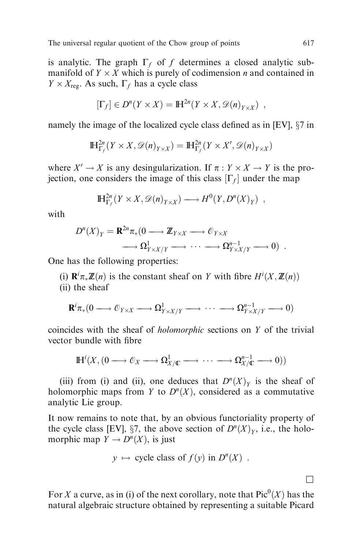is analytic. The graph  $\Gamma_f$  of f determines a closed analytic submanifold of  $Y \times X$  which is purely of codimension *n* and contained in  $Y \times X_{\text{reg}}$ . As such,  $\Gamma_f$  has a cycle class

$$
[\Gamma_f] \in D^n(Y \times X) = \mathbb{H}^{2n}(Y \times X, \mathscr{D}(n)_{Y \times X}) ,
$$

namely the image of the localized cycle class defined as in [EV],  $\S7$  in

$$
\mathbb{H}^{2n}_{\Gamma_f}(Y \times X, \mathscr{D}(n)_{Y \times X}) = \mathbb{H}^{2n}_{\Gamma_f}(Y \times X', \mathscr{D}(n)_{Y \times X})
$$

where  $X' \to X$  is any desingularization. If  $\pi : Y \times X \to Y$  is the projection, one considers the image of this class  $[\Gamma_f]$  under the map

$$
\mathbb{H}^{2n}_{\Gamma_f}(Y \times X, \mathscr{D}(n)_{Y \times X}) \longrightarrow H^0(Y, D^n(X)_Y) ,
$$

with

$$
D^{n}(X)_{Y} = \mathbf{R}^{2n} \pi_{*}(0 \longrightarrow \mathbb{Z}_{Y \times X} \longrightarrow \mathcal{O}_{Y \times X} \n \longrightarrow \Omega_{Y \times X/Y}^{1} \longrightarrow \cdots \longrightarrow \Omega_{Y \times X/Y}^{n-1} \longrightarrow 0) .
$$

One has the following properties:

(i)  $\mathbf{R}^i \pi_* \mathbb{Z}(n)$  is the constant sheaf on Y with fibre  $H^i(X, \mathbb{Z}(n))$ 

(ii) the sheaf

$$
\mathbf{R}^i \pi_*(0 \longrightarrow \mathcal{O}_{Y \times X} \longrightarrow \Omega^1_{Y \times X/Y} \longrightarrow \cdots \longrightarrow \Omega^{n-1}_{Y \times X/Y} \longrightarrow 0)
$$

coincides with the sheaf of holomorphic sections on Y of the trivial vector bundle with fibre

$$
\mathbb{H}^{i}(X,(0\longrightarrow \mathcal{O}_{X}\longrightarrow \Omega^{1}_{X/\mathbb{C}}\longrightarrow \cdots \longrightarrow \Omega^{n-1}_{X/\mathbb{C}}\longrightarrow 0))
$$

(iii) from (i) and (ii), one deduces that  $D^{n}(X)_{Y}$  is the sheaf of holomorphic maps from Y to  $D^{n}(X)$ , considered as a commutative analytic Lie group.

It now remains to note that, by an obvious functoriality property of the cycle class [EV], §7, the above section of  $D^{n}(X)_{Y}$ , i.e., the holomorphic map  $Y \to D^{n}(X)$ , is just

$$
y \mapsto
$$
 cycle class of  $f(y)$  in  $D^{n}(X)$ .

For X a curve, as in (i) of the next corollary, note that  $Pic^0(X)$  has the natural algebraic structure obtained by representing a suitable Picard

 $\Box$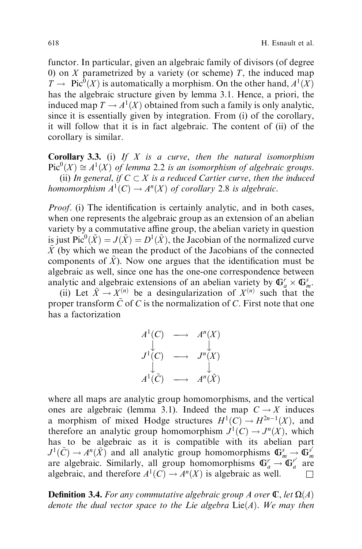functor. In particular, given an algebraic family of divisors (of degree 0) on  $X$  parametrized by a variety (or scheme)  $T$ , the induced map  $T \to \text{Pic}^0(X)$  is automatically a morphism. On the other hand,  $A^1(X)$ has the algebraic structure given by lemma 3.1. Hence, a priori, the induced map  $T \to A^1(X)$  obtained from such a family is only analytic, since it is essentially given by integration. From (i) of the corollary, it will follow that it is in fact algebraic. The content of (ii) of the corollary is similar.

**Corollary 3.3.** (i) If  $X$  is a curve, then the natural isomorphism  $Pic^{0}(X) \cong A^{1}(X)$  of lemma 2.2 is an isomorphism of algebraic groups. (ii) In general, if  $C \subset X$  is a reduced Cartier curve, then the induced homomorphism  $A^1(C) \to A^n(X)$  of corollary 2.8 is algebraic.

*Proof.* (i) The identification is certainly analytic, and in both cases, when one represents the algebraic group as an extension of an abelian variety by a commutative affine group, the abelian variety in question is just  $\operatorname{Pic}^0({\tilde X})=J({\tilde X})=D^1({\tilde X}),$  the Jacobian of the normalized curve  $\tilde{X}$  (by which we mean the product of the Jacobians of the connected components of  $\tilde{X}$ ). Now one argues that the identification must be algebraic as well, since one has the one-one correspondence between analytic and algebraic extensions of an abelian variety by  $\mathbb{G}_a^r \times \mathbb{G}_m^s$ .

(ii) Let  $\tilde{X} \to X^{(n)}$  be a desingularization of  $X^{(n)}$  such that the proper transform  $\tilde{C}$  of C is the normalization of C. First note that one has a factorization



where all maps are analytic group homomorphisms, and the vertical ones are algebraic (lemma 3.1). Indeed the map  $C \rightarrow X$  induces a morphism of mixed Hodge structures  $H^1(C) \to H^{2n-1}(X)$ , and therefore an analytic group homomorphism  $J^1(C) \to J^n(X)$ , which has to be algebraic as it is compatible with its abelian part  $J^1(\tilde{C}) \to A^n(\tilde{X})$  and all analytic group homomorphisms  $\mathbb{G}_m^s \to \mathbb{G}_m^{s'}$  are algebraic. Similarly, all group homomorphisms  $\mathbb{G}_a^r \to \mathbb{G}_a^{r'}$  are algebraic, and therefore  $A^1(C) \rightarrow A^n(X)$  is algebraic as well.

**Definition 3.4.** For any commutative algebraic group A over  $\mathbb{C}$ , let  $\Omega(A)$ denote the dual vector space to the Lie algebra  $Lie(A)$ . We may then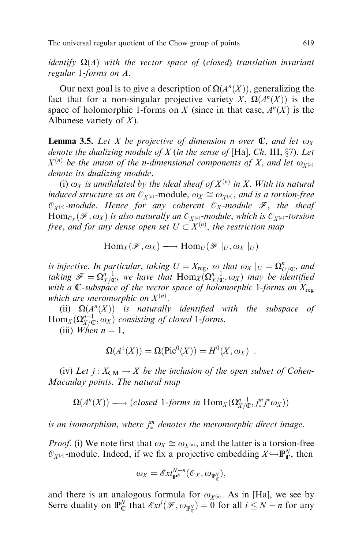identify  $\Omega(A)$  with the vector space of (closed) translation invariant regular 1-forms on A.

Our next goal is to give a description of  $\Omega(A^n(X))$ , generalizing the fact that for a non-singular projective variety X,  $\Omega(A^n(X))$  is the space of holomorphic 1-forms on X (since in that case,  $A<sup>n</sup>(X)$  is the Albanese variety of  $X$ ).

**Lemma 3.5.** Let X be projective of dimension n over  $\mathbb{C}$ , and let  $\omega_X$ denote the dualizing module of  $X$  (in the sense of [Ha], Ch. III,  $\S$ 7). Let  $X^{(n)}$  be the union of the n-dimensional components of X, and let  $\omega_{X^{(n)}}$ denote its dualizing module.

(i)  $\omega_X$  is annihilated by the ideal sheaf of  $X^{(n)}$  in X. With its natural induced structure as an  $\mathcal{O}_{X(n)}$ -module,  $\omega_X \cong \omega_{X(n)}$ , and is a torsion-free  $\mathcal{O}_{X(n)}$ -module. Hence for any coherent  $\mathcal{O}_X$ -module  $\mathcal{F}$ , the sheaf  $\text{Hom}_{\mathcal{O}_X}(\mathcal{F}, \omega_X)$  is also naturally an  $\mathcal{O}_{X^{(n)}}$ -module, which is  $\mathcal{O}_{X^{(n)}}$ -torsion free, and for any dense open set  $U\subset X^{(n)},$  the restriction map

$$
\mathrm{Hom}_X(\mathscr{F},\omega_X)\longrightarrow \mathrm{Hom}_U(\mathscr{F}|_U,\omega_X|_U)
$$

is injective. In particular, taking  $U = X_{\text{reg}}$ , so that  $\omega_X |_{U} = \Omega_{U/\mathbb{C}}^{n}$ , and taking  $\mathscr{F} = \Omega^{n-1}_{X/\mathbb{C}}$ , we have that  $\text{Hom}_X(\Omega^{n-1}_{X/\mathbb{C}}, \omega_X)$  may be identified with a C-subspace of the vector space of holomorphic 1-forms on  $X_{\text{reg}}$ which are meromorphic on  $X^{(n)}$ .

(ii)  $\Omega(A^n(X))$  is naturally identified with the subspace of  $\text{Hom}_X(\Omega^{n-1}_{X/\mathbb{C}},\omega_X)$  consisting of closed 1-forms.

(iii) When  $n = 1$ ,

$$
\Omega(A^1(X)) = \Omega(\text{Pic}^0(X)) = H^0(X, \omega_X) .
$$

(iv) Let  $j: X_{CM} \to X$  be the inclusion of the open subset of Cohen-Macaulay points. The natural map

$$
\Omega(A^{n}(X)) \longrightarrow (closed \ 1-forms \ in \ Hom_X(\Omega^{n-1}_{X/\mathbb{C}}, j^{m-1}_{*}, j^{m}_{*}\alpha_X))
$$

is an isomorphism, where  $j_*^m$  denotes the meromorphic direct image.

*Proof.* (i) We note first that  $\omega_X \cong \omega_{X^{(n)}}$ , and the latter is a torsion-free  $\mathcal{O}_{X^{(n)}}$ -module. Indeed, if we fix a projective embedding  $X \rightarrow \mathbb{P}_{\mathbb{C}}^N$ , then

$$
\omega_X = \mathscr{E}xt_{\mathbb{P}^N}^{N-n}(\mathcal{O}_X, \omega_{\mathbb{P}_\mathbb{C}^N}),
$$

and there is an analogous formula for  $\omega_{X^{(n)}}$ . As in [Ha], we see by Serre duality on  $\mathbb{P}_{\mathbb{C}}^N$  that  $\mathscr{E}xt^i(\mathscr{F},\omega_{\mathbb{P}_{\mathbb{C}}^N})=0$  for all  $i \leq N-n$  for any  $\mathbb{C}$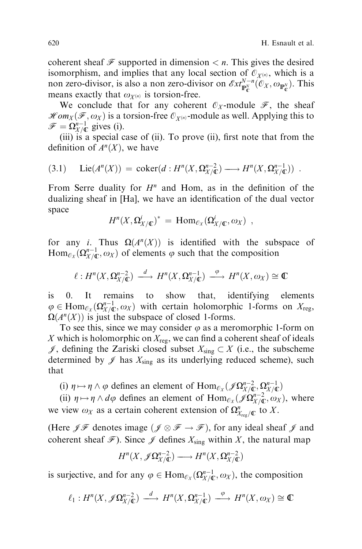coherent sheaf  $\mathcal F$  supported in dimension  $\lt n$ . This gives the desired isomorphism, and implies that any local section of  $\mathcal{O}_{X^{(n)}}$ , which is a non zero-divisor, is also a non zero-divisor on  $\mathscr{E}xt^{N-n}_{\mathbb{P}^N_{\mathbb{C}}}(\mathcal{O}_X, \omega_{\mathbb{P}^N_{\mathbb{C}}})$ . This means exactly that  $\omega_{X^{(n)}}$  is torsion-free.

We conclude that for any coherent  $\mathcal{O}_X$ -module  $\mathcal{F}$ , the sheaf  $\mathscr{Hom}_X(\mathscr{F}, \omega_X)$  is a torsion-free  $\mathscr{O}_{X^{(n)}}$ -module as well. Applying this to  $\mathscr{F} = \Omega_{X/\mathbb{C}}^{n-1}$  gives (i).

(iii) is a special case of (ii). To prove (ii), first note that from the definition of  $A<sup>n</sup>(X)$ , we have

$$
(3.1) \quad \text{Lie}(A^n(X)) = \text{coker}(d: H^n(X, \Omega_{X/\mathbb{C}}^{n-2}) \longrightarrow H^n(X, \Omega_{X/\mathbb{C}}^{n-1})) \ .
$$

From Serre duality for  $H<sup>n</sup>$  and Hom, as in the definition of the dualizing sheaf in [Ha], we have an identification of the dual vector space

$$
H^{n}(X,\Omega^{i}_{X/\mathbb{C}})^* = \text{Hom}_{\mathcal{O}_{X}}(\Omega^{i}_{X/\mathbb{C}},\omega_{X}) ,
$$

for any *i*. Thus  $\Omega(A^n(X))$  is identified with the subspace of  $\text{Hom}_{\mathcal{O}_X}(\Omega_{X/\mathbb{C}}^{n-1}, \omega_X)$  of elements  $\varphi$  such that the composition

$$
\ell: H^n(X, \Omega_{X/\mathbb{C}}^{n-2}) \longrightarrow H^n(X, \Omega_{X/\mathbb{C}}^{n-1}) \longrightarrow H^n(X, \omega_X) \cong \mathbb{C}
$$

is 0. It remains to show that, identifying elements  $\varphi \in \text{Hom}_{\mathcal{O}_X}(\Omega^{n-1}_{X/\mathbb{C}}, \omega_X)$  with certain holomorphic 1-forms on  $X_{\text{reg}}$ ,  $\Omega(A^n(X))$  is just the subspace of closed 1-forms.

To see this, since we may consider  $\varphi$  as a meromorphic 1-form on X which is holomorphic on  $X_{\text{reg}}$ , we can find a coherent sheaf of ideals  $\mathscr{J}$ , defining the Zariski closed subset  $X_{sing} \subset X$  (i.e., the subscheme determined by  $\mathscr J$  has  $X_{sing}$  as its underlying reduced scheme), such that

(i)  $\eta \mapsto \eta \wedge \varphi$  defines an element of  $\text{Hom}_{\mathcal{O}_X}(\mathcal{J}\Omega_{X/\mathbb{C}}^{n-2}, \Omega_{X/\mathbb{C}}^{n-1})$ 

(ii)  $\eta \mapsto \eta \wedge d\varphi$  defines an element of  $\text{Hom}_{\mathcal{O}_X}(\mathscr{J}\Omega_{X/\mathbb{C}}^{n-2}, \omega_X)$ , where we view  $\omega_X$  as a certain coherent extension of  $\Omega^n_{X_{\text{reg}}/\mathbb{C}}$  to X.

(Here  $\mathscr{J} \mathscr{F}$  denotes image  $(\mathscr{J} \otimes \mathscr{F} \to \mathscr{F})$ , for any ideal sheaf  $\mathscr{J}$  and coherent sheaf  $\mathcal{F}$ ). Since  $\mathcal{J}$  defines  $X_{sing}$  within X, the natural map

$$
H^{n}(X, \mathscr{J}\Omega_{X/\mathbb{C}}^{n-2}) \longrightarrow H^{n}(X, \Omega_{X/\mathbb{C}}^{n-2})
$$

is surjective, and for any  $\varphi \in \text{Hom}_{\mathcal{O}_X}(\Omega_{X/\mathbb{C}}^{n-1}, \omega_X)$ , the composition

$$
\ell_1: H^n(X, \mathscr{J}\Omega^{n-2}_{X/\mathbb{C}}) \longrightarrow H^n(X, \Omega^{n-1}_{X/\mathbb{C}}) \longrightarrow H^n(X, \omega_X) \cong \mathbb{C}
$$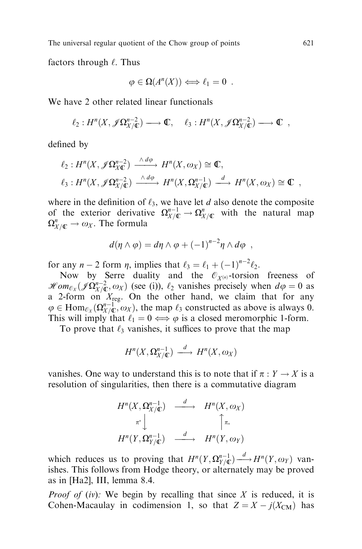factors through  $\ell$ . Thus

$$
\varphi \in \Omega(A^n(X)) \Longleftrightarrow \ell_1 = 0 .
$$

We have 2 other related linear functionals

$$
\ell_2: H^n(X, \mathscr{J} \Omega^{n-2}_{X/\mathbb{C}}) \longrightarrow \mathbb{C}, \quad \ell_3: H^n(X, \mathscr{J} \Omega^{n-2}_{X/\mathbb{C}}) \longrightarrow \mathbb{C} ,
$$

defined by

$$
\ell_2: H^n(X, \mathscr{J}\Omega_{X\mathbb{C}}^{n-2}) \xrightarrow{\wedge d\phi} H^n(X, \omega_X) \cong \mathbb{C},
$$
  

$$
\ell_3: H^n(X, \mathscr{J}\Omega_{X/\mathbb{C}}^{n-2}) \xrightarrow{\wedge d\phi} H^n(X, \Omega_{X/\mathbb{C}}^{n-1}) \xrightarrow{d} H^n(X, \omega_X) \cong \mathbb{C} ,
$$

where in the definition of  $\ell_3$ , we have let d also denote the composite of the exterior derivative  $\Omega_{X/\mathbb{C}}^{n-1} \to \Omega_{X/\mathbb{C}}^n$  with the natural map  $\Omega_{X/ \mathbb{C}}^n \to \omega_X$ . The formula

$$
d(\eta \wedge \varphi) = d\eta \wedge \varphi + (-1)^{n-2} \eta \wedge d\varphi ,
$$

for any  $n - 2$  form  $\eta$ , implies that  $\ell_3 = \ell_1 + (-1)^{n-2} \ell_2$ .

Now by Serre duality and the  $\mathcal{O}_{X^{(n)}}$ -torsion freeness of  $\mathscr{H}om_{\mathcal{O}_X}(\mathscr{J}\Omega_{X/\mathbb{C}}^{n-2},\omega_X)$  (see (i)),  $\ell_2$  vanishes precisely when  $d\varphi = 0$  as a 2-form on  $X_{\text{reg}}$ . On the other hand, we claim that for any  $\varphi \in \text{Hom}_{\mathcal{O}_X}(\Omega_{X/\mathbb{C}}^{n-1}, \omega_X)$ , the map  $\ell_3$  constructed as above is always 0. This will imply that  $\ell_1 = 0 \Longleftrightarrow \varphi$  is a closed meromorphic 1-form.

To prove that  $\ell_3$  vanishes, it suffices to prove that the map

$$
H^{n}(X,\Omega_{X/\mathbb{C}}^{n-1}) \stackrel{d}{\longrightarrow} H^{n}(X,\omega_{X})
$$

vanishes. One way to understand this is to note that if  $\pi : Y \to X$  is a resolution of singularities, then there is a commutative diagram

$$
H^{n}(X,\Omega_{X/\mathbb{C}}^{n-1}) \xrightarrow{d} H^{n}(X,\omega_{X})
$$
  

$$
\pi^{*} \downarrow \qquad \qquad \uparrow \pi_{*}
$$
  

$$
H^{n}(Y,\Omega_{Y/\mathbb{C}}^{n-1}) \xrightarrow{d} H^{n}(Y,\omega_{Y})
$$

which reduces us to proving that  $H^n(Y, \Omega_{Y/\mathbb{C}}^{n-1}) \xrightarrow{d} H^n(Y, \omega_Y)$  van-<br>ishes. This follows from Hodge theory, or alternately may be proved ishes. This follows from Hodge theory, or alternately may be proved as in [Ha2], III, lemma 8.4.

*Proof of (iv):* We begin by recalling that since  $X$  is reduced, it is Cohen-Macaulay in codimension 1, so that  $Z = X - j(X_{CM})$  has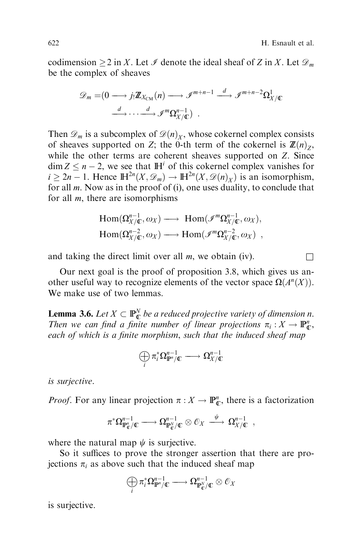codimension  $\geq 2$  in X. Let  $\mathcal I$  denote the ideal sheaf of Z in X. Let  $\mathcal D_m$ be the complex of sheaves

$$
\mathscr{D}_m = (0 \longrightarrow j_! \mathbb{Z}_{X_{\text{CM}}}(n) \longrightarrow \mathscr{I}^{m+n-1} \stackrel{d}{\longrightarrow} \mathscr{I}^{m+n-2} \Omega^1_{X/\mathbb{C}}
$$

$$
\stackrel{d}{\longrightarrow} \cdots \stackrel{d}{\longrightarrow} \mathscr{I}^m \Omega^{n-1}_{X/\mathbb{C}}.
$$

Then  $\mathscr{D}_m$  is a subcomplex of  $\mathscr{D}(n)_X$ , whose cokernel complex consists of sheaves supported on Z; the 0-th term of the cokernel is  $\mathbb{Z}(n)_{7}$ , while the other terms are coherent sheaves supported on Z. Since  $\dim Z \leq n - 2$ , we see that  $\mathbb{H}^{i}$  of this cokernel complex vanishes for  $i \geq 2n - 1$ . Hence  $\mathbb{H}^{2n}(X, \mathcal{D}_m) \to \mathbb{H}^{2n}(X, \mathcal{D}(n)_X)$  is an isomorphism, for all m. Now as in the proof of (i), one uses duality, to conclude that for all  $m$ , there are isomorphisms

$$
\text{Hom}(\Omega_{X/\mathbb{C}}^{n-1}, \omega_X) \longrightarrow \text{Hom}(\mathscr{I}^m \Omega_{X/\mathbb{C}}^{n-1}, \omega_X),
$$
  
\n
$$
\text{Hom}(\Omega_{X/\mathbb{C}}^{n-2}, \omega_X) \longrightarrow \text{Hom}(\mathscr{I}^m \Omega_{X/\mathbb{C}}^{n-2}, \omega_X) ,
$$

and taking the direct limit over all  $m$ , we obtain (iv).

Our next goal is the proof of proposition 3.8, which gives us another useful way to recognize elements of the vector space  $\Omega(A^n(X))$ . We make use of two lemmas.

**Lemma 3.6.** Let  $X \subset \mathbb{P}_{\mathbb{C}}^N$  be a reduced projective variety of dimension n. Then we can find a finite number of linear projections  $\pi_i : X \to \mathbb{P}_{\mathbb{C}}^n$ , each of which is a finite morphism, such that the induced sheaf map

$$
\bigoplus_i \pi_i^* \Omega^{n-1}_{{\bf I\!P}^n/{\bf C}} \longrightarrow \Omega^{n-1}_{X/{\bf C}}
$$

is surjective.

*Proof.* For any linear projection  $\pi : X \to \mathbb{P}_{\mathbb{C}}^n$ , there is a factorization

$$
\pi^*\Omega^{n-1}_{\mathbb{P}^n_{\mathbb{C}}/\mathbb{C}} \longrightarrow \Omega^{n-1}_{\mathbb{P}^N_{\mathbb{C}}/\mathbb{C}} \otimes \mathcal{O}_X \stackrel{\psi}{\longrightarrow} \Omega^{n-1}_{X/\mathbb{C}} ,
$$

where the natural map  $\psi$  is surjective.

So it suffices to prove the stronger assertion that there are projections  $\pi_i$  as above such that the induced sheaf map

$$
\bigoplus_i \pi_i^* \Omega^{n-1}_{\mathbb{P}^n/\mathbb{C}} \longrightarrow \Omega^{n-1}_{\mathbb{P}^N_{\mathbb{C}}/\mathbb{C}} \otimes \mathcal{O}_X
$$

is surjective.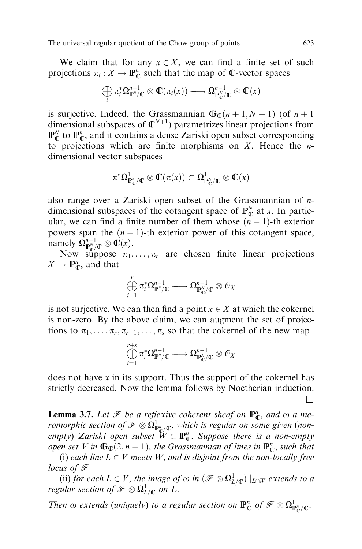We claim that for any  $x \in X$ , we can find a finite set of such projections  $\pi_i : X \to \mathbb{P}_{\mathbb{C}}^n$  such that the map of  $\mathbb{C}$ -vector spaces

$$
\bigoplus_i \pi_i^* \Omega^{n-1}_{\mathbb{P}^n/\mathbb{C}} \otimes \mathbb{C}(\pi_i(x)) \longrightarrow \Omega^{n-1}_{\mathbb{P}^N_{\mathbb{C}}/\mathbb{C}} \otimes \mathbb{C}(x)
$$

is surjective. Indeed, the Grassmannian  $\mathbb{G}_{\mathbb{C}}(n+1, N+1)$  (of  $n+1$ ) dimensional subspaces of  $\mathbb{C}^{N+1}$ ) parametrizes linear projections from  $\mathbb{P}_{\mathbb{C}}^N$  to  $\mathbb{P}_{\mathbb{C}}^n$ , and it contains a dense Zariski open subset corresponding to projections which are finite morphisms on  $X$ . Hence the *n*dimensional vector subspaces

$$
\pi^*\Omega^1_{\mathbb{P}^n_{\mathbb{C}}/\mathbb{C}}\otimes \mathbb{C}(\pi(x))\subset \Omega^1_{\mathbb{P}^N_{\mathbb{C}}/\mathbb{C}}\otimes \mathbb{C}(x)
$$

also range over a Zariski open subset of the Grassmannian of ndimensional subspaces of the cotangent space of  $\mathbb{P}_{\mathbb{C}}^{N}$  at x. In particular, we can find a finite number of them whose  $(n - 1)$ -th exterior powers span the  $(n - 1)$ -th exterior power of this cotangent space, namely  $\Omega_{\mathbb{P}_\mathbb{C}^N/\mathbb{C}}^{n-1} \otimes \mathbb{C}(x)$ .

Now suppose  $\pi_1, \ldots, \pi_r$  are chosen finite linear projections  $X \to \mathbb{P}_{\mathbb{C}}^n$ , and that

$$
\bigoplus_{i=1}^r \pi_i^* \Omega_{\mathbb{P}^n/\mathbb{C}}^{n-1} \longrightarrow \Omega_{\mathbb{P}_\mathbb{C}^N/\mathbb{C}}^{n-1} \otimes \mathcal{O}_X
$$

is not surjective. We can then find a point  $x \in X$  at which the cokernel is non-zero. By the above claim, we can augment the set of projections to  $\pi_1, \ldots, \pi_r, \pi_{r+1}, \ldots, \pi_s$  so that the cokernel of the new map

$$
\bigoplus_{i=1}^{r+s} \pi_i^*\Omega_{\mathbb{P}^n/\mathbb{C}}^{n-1} \longrightarrow \Omega_{\mathbb{P}_\mathbb{C}^N/\mathbb{C}}^{n-1} \otimes \mathscr{O}_X
$$

does not have x in its support. Thus the support of the cokernel has strictly decreased. Now the lemma follows by Noetherian induction.  $\Box$ 

**Lemma 3.7.** Let  $\mathcal{F}$  be a reflexive coherent sheaf on  $\mathbb{P}^n_{\mathbb{C}}$ , and  $\omega$  a meromorphic section of  $\mathscr{F} \otimes \Omega^1_{\mathbb{P}^n_{\mathbb{Q}^{\ell}}\mathcal{K}}$ , which is regular on some given (nonempty) Zariski open subset  $W \subset \mathbb{P}_{\mathbb{C}}^n$ . Suppose there is a non-empty open set V in  $\mathbb{G}_{\mathbb{C}}(2,n+1)$ , the Grassmannian of lines in  $\mathbb{P}_{\mathbb{C}}^n$ , such that

(i) each line  $L \in V$  meets W, and is disjoint from the non-locally free locus of F

(ii) for each  $L \in V$ , the image of  $\omega$  in  $(\mathscr{F} \otimes \Omega^1_{L/\mathbb{C}}) \mid_{L\cap W}$  extends to a regular section of  $\mathscr{F}\otimes\Omega^1_{L/\mathbb{C}}$  on  $L.$ 

Then  $\omega$  extends (uniquely) to a regular section on  $\mathbb{P}^n_{\mathbb{C}}$  of  $\mathscr{F}\otimes\Omega^1_{\mathbb{P}^n_{\mathbb{C}}/\mathbb{C}}$ .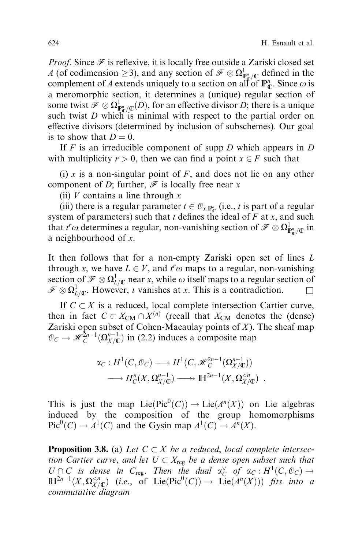*Proof.* Since  $\mathcal F$  is reflexive, it is locally free outside a Zariski closed set A (of codimension  $\geq$  3), and any section of  $\mathcal{F} \otimes \Omega^1_{\mathcal{F}/\mathbb{C}}$  defined in the complement of A extends uniquely to a section on all of  $\mathbb{P}_{\mathbb{C}}^n$ . Since  $\omega$  is a meromorphic section, it determines a (unique) regular section of some twist  $\mathcal{F} \otimes \Omega^1_{\mathbb{P}_p^n/\mathbb{C}}(D)$ , for an effective divisor D; there is a unique such twist  $D$  which is minimal with respect to the partial order on effective divisors (determined by inclusion of subschemes). Our goal is to show that  $D = 0$ .

If  $F$  is an irreducible component of supp  $D$  which appears in  $D$ with multiplicity  $r > 0$ , then we can find a point  $x \in F$  such that

(i) x is a non-singular point of  $F$ , and does not lie on any other component of D; further,  $\mathcal F$  is locally free near x

(ii)  $V$  contains a line through  $x$ 

(iii) there is a regular parameter  $t \in \mathcal{O}_{x,\mathbb{P}_{\mathbb{C}}^n}$  (i.e., t is part of a regular system of parameters) such that t defines the ideal of  $F$  at x, and such that  $t^r\omega$  determines a regular, non-vanishing section of  $\mathscr{F} \otimes \Omega^1_{\mathbb{P}^n_{\mathbb{C}}/\mathbb{C}}$  in a neighbourhood of x.

It then follows that for a non-empty Zariski open set of lines L through x, we have  $L \in V$ , and  $t^r \omega$  maps to a regular, non-vanishing section of  $\mathcal{F} \otimes \Omega^1_{L/\mathbb{C}}$  near x, while  $\omega$  itself maps to a regular section of  $\mathscr{F} \otimes \Omega^1_{L/\mathbb{C}}$ . However, t vanishes at x. This is a contradiction.  $\square$ 

If  $C \subset X$  is a reduced, local complete intersection Cartier curve, then in fact  $C \subset X_{\text{CM}} \cap X^{(n)}$  (recall that  $X_{\text{CM}}$  denotes the (dense) Zariski open subset of Cohen-Macaulay points of  $X$ ). The sheaf map  $\mathcal{O}_C \to \mathcal{H}_C^{2n-1}(\Omega_{X/\mathbb{C}}^{n-1})$  in (2.2) induces a composite map

$$
\alpha_C: H^1(C, \mathcal{O}_C) \longrightarrow H^1(C, \mathcal{H}_C^{2n-1}(\Omega_{X/\mathbb{C}}^{n-1}))
$$
  

$$
\longrightarrow H_C^n(X, \Omega_{X/\mathbb{C}}^{n-1}) \longrightarrow \mathbb{H}^{2n-1}(X, \Omega_{X/\mathbb{C}}^{< n}) .
$$

This is just the map  $Lie(Pic^0(C)) \to Lie(A^n(X))$  on Lie algebras induced by the composition of the group homomorphisms  $Pic^0(C) \to A^1(C)$  and the Gysin map  $A^1(C) \to A^n(X)$ .

**Proposition 3.8.** (a) Let  $C \subset X$  be a reduced, local complete intersection Cartier curve, and let  $U \subset X_{reg}$  be a dense open subset such that  $U \cap C$  is dense in  $C_{reg}$ . Then the dual  $\alpha_C^{\vee}$  of  $\alpha_C : H^1(C, \mathcal{O}_C) \to$  $\mathbb{H}^{2n-1}(X,\Omega_{X/\mathbb{C}}^{ (i.e., of Lie(Pic<sup>0</sup>(C))  $\rightarrow$  Lie( $A^{n}(X)$ )) fits into a$ commutative diagram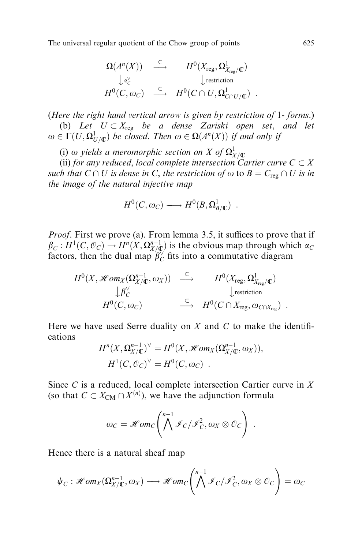$$
\Omega(A^n(X)) \xrightarrow{\subset} H^0(X_{\text{reg}}, \Omega^1_{X_{\text{reg}}/\mathbb{C}}) \downarrow \omega^{\vee}_{\mathcal{C}} \qquad \qquad \downarrow \text{restriction} H^0(C, \omega_C) \xrightarrow{\subset} H^0(C \cap U, \Omega^1_{C \cap U/\mathbb{C}}) .
$$

(Here the right hand vertical arrow is given by restriction of 1- forms.) (b) Let  $U \subset X_{reg}$  be a dense Zariski open set, and let  $\omega \in \Gamma(U,\Omega^1_{U/\mathbb{C}})$  be closed. Then  $\omega \in \Omega(A^n(X))$  if and only if

(i)  $\omega$  yields a meromorphic section on X of  $\Omega^1_{\chi/{\mathbb C}}$ 

(ii) for any reduced, local complete intersection Cartier curve  $C \subset X$ such that  $C \cap U$  is dense in C, the restriction of  $\omega$  to  $B = C_{reg} \cap U$  is in the image of the natural injective map

$$
H^0(C, \omega_C) \longrightarrow H^0(B, \Omega^1_{B/\mathbb{C}}) .
$$

*Proof.* First we prove (a). From lemma 3.5, it suffices to prove that if  $\beta_C : H^1(C, \mathcal{O}_C) \to H^n(X, \Omega_{X/\mathbb{C}}^{n-1})$  is the obvious map through which  $\alpha_C$ factors, then the dual map  $\hat{\beta}_C^{\vee}$  fits into a commutative diagram

$$
H^{0}(X, \mathscr{H}om_{X}(\Omega_{X/\mathbb{C}}^{n-1}, \omega_{X})) \stackrel{\subset}{\longrightarrow} H^{0}(X_{\text{reg}}, \Omega_{X_{\text{reg}}/\mathbb{C}}^{1})
$$
  
\n
$$
\downarrow \beta_{C}^{\vee}
$$
  
\n
$$
H^{0}(C, \omega_{C}) \stackrel{\subset}{\longrightarrow} H^{0}(C \cap X_{\text{reg}}, \omega_{C \cap X_{\text{reg}}}).
$$

Here we have used Serre duality on  $X$  and  $C$  to make the identifications

$$
H^{n}(X,\Omega_{X/\mathbb{C}}^{n-1})^{\vee} = H^{0}(X,\mathscr{H}om_{X}(\Omega_{X/\mathbb{C}}^{n-1},\omega_{X})),
$$
  

$$
H^{1}(C,\mathscr{O}_{C})^{\vee} = H^{0}(C,\omega_{C}) .
$$

Since  $C$  is a reduced, local complete intersection Cartier curve in  $X$ (so that  $C \subset X_{\text{CM}} \cap X^{(n)}$ ), we have the adjunction formula

$$
\omega_C = \mathscr{H}om_C\left(\bigwedge^{n-1} \mathscr{I}_C/\mathscr{I}_C^2, \omega_X \otimes \mathscr{O}_C\right) .
$$

Hence there is a natural sheaf map

$$
\psi_C : \mathscr{H}om_X(\Omega_{X/\mathbb{C}}^{n-1}, \omega_X) \longrightarrow \mathscr{H}om_C\left(\bigwedge^{n-1} \mathscr{I}_C/\mathscr{I}_C^2, \omega_X \otimes \mathscr{O}_C\right) = \omega_C
$$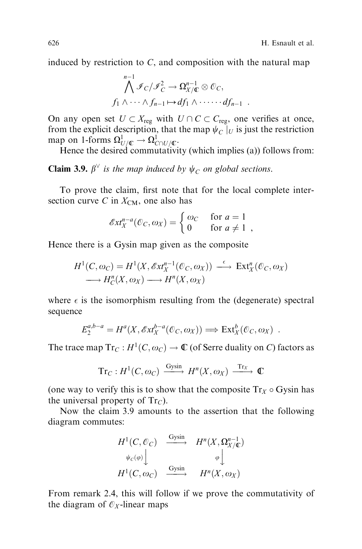induced by restriction to  $C$ , and composition with the natural map

$$
\bigwedge^{n-1} \mathcal{I}_C / \mathcal{I}_C^2 \to \Omega_{X/\mathbb{C}}^{n-1} \otimes \mathcal{O}_C,
$$
  

$$
f_1 \wedge \cdots \wedge f_{n-1} \mapsto df_1 \wedge \cdots \cdots df_{n-1} .
$$

On any open set  $U \subset X_{reg}$  with  $U \cap C \subset C_{reg}$ , one verifies at once, from the explicit description, that the map  $\psi_C$   $|_U$  is just the restriction map on 1-forms  $\Omega^1_{U/{\mathbb C}} \to \Omega^1_{C\cap U/{\mathbb C}}.$ 

Hence the desired commutativity (which implies (a)) follows from:

**Claim 3.9.**  $\beta^{\vee}$  is the map induced by  $\psi_C$  on global sections.

To prove the claim, first note that for the local complete intersection curve C in  $X_{\text{CM}}$ , one also has

$$
\mathscr{E}xt_X^{n-a}(\mathscr{O}_C,\omega_X)=\begin{cases} \omega_C & \text{for } a=1\\ 0 & \text{for } a\neq 1 \end{cases}
$$

Hence there is a Gysin map given as the composite

$$
H^1(C, \omega_C) = H^1(X, \mathscr{E}xt_X^{n-1}(\mathscr{O}_C, \omega_X)) \xrightarrow{\epsilon} \operatorname{Ext}_X^n(\mathscr{O}_C, \omega_X)
$$
  

$$
\longrightarrow H_C^n(X, \omega_X) \longrightarrow H^n(X, \omega_X)
$$

where  $\epsilon$  is the isomorphism resulting from the (degenerate) spectral sequence

$$
E_2^{a,b-a} = H^a(X, \mathscr{E}xt_X^{b-a}(\mathscr{O}_C, \omega_X)) \Longrightarrow \text{Ext}_X^b(\mathscr{O}_C, \omega_X) .
$$

The trace map  $Tr_C : H^1(C, \omega_C) \to \mathbb{C}$  (of Serre duality on C) factors as

$$
\mathrm{Tr}_C: H^1(C, \omega_C) \xrightarrow{\mathrm{Gysin}} H^n(X, \omega_X) \xrightarrow{\mathrm{Tr}_X} \mathbb{C}
$$

(one way to verify this is to show that the composite  $Tr_X \circ G$ ysin has the universal property of  $Tr_C$ ).

Now the claim 3.9 amounts to the assertion that the following diagram commutes:

$$
H^{1}(C, \mathcal{O}_{C}) \xrightarrow{\text{Gysin}} H^{n}(X, \Omega_{X/\mathbb{C}}^{n-1})
$$
  
\n
$$
\psi_{C}(\varphi) \downarrow \qquad \varphi \downarrow
$$
  
\n
$$
H^{1}(C, \omega_{C}) \xrightarrow{\text{Gysin}} H^{n}(X, \omega_{X})
$$

From remark 2.4, this will follow if we prove the commutativity of the diagram of  $\mathcal{O}_X$ -linear maps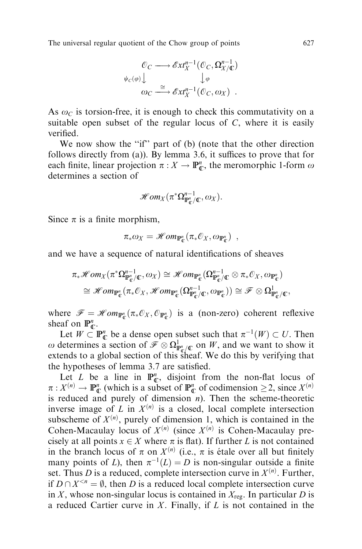$$
\begin{array}{ccc}\n\mathcal{O}_C \longrightarrow \mathscr{E}xt_X^{n-1}(\mathcal{O}_C, \Omega_{X/\mathbb{C}}^{n-1}) \\
\psi_C(\varphi) \downarrow & \downarrow \varphi \\
\omega_C \stackrel{\cong}{\longrightarrow} \mathscr{E}xt_X^{n-1}(\mathcal{O}_C, \omega_X) \ .\n\end{array}
$$

As  $\omega_c$  is torsion-free, it is enough to check this commutativity on a suitable open subset of the regular locus of  $C$ , where it is easily verified

We now show the "if" part of (b) (note that the other direction follows directly from (a)). By lemma 3.6, it suffices to prove that for each finite, linear projection  $\pi : X \to \mathbb{P}_{\mathbb{C}}^n$ , the meromorphic 1-form  $\omega$ determines a section of

$$
\mathscr{Hom}_X(\pi^*\Omega^{n-1}_{\mathbb{P}_\mathbb{C}^n/\mathbb{C}},\omega_X).
$$

Since  $\pi$  is a finite morphism,

$$
\pi_* \omega_X = \mathscr{H}om_{\mathbb{P}_\mathbb{C}^n}(\pi_* \mathcal{O}_X, \omega_{\mathbb{P}_\mathbb{C}^n}) ,
$$

and we have a sequence of natural identifications of sheaves

$$
\pi_*\mathscr{H}om_X(\pi^*\Omega^{n-1}_{\mathbb{P}^n_{\mathbb{C}}/\mathbb{C}},\omega_X)\cong \mathscr{H}om_{\mathbb{P}^n_{\mathbb{C}}}(\Omega^{n-1}_{\mathbb{P}^n_{\mathbb{C}}/\mathbb{C}}\otimes \pi_*\mathbb{O}_X,\omega_{\mathbb{P}^n_{\mathbb{C}}})\\\cong \mathscr{H}om_{\mathbb{P}^n_{\mathbb{C}}}(\pi_*\mathbb{O}_X,\mathscr{H}om_{\mathbb{P}^n_{\mathbb{C}}}(\Omega^{n-1}_{\mathbb{P}^n_{\mathbb{C}}/\mathbb{C}},\omega_{\mathbb{P}^n_{\mathbb{C}}}))\cong \mathscr{F}\otimes \Omega^1_{\mathbb{P}^n_{\mathbb{C}}/\mathbb{C}},
$$

where  $\mathscr{F} = \mathscr{H}om_{\mathbb{P}_{\mathbb{C}}^n}(\pi_* \mathcal{O}_X, \mathcal{O}_{\mathbb{P}_{\mathbb{C}}^n})$  is a (non-zero) coherent reflexive sheaf on  $\mathbb{P}_{\mathbb{C}}^n$ .

Let  $W \subset \mathbb{P}_{\mathbb{C}}^n$  be a dense open subset such that  $\pi^{-1}(W) \subset U$ . Then  $\omega$  determines a section of  $\mathcal{F} \otimes \Omega^1_{\mathbb{F}_{q}^n/\mathbb{C}}$  on W, and we want to show it extends to a global section of this sheaf. We do this by verifying that the hypotheses of lemma 3.7 are satisfied.

Let L be a line in  $\mathbb{P}_{\mathbb{C}}^n$ , disjoint from the non-flat locus of  $\pi: X^{(n)} \to \mathbb{P}_{\mathbb{C}}^n$  (which is a subset of  $\mathbb{P}_{\mathbb{C}}^n$  of codimension  $\geq 2$ , since  $X^{(n)}$ is reduced and purely of dimension  $n$ ). Then the scheme-theoretic inverse image of L in  $X^{(n)}$  is a closed, local complete intersection subscheme of  $X^{(n)}$ , purely of dimension 1, which is contained in the Cohen-Macaulay locus of  $X^{(n)}$  (since  $X^{(n)}$  is Cohen-Macaulay precisely at all points  $x \in X$  where  $\pi$  is flat). If further L is not contained in the branch locus of  $\pi$  on  $X^{(n)}$  (i.e.,  $\pi$  is étale over all but finitely many points of L), then  $\pi^{-1}(L) = D$  is non-singular outside a finite set. Thus *D* is a reduced, complete intersection curve in  $X^{(n)}$ . Further, if  $D \cap X^{\leq n} = \emptyset$ , then D is a reduced local complete intersection curve in X, whose non-singular locus is contained in  $X_{\text{reg}}$ . In particular D is a reduced Cartier curve in  $X$ . Finally, if  $L$  is not contained in the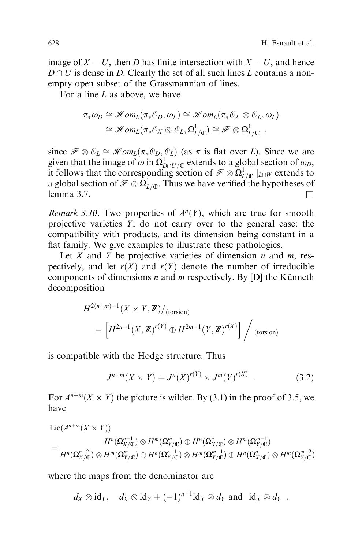image of  $X - U$ , then D has finite intersection with  $X - U$ , and hence  $D \cap U$  is dense in D. Clearly the set of all such lines L contains a nonempty open subset of the Grassmannian of lines.

For a line  $L$  as above, we have

$$
\pi_* \omega_D \cong \mathscr{H}om_L(\pi_* \mathcal{O}_D, \omega_L) \cong \mathscr{H}om_L(\pi_* \mathcal{O}_X \otimes \mathcal{O}_L, \omega_L)
$$
  

$$
\cong \mathscr{H}om_L(\pi_* \mathcal{O}_X \otimes \mathcal{O}_L, \Omega^1_{L/\mathbb{C}}) \cong \mathscr{F} \otimes \Omega^1_{L/\mathbb{C}} ,
$$

since  $\mathcal{F} \otimes \mathcal{O}_L \cong \mathcal{H}om_L(\pi_*\mathcal{O}_D, \mathcal{O}_L)$  (as  $\pi$  is flat over L). Since we are given that the image of  $\omega$  in  $\Omega_{D\cap U/\mathbb{C}}^1$  extends to a global section of  $\omega_D$ , it follows that the corresponding section of  $\mathcal{F} \otimes \Omega^1_{L/\mathbb{C}}|_{L\cap W}$  extends to a global section of  $\mathcal{F} \otimes \Omega^1_{L/\mathbb{C}}$ . Thus we have verified the hypotheses of lemma 3.7.  $\Box$ 

Remark 3.10. Two properties of  $A<sup>n</sup>(Y)$ , which are true for smooth projective varieties  $Y$ , do not carry over to the general case: the compatibility with products, and its dimension being constant in a flat family. We give examples to illustrate these pathologies.

Let X and Y be projective varieties of dimension  $n$  and  $m$ , respectively, and let  $r(X)$  and  $r(Y)$  denote the number of irreducible components of dimensions  $n$  and  $m$  respectively. By [D] the Künneth decomposition

$$
H^{2(n+m)-1}(X \times Y, \mathbb{Z})/_{(\text{torsion})}
$$
  
= 
$$
\left[H^{2n-1}(X, \mathbb{Z})^{r(Y)} \oplus H^{2m-1}(Y, \mathbb{Z})^{r(X)}\right] /_{(\text{torsion})}
$$

is compatible with the Hodge structure. Thus

$$
J^{n+m}(X \times Y) = J^n(X)^{r(Y)} \times J^m(Y)^{r(X)} . \tag{3.2}
$$

For  $A^{n+m}(X \times Y)$  the picture is wilder. By (3.1) in the proof of 3.5, we have

$$
\begin{aligned} &\text{Lie}(A^{n+m}(X\times Y))\\&=\frac{H^n(\Omega_{X/\mathbb{C}}^{n-1})\otimes H^m(\Omega_{Y/\mathbb{C}}^m)\oplus H^n(\Omega_{X/\mathbb{C}}^n)\otimes H^m(\Omega_{Y/\mathbb{C}}^{m-1})}{H^n(\Omega_{X/\mathbb{C}}^{n-2})\otimes H^m(\Omega_{Y/\mathbb{C}}^m)\oplus H^n(\Omega_{X/\mathbb{C}}^{n-1})\oplus H^n(\Omega_{X/\mathbb{C}}^{n-1})\oplus H^n(\Omega_{X/\mathbb{C}}^n)\otimes H^m(\Omega_{Y/\mathbb{C}}^{m-2})}\end{aligned}
$$

where the maps from the denominator are

$$
d_X \otimes id_Y
$$
,  $d_X \otimes id_Y + (-1)^{n-1} id_X \otimes d_Y$  and  $id_X \otimes d_Y$ .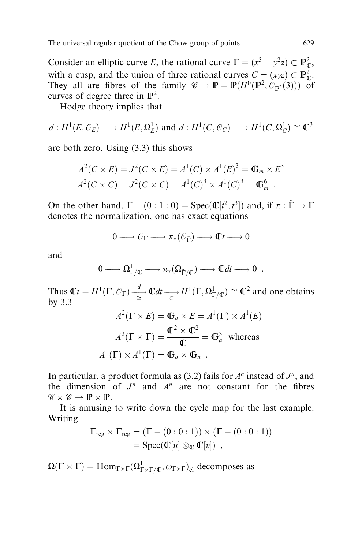Consider an elliptic curve E, the rational curve  $\Gamma = (x^3 - y^2 z) \subset \mathbb{P}_{\mathbb{C}}^2$ , with a cusp, and the union of three rational curves  $C = (xyz) \subset \mathbb{P}_{\mathbb{C}}^2$ . They all are fibres of the family  $\mathscr{C} \to \mathbb{P} = \mathbb{P}(H^0(\mathbb{P}^2, \mathcal{O}_{\mathbb{P}^2}(3)))$  of curves of degree three in  $\mathbb{P}^2$ .

Hodge theory implies that

$$
d: H^1(E, \mathcal{O}_E) \longrightarrow H^1(E, \Omega_E^1)
$$
 and  $d: H^1(C, \mathcal{O}_C) \longrightarrow H^1(C, \Omega_C^1) \cong \mathbb{C}^3$ 

are both zero. Using (3.3) this shows

$$
A^{2}(C \times E) = J^{2}(C \times E) = A^{1}(C) \times A^{1}(E)^{3} = \mathbb{G}_{m} \times E^{3}
$$
  

$$
A^{2}(C \times C) = J^{2}(C \times C) = A^{1}(C)^{3} \times A^{1}(C)^{3} = \mathbb{G}_{m}^{6}.
$$

On the other hand,  $\Gamma - (0 : 1 : 0) = \text{Spec}(\mathbb{C}[t^2, t^3])$  and, if  $\pi : \tilde{\Gamma} \to \Gamma$ denotes the normalization, one has exact equations

$$
0 \longrightarrow \mathcal{O}_{\Gamma} \longrightarrow \pi_*(\mathcal{O}_{\tilde{\Gamma}}) \longrightarrow \mathbb{C}^t \longrightarrow 0
$$

and

$$
0 \longrightarrow \Omega^1_{\Gamma/{\mathbb C}} \longrightarrow \pi_*(\Omega^1_{\tilde{\Gamma}/{\mathbb C}}) \longrightarrow {\mathbb C}dt \longrightarrow 0 .
$$

Thus  $\mathbb{C}t = H^1(\Gamma, \mathcal{O}_\Gamma) \xrightarrow[\cong]{d} \mathbb{C}dt \longrightarrow H^1(\Gamma, \Omega^1_{\Gamma/\mathbb{C}}) \cong \mathbb{C}^2$  and one obtains by 3.3

$$
A^{2}(\Gamma \times E) = \mathbb{G}_{a} \times E = A^{1}(\Gamma) \times A^{1}(E)
$$

$$
A^{2}(\Gamma \times \Gamma) = \frac{\mathbb{C}^{2} \times \mathbb{C}^{2}}{\mathbb{C}} = \mathbb{G}_{a}^{3} \text{ whereas}
$$

$$
A^{1}(\Gamma) \times A^{1}(\Gamma) = \mathbb{G}_{a} \times \mathbb{G}_{a}.
$$

In particular, a product formula as (3.2) fails for  $A<sup>n</sup>$  instead of  $J<sup>n</sup>$ , and the dimension of  $J^n$  and  $A^n$  are not constant for the fibres  $\mathscr{C} \times \mathscr{C} \to \mathbb{P} \times \mathbb{P}.$ 

It is amusing to write down the cycle map for the last example. Writing

$$
\begin{aligned} \Gamma_{reg} \times \Gamma_{reg} &= (\Gamma - (0:0:1)) \times (\Gamma - (0:0:1)) \\ &= \text{Spec}(\mathbb{C}[u] \otimes_{\mathbb{C}} \mathbb{C}[v]) \enspace, \end{aligned}
$$

 $\Omega(\Gamma \times \Gamma) = \text{Hom}_{\Gamma \times \Gamma}(\Omega^1_{\Gamma \times \Gamma / \mathbb{C}}, \omega_{\Gamma \times \Gamma})_{\text{cl}}$  decomposes as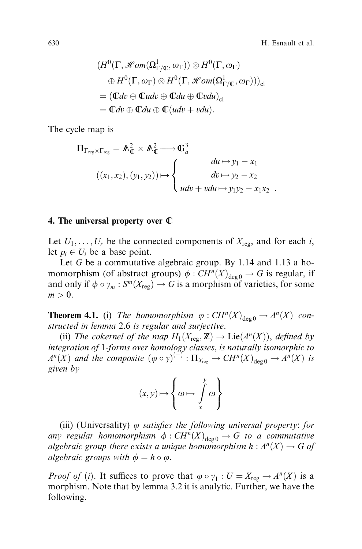630 H. Esnault et al.

$$
(H^{0}(\Gamma, \mathscr{H}om(\Omega^{1}_{\Gamma/\mathbb{C}}, \omega_{\Gamma})) \otimes H^{0}(\Gamma, \omega_{\Gamma})
$$
  
\n
$$
\oplus H^{0}(\Gamma, \omega_{\Gamma}) \otimes H^{0}(\Gamma, \mathscr{H}om(\Omega^{1}_{\Gamma/\mathbb{C}}, \omega_{\Gamma})))_{\text{cl}}
$$
  
\n
$$
= (\mathbb{C}dv \oplus \mathbb{C}udv \oplus \mathbb{C}du \oplus \mathbb{C}vdu)_{\text{cl}}
$$
  
\n
$$
= \mathbb{C}dv \oplus \mathbb{C}du \oplus \mathbb{C}(udv + vdu).
$$

The cycle map is

$$
\Pi_{\Gamma_{reg} \times \Gamma_{reg}} = \mathbb{A}_{\mathbb{C}}^2 \times \mathbb{A}_{\mathbb{C}}^2 \longrightarrow \mathbb{G}_a^3
$$
\n
$$
((x_1, x_2), (y_1, y_2)) \mapsto \begin{cases}\ndu \mapsto y_1 - x_1 \\
du \mapsto y_2 - x_2 \\
udv + vdu \mapsto y_1 y_2 - x_1 x_2\n\end{cases}
$$

#### 4. The universal property over C

Let  $U_1, \ldots, U_r$  be the connected components of  $X_{\text{reg}}$ , and for each i, let  $p_i \in U_i$  be a base point.

Let G be a commutative algebraic group. By 1.14 and 1.13 a homomorphism (of abstract groups)  $\phi : CH^n(X)_{\text{deg }0} \to G$  is regular, if and only if  $\phi \circ \gamma_m : S^m(X_{\text{reg}}) \to G$  is a morphism of varieties, for some  $m > 0$ .

**Theorem 4.1.** (i) The homomorphism  $\varphi : CH^n(X)_{\text{deg }0} \to A^n(X)$  constructed in lemma 2.6 is regular and surjective.

(ii) The cokernel of the map  $H_1(X_{\text{reg}},\mathbb{Z}) \to \text{Lie}(A^n(X)),$  defined by integration of 1-forms over homology classes, is naturally isomorphic to  $A^n(X)$  and the composite  $(\varphi \circ \gamma)^{(-)} : \Pi_{X_{reg}} \to CH^n(X)_{deg\ 0} \to A^n(X)$  is given by

$$
(x,y)\! \mapsto\! \left\{\omega \!\mapsto\! \int\limits_x^y \omega\right\}
$$

(iii) (Universality)  $\varphi$  satisfies the following universal property: for any regular homomorphism  $\phi : CH^n(X)_{\text{deg }0} \to G$  to a commutative algebraic group there exists a unique homomorphism  $h : A<sup>n</sup>(X) \rightarrow G$  of algebraic groups with  $\phi = h \circ \varphi$ .

*Proof of (i).* It suffices to prove that  $\varphi \circ \gamma_1 : U = X_{reg} \to A^n(X)$  is a morphism. Note that by lemma 3.2 it is analytic. Further, we have the following.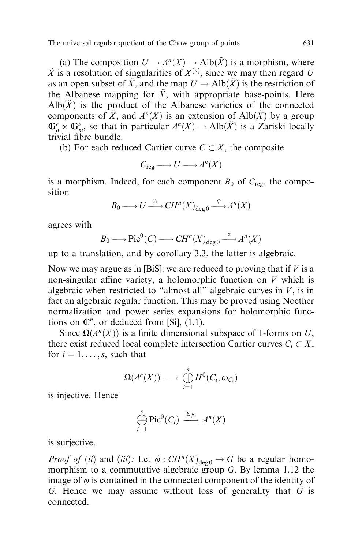(a) The composition  $U \to A^n(X) \to Alb(\tilde{X})$  is a morphism, where  $\tilde{X}$  is a resolution of singularities of  $X^{(n)}$ , since we may then regard U as an open subset of  $\tilde{X}$ , and the map  $U \rightarrow Alb(\tilde{X})$  is the restriction of the Albanese mapping for  $\tilde{X}$ , with appropriate base-points. Here  $\text{Alb}(\tilde{X})$  is the product of the Albanese varieties of the connected components of  $\tilde{X}$ , and  $A^{n}(X)$  is an extension of Alb $(\tilde{X})$  by a group  $\mathbb{G}_a^r \times \mathbb{G}_m^s$ , so that in particular  $A^n(X) \to Alb(\tilde{X})$  is a Zariski locally trivial fibre bundle.

(b) For each reduced Cartier curve  $C \subset X$ , the composite

$$
C_{\text{reg}} \longrightarrow U \longrightarrow A^{n}(X)
$$

is a morphism. Indeed, for each component  $B_0$  of  $C_{\text{reg}}$ , the composition

$$
B_0 \longrightarrow U \xrightarrow{\gamma_1} CH^n(X)_{\deg 0} \xrightarrow{\varphi} A^n(X)
$$

agrees with

$$
B_0 \longrightarrow Pic^0(C) \longrightarrow CH^n(X)_{\deg 0} \xrightarrow{\varphi} A^n(X)
$$

up to a translation, and by corollary 3.3, the latter is algebraic.

Now we may argue as in [BiS]: we are reduced to proving that if  $V$  is a non-singular affine variety, a holomorphic function on  $V$  which is algebraic when restricted to "almost all" algebraic curves in  $V$ , is in fact an algebraic regular function. This may be proved using Noether normalization and power series expansions for holomorphic functions on  $\mathbb{C}^n$ , or deduced from [Si], (1.1).

Since  $\Omega(A^n(X))$  is a finite dimensional subspace of 1-forms on U, there exist reduced local complete intersection Cartier curves  $C_i \subset X$ , for  $i = 1, \ldots, s$ , such that

$$
\Omega(A^n(X)) \longrightarrow \bigoplus_{i=1}^s H^0(C_i, \omega_{C_i})
$$

is injective. Hence

$$
\bigoplus_{i=1}^s \text{Pic}^0(C_i) \xrightarrow{\Sigma \psi_i} A^n(X)
$$

is surjective.

*Proof of (ii)* and *(iii)*: Let  $\phi : CH^n(X)_{\text{deg }0} \to G$  be a regular homomorphism to a commutative algebraic group G. By lemma 1.12 the image of  $\phi$  is contained in the connected component of the identity of G. Hence we may assume without loss of generality that G is connected.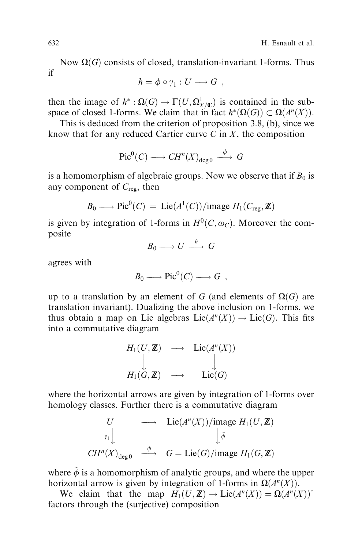Now  $\Omega(G)$  consists of closed, translation-invariant 1-forms. Thus if

$$
h = \phi \circ \gamma_1 : U \longrightarrow G ,
$$

then the image of  $h^*: \Omega(G) \to \Gamma(U, \Omega^1_{X/\mathbb{C}})$  is contained in the subspace of closed 1-forms. We claim that in fact  $h^*(\Omega(G)) \subset \Omega(A^n(X)).$ 

This is deduced from the criterion of proposition 3.8, (b), since we know that for any reduced Cartier curve  $C$  in  $X$ , the composition

$$
\text{Pic}^0(C) \longrightarrow CH^n(X)_{\text{deg }0} \stackrel{\phi}{\longrightarrow} G
$$

is a homomorphism of algebraic groups. Now we observe that if  $B_0$  is any component of  $C_{\text{reg}}$ , then

$$
B_0 \longrightarrow Pic^0(C) = Lie(A^1(C))/\text{image } H_1(C_{\text{reg}}, \mathbb{Z})
$$

is given by integration of 1-forms in  $H^0(C, \omega_C)$ . Moreover the composite

$$
B_0 \longrightarrow U \stackrel{h}{\longrightarrow} G
$$

agrees with

$$
B_0 \longrightarrow Pic^0(C) \longrightarrow G ,
$$

up to a translation by an element of G (and elements of  $\Omega(G)$  are translation invariant). Dualizing the above inclusion on 1-forms, we thus obtain a map on Lie algebras  $Lie(A^n(X)) \to Lie(G)$ . This fits into a commutative diagram

$$
H_1(U, \mathbf{Z}) \longrightarrow \mathrm{Lie}(A^n(X))
$$
  
\n
$$
\downarrow \qquad \qquad \downarrow
$$
  
\n
$$
H_1(G, \mathbf{Z}) \longrightarrow \mathrm{Lie}(G)
$$

where the horizontal arrows are given by integration of 1-forms over homology classes. Further there is a commutative diagram

$$
U \longrightarrow \text{Lie}(A^n(X))/\text{image } H_1(U, \mathbb{Z})
$$
  
\n
$$
\downarrow_{\tilde{\phi}} \downarrow_{\tilde{\phi}}
$$
  
\n
$$
CH^n(X)_{\text{deg }0} \longrightarrow G = \text{Lie}(G)/\text{image } H_1(G, \mathbb{Z})
$$

where  $\ddot{\phi}$  is a homomorphism of analytic groups, and where the upper horizontal arrow is given by integration of 1-forms in  $\Omega(A^n(X))$ .

We claim that the map  $H_1(U, \mathbb{Z}) \to \text{Lie}(A^n(X)) = \Omega(A^n(X))^*$ factors through the (surjective) composition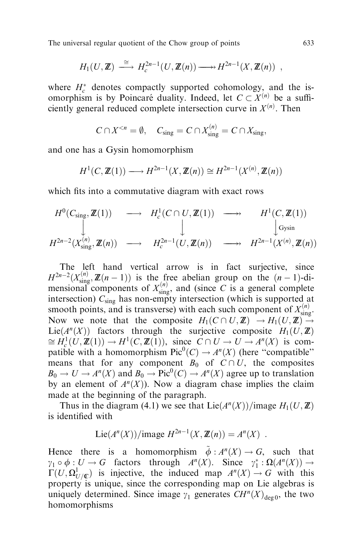$$
H_1(U,\mathbb{Z}) \stackrel{\cong}{\longrightarrow} H_c^{2n-1}(U,\mathbb{Z}(n)) \longrightarrow H^{2n-1}(X,\mathbb{Z}(n)) ,
$$

where  $H_c^*$  denotes compactly supported cohomology, and the isomorphism is by Poincaré duality. Indeed, let  $C \subset X^{(n)}$  be a sufficiently general reduced complete intersection curve in  $X^{(n)}$ . Then

$$
C \cap X^{< n} = \emptyset, \quad C_{\text{sing}} = C \cap X_{\text{sing}}^{(n)} = C \cap X_{\text{sing}},
$$

and one has a Gysin homomorphism

$$
H^1(C, \mathbb{Z}(1)) \longrightarrow H^{2n-1}(X, \mathbb{Z}(n)) \cong H^{2n-1}(X^{(n)}, \mathbb{Z}(n))
$$

which fits into a commutative diagram with exact rows

$$
H^{0}(C_{\text{sing}}, \mathbb{Z}(1)) \longrightarrow H^{1}_{c}(C \cap U, \mathbb{Z}(1)) \longrightarrow H^{1}(C, \mathbb{Z}(1))
$$
  
\n
$$
\downarrow \qquad \qquad H^{2n-2}(X_{\text{sing}}^{(n)}, \mathbb{Z}(n)) \longrightarrow H^{2n-1}_{c}(U, \mathbb{Z}(n)) \longrightarrow H^{2n-1}(X^{(n)}, \mathbb{Z}(n))
$$

The left hand vertical arrow is in fact surjective, since  $H^{2n-2}(X_{\text{sing}}^{(n)},\mathbb{Z}(n-1))$  is the free abelian group on the  $(n-1)$ -dimensional components of  $X_{sing}^{(n)}$ , and (since C is a general complete intersection)  $C_{\text{sing}}$  has non-empty intersection (which is supported at smooth points, and is transverse) with each such component of  $X_{\text{sing}}^{(n)}$ . Now we note that the composite  $H_1(C \cap U, \mathbb{Z}) \to H_1(U, \mathbb{Z}) \to$ Lie( $A^n(X)$ ) factors through the surjective composite  $H_1(U, \mathbb{Z})$  $\cong H_c^1(U, \mathbb{Z}(1)) \to H^1(C, \mathbb{Z}(1)),$  since  $C \cap U \to U \to A^n(X)$  is compatible with a homomorphism  $Pic^0(C) \to A^n(X)$  (here "compatible" means that for any component  $B_0$  of  $C \cap U$ , the composites  $B_0 \to U \to A^n(X)$  and  $B_0 \to Pic^0(C) \to A^n(X)$  agree up to translation by an element of  $A<sup>n</sup>(X)$ ). Now a diagram chase implies the claim made at the beginning of the paragraph.

Thus in the diagram (4.1) we see that  $Lie(A<sup>n</sup>(X))/$ image  $H<sub>1</sub>(U, \mathbb{Z})$ is identified with

$$
Lie(A^n(X))/\text{image } H^{2n-1}(X, \mathbb{Z}(n)) = A^n(X) .
$$

Hence there is a homomorphism  $\tilde{\phi}: A^{n}(X) \rightarrow G$ , such that  $\gamma_1 \circ \phi : U \to G$  factors through  $A^n(X)$ . Since  $\gamma_1^* : \Omega(A^n(X)) \to$  $\Gamma(U, \Omega^1_{U/\mathbb{C}})$  is injective, the induced map  $A^n(X) \to G$  with this property is unique, since the corresponding map on Lie algebras is uniquely determined. Since image  $\gamma_1$  generates  $CH^n(X)_{\text{deg }0}$ , the two homomorphisms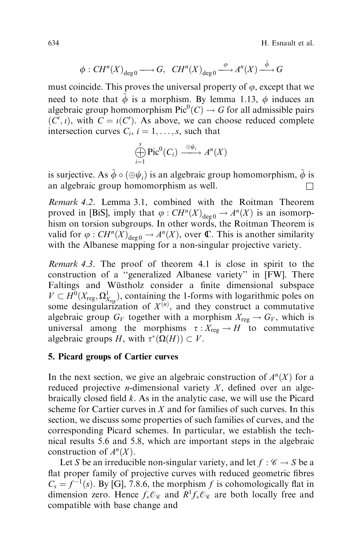634 H. Esnault et al.

$$
\phi: CH^n(X)_{\deg 0} \longrightarrow G, \quad CH^n(X)_{\deg 0} \xrightarrow{\varphi} A^n(X) \xrightarrow{\tilde{\phi}} G
$$

must coincide. This proves the universal property of  $\varphi$ , except that we need to note that  $\tilde{\phi}$  is a morphism. By lemma 1.13,  $\phi$  induces an algebraic group homomorphism  $Pic^0(C) \to G$  for all admissible pairs  $(C', i)$ , with  $C = i(C')$ . As above, we can choose reduced complete intersection curves  $C_i$ ,  $i = 1, \ldots, s$ , such that

$$
\bigoplus_{i=1}^s \text{Pic}^0(C_i) \xrightarrow{\oplus \psi_i} A^n(X)
$$

is surjective. As  $\phi \circ (\oplus \psi_i)$  is an algebraic group homomorphism,  $\dot{\phi}$  is an algebraic group homomorphism as well.  $\Box$ 

Remark 4.2. Lemma 3.1, combined with the Roitman Theorem proved in [BiS], imply that  $\varphi : CH^n(X)_{\text{deg}\,0} \to A^n(X)$  is an isomorphism on torsion subgroups. In other words, the Roitman Theorem is valid for  $\varphi$  :  $CH^n(X)_{\text{deg }0} \to A^n(X)$ , over **C**. This is another similarity with the Albanese mapping for a non-singular projective variety.

Remark 4.3. The proof of theorem 4.1 is close in spirit to the construction of a "generalized Albanese variety" in [FW]. There Faltings and Wüstholz consider a finite dimensional subspace  $V \subset H^0(X_{\text{reg}}, \Omega^1_{X_{\text{reg}}})$ , containing the 1-forms with logarithmic poles on some desingularization of  $X^{(n)}$ , and they construct a commutative algebraic group  $G_V$  together with a morphism  $X_{reg} \to G_V$ , which is universal among the morphisms  $\tau : X_{reg} \to H$  to commutative algebraic groups H, with  $\tau^*(\Omega(H)) \subset V$ .

## 5. Picard groups of Cartier curves

In the next section, we give an algebraic construction of  $A<sup>n</sup>(X)$  for a reduced projective *n*-dimensional variety  $X$ , defined over an algebraically closed field  $k$ . As in the analytic case, we will use the Picard scheme for Cartier curves in  $X$  and for families of such curves. In this section, we discuss some properties of such families of curves, and the corresponding Picard schemes. In particular, we establish the technical results 5.6 and 5.8, which are important steps in the algebraic construction of  $A<sup>n</sup>(X)$ .

Let S be an irreducible non-singular variety, and let  $f : \mathscr{C} \to S$  be a flat proper family of projective curves with reduced geometric fibres  $C_s = f^{-1}(s)$ . By [G], 7.8.6, the morphism f is cohomologically flat in dimension zero. Hence  $f_*\mathcal{O}_\mathscr{C}$  and  $R^1f_*\mathcal{O}_\mathscr{C}$  are both locally free and compatible with base change and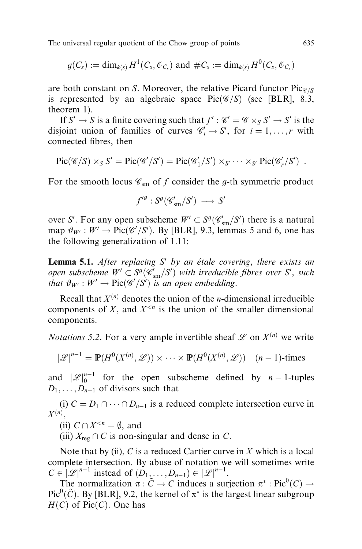$$
g(C_s) := \dim_{k(s)} H^1(C_s, \mathcal{O}_{C_s})
$$
 and  $\#C_s := \dim_{k(s)} H^0(C_s, \mathcal{O}_{C_s})$ 

are both constant on S. Moreover, the relative Picard functor  $Pic_{\mathscr{C}/S}$ is represented by an algebraic space  $Pic(\mathcal{C}/S)$  (see [BLR], 8.3, theorem 1).

If  $S' \to S$  is a finite covering such that  $f' : \mathcal{C}' = \mathcal{C} \times_S S' \to S'$  is the disjoint union of families of curves  $\mathcal{C}'_i \to S'$ , for  $i = 1, \dots, r$  with connected fibres, then

$$
\operatorname{Pic}(\mathscr{C}/S) \times_S S' = \operatorname{Pic}(\mathscr{C}'/S') = \operatorname{Pic}(\mathscr{C}'_1/S') \times_{S'} \cdots \times_{S'} \operatorname{Pic}(\mathscr{C}'_r/S') .
$$

For the smooth locus  $\mathcal{C}_{sm}$  of f consider the g-th symmetric product

$$
f'^g: S^g({\mathscr{C}}'_{\mathrm{sm}}/S') \longrightarrow S'
$$

over S'. For any open subscheme  $W' \subset S^g(\mathscr{C}_{sm}/S')$  there is a natural map  $\vartheta_{W'} : W' \to Pic(\mathscr{C}'/S')$ . By [BLR], 9.3, lemmas 5 and 6, one has the following generalization of 1.11:

**Lemma 5.1.** After replacing  $S'$  by an étale covering, there exists an open subscheme  $W' \subset S^g(\mathscr{C}_{\text{sm}}/S')$  with irreducible fibres over  $S'$ , such that  $\vartheta_{W} : W' \to Pic(\mathscr{C}'/S')$  is an open embedding.

Recall that  $X^{(n)}$  denotes the union of the *n*-dimensional irreducible components of X, and  $X^{\leq n}$  is the union of the smaller dimensional components.

*Notations* 5.2. For a very ample invertible sheaf  $\mathscr L$  on  $X^{(n)}$  we write

$$
|\mathcal{L}|^{n-1} = \mathbb{P}(H^0(X^{(n)}, \mathcal{L})) \times \cdots \times \mathbb{P}(H^0(X^{(n)}, \mathcal{L})) \quad (n-1)\text{-times}
$$

and  $|\mathscr{L}|_0^{n-1}$  for the open subscheme defined by  $n-1$ -tuples  $D_1, \ldots, D_{n-1}$  of divisors such that

(i)  $C = D_1 \cap \cdots \cap D_{n-1}$  is a reduced complete intersection curve in  $X^{(n)}$ ,

(ii)  $C \cap X^{< n} = \emptyset$ , and

(iii)  $X_{\text{reg}} \cap C$  is non-singular and dense in C.

Note that by (ii),  $C$  is a reduced Cartier curve in  $X$  which is a local complete intersection. By abuse of notation we will sometimes write  $C \in |\mathscr{L}|^{n-1}$  instead of  $(D_1, \ldots, D_{n-1}) \in |\mathscr{L}|^{n-1}$ .

The normalization  $\pi : \tilde{C} \to C$  induces a surjection  $\pi^* : Pic^0(C) \to C$ Pic<sup>0</sup>( $\tilde{C}$ ). By [BLR], 9.2, the kernel of  $\pi^*$  is the largest linear subgroup  $H(C)$  of Pic $(C)$ . One has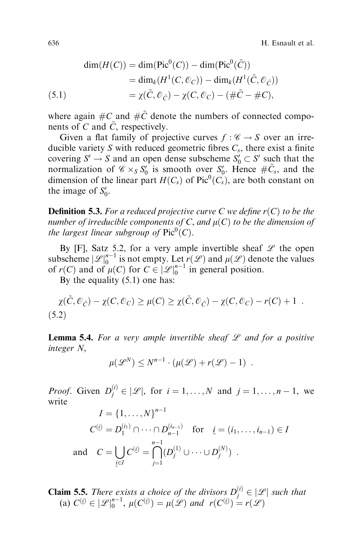636 H. Esnault et al.

(5.1)  
\n
$$
\dim(H(C)) = \dim(\text{Pic}^{0}(C)) - \dim(\text{Pic}^{0}(\tilde{C}))
$$
\n
$$
= \dim_{k}(H^{1}(C, \mathcal{O}_{C})) - \dim_{k}(H^{1}(\tilde{C}, \mathcal{O}_{\tilde{C}}))
$$
\n
$$
= \chi(\tilde{C}, \mathcal{O}_{\tilde{C}}) - \chi(C, \mathcal{O}_{C}) - (\#\tilde{C} - \#C),
$$

where again  $\#C$  and  $\#C$  denote the numbers of connected components of  $C$  and  $\tilde{C}$ , respectively.

Given a flat family of projective curves  $f : \mathscr{C} \to S$  over an irreducible variety S with reduced geometric fibres  $C_s$ , there exist a finite covering  $S' \to S$  and an open dense subscheme  $S'_0 \subset S'$  such that the normalization of  $\mathcal{C} \times_S S_0'$  is smooth over  $S_0'$ . Hence  $\#\tilde{C}_s$ , and the dimension of the linear part  $H(C_s)$  of  $Pic^0(C_s)$ , are both constant on the image of  $S'_0$ .

**Definition 5.3.** For a reduced projective curve C we define  $r(C)$  to be the number of irreducible components of C, and  $\mu(C)$  to be the dimension of the largest linear subgroup of  $Pic^0(C)$ .

By [F], Satz 5.2, for a very ample invertible sheaf  $\mathscr L$  the open subscheme  $|\mathscr{L}|_0^{n-1}$  is not empty. Let  $r(\mathscr{L})$  and  $\mu(\mathscr{L})$  denote the values of  $r(C)$  and of  $\mu(C)$  for  $C \in |\mathcal{L}|_0^{n-1}$  in general position.

By the equality (5.1) one has:

$$
\chi(\tilde{C}, \mathcal{O}_{\tilde{C}}) - \chi(C, \mathcal{O}_C) \ge \mu(C) \ge \chi(\tilde{C}, \mathcal{O}_{\tilde{C}}) - \chi(C, \mathcal{O}_C) - r(C) + 1
$$
\n(5.2)

**Lemma 5.4.** For a very ample invertible sheaf  $\mathscr L$  and for a positive integer N,

$$
\mu(\mathscr{L}^N) \leq N^{n-1} \cdot (\mu(\mathscr{L}) + r(\mathscr{L}) - 1) \enspace .
$$

*Proof.* Given  $D_j^{(i)} \in |\mathcal{L}|$ , for  $i = 1, ..., N$  and  $j = 1, ..., n - 1$ , we write

$$
I = \{1, ..., N\}^{n-1}
$$
  
\n
$$
C^{(i)} = D_1^{(i_1)} \cap \dots \cap D_{n-1}^{(i_{n-1})} \text{ for } \underline{i} = (i_1, ..., i_{n-1}) \in I
$$
  
\nand 
$$
C = \bigcup_{\underline{i} \in I} C^{(\underline{i})} = \bigcap_{j=1}^{n-1} (D_j^{(1)} \cup \dots \cup D_j^{(N)}) .
$$

**Claim 5.5.** There exists a choice of the divisors  $D_j^{(i)} \in |\mathcal{L}|$  such that (a)  $C^{(i)} \in |\mathscr{L}|_0^{n-1}$ ,  $\mu(C^{(i)}) = \mu(\mathscr{L})$  and  $r(C^{(i)}) = r(\mathscr{L})$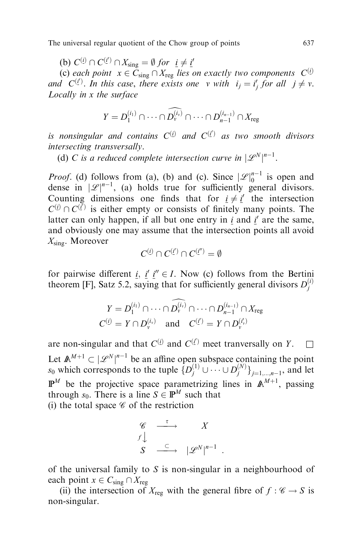(b)  $C^{(i)} \cap C^{(i')} \cap X_{\text{sing}} = \emptyset$  for  $i \neq i'$ 

(c) each point  $x \in C_{sing} \cap X_{reg}$  lies on exactly two components  $C^{(i)}$ and  $C^{(i)}$ . In this case, there exists one v with  $i_j = i_j'$  for all  $j \neq v$ . Locally in x the surface

$$
Y=D_1^{(i_1)}\cap\cdots\cap\widehat{D_v^{(i_v)}}\cap\cdots\cap D_{n-1}^{(i_{n-1})}\cap X_{\text{reg}}
$$

is nonsingular and contains  $C^{(i)}$  and  $C^{(i')}$  as two smooth divisors intersecting transversally.

(d) C is a reduced complete intersection curve in  $|\mathscr{L}^N|^{n-1}$ .

*Proof.* (d) follows from (a), (b) and (c). Since  $|\mathscr{L}|_0^{n-1}$  is open and dense in  $|\mathscr{L}|^{n-1}$ , (a) holds true for sufficiently general divisors. Counting dimensions one finds that for  $i \neq i'$  the intersection  $C^{(i)} \cap C^{(\bar{i}')}$  is either empty or consists of finitely many points. The latter can only happen, if all but one entry in  $i$  and  $i'$  are the same, and obviously one may assume that the intersection points all avoid  $X_{\rm sing}$ . Moreover

$$
C^{(i)}\cap C^{(i')}\cap C^{(i'')}=\emptyset
$$

for pairwise different i, i' i''  $\in$  I. Now (c) follows from the Bertini theorem [F], Satz 5.2, saying that for sufficiently general divisors  $D_j^{(i)}$ 

$$
Y = D_1^{(i_1)} \cap \cdots \cap \widehat{D_v^{(i_v)}} \cap \cdots \cap D_{n-1}^{(i_{n-1})} \cap X_{reg}
$$
  

$$
C^{(\underline{i})} = Y \cap D_v^{(i_v)} \quad \text{and} \quad C^{(\underline{i}')} = Y \cap D_v^{(\overline{i_v})}
$$

are non-singular and that  $C^{(i)}$  and  $C^{(i')}$  meet tranversally on Y.  $\Box$ Let  $\mathbb{A}^{M+1} \subset |\mathcal{L}^N|^{n-1}$  be an affine open subspace containing the point  $s_0$  which corresponds to the tuple  $\{D_j^{(1)} \cup \cdots \cup D_j^{(N)}\}_{j=1,\dots,n-1}$ , and let  $\mathbb{P}^M$  be the projective space parametrizing lines in  $\mathbb{A}^{M+1}$ , passing through  $s_0$ . There is a line  $S \in \mathbb{P}^M$  such that (i) the total space  $\mathscr C$  of the restriction

$$
\begin{array}{ccc}\n\mathscr{C} & \xrightarrow{\tau} & X \\
f \downarrow & & \\
S & \xrightarrow{\subset} & |\mathscr{L}^N|^{n-1} .\n\end{array}
$$

of the universal family to S is non-singular in a neighbourhood of each point  $x \in C_{sing} \cap X_{reg}$ 

(ii) the intersection of  $X_{reg}$  with the general fibre of  $f : \mathscr{C} \to S$  is non-singular.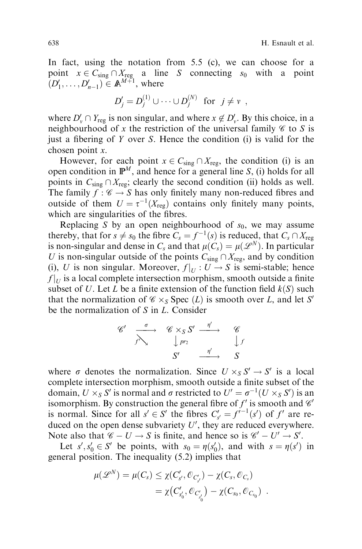In fact, using the notation from 5.5 (c), we can choose for a point  $x \in C_{sing} \cap X_{reg}$  a line S connecting  $s_0$  with a point  $(D'_1, \ldots, D'_{n-1}) \in \mathbb{A}^{M+1}$ , where

$$
D'_{j} = D_j^{(1)} \cup \cdots \cup D_j^{(N)} \text{ for } j \neq v ,
$$

where  $D_v' \cap Y_{reg}$  is non singular, and where  $x \notin D_v'$ . By this choice, in a neighbourhood of x the restriction of the universal family  $\mathscr C$  to S is just a fibering of  $Y$  over  $S$ . Hence the condition (i) is valid for the chosen point x.

However, for each point  $x \in C_{sing} \cap X_{reg}$ , the condition (i) is an open condition in  $\mathbb{P}^M$ , and hence for a general line S, (i) holds for all points in  $C_{sing} \cap X_{reg}$ ; clearly the second condition (ii) holds as well. The family  $f : \mathscr{C} \to S$  has only finitely many non-reduced fibres and outside of them  $U = \tau^{-1}(X_{\text{reg}})$  contains only finitely many points, which are singularities of the fibres.

Replacing S by an open neighbourhood of  $s_0$ , we may assume thereby, that for  $s \neq s_0$  the fibre  $C_s = f^{-1}(s)$  is reduced, that  $C_s \cap X_{reg}$ is non-singular and dense in  $C_s$  and that  $\mu(C_s) = \mu(\mathscr{L}^N)$ . In particular U is non-singular outside of the points  $C_{sing} \cap X_{reg}$ , and by condition (i), U is non singular. Moreover,  $f|_U : U \to S$  is semi-stable; hence  $f|_U$  is a local complete intersection morphism, smooth outside a finite subset of U. Let L be a finite extension of the function field  $k(S)$  such that the normalization of  $\mathcal{C} \times_S \text{Spec } (L)$  is smooth over L, and let S' be the normalization of S in L. Consider

$$
\begin{array}{ccccc}\n\mathscr{C}' & \xrightarrow{\sigma} & \mathscr{C} \times_S S' & \xrightarrow{\eta'} & \mathscr{C} \\
\downarrow{\scriptstyle{p_{r_2}}} & & \downarrow{\scriptstyle{p_{r_2}}} & & \downarrow{\scriptstyle{f}} \\
S' & \xrightarrow{\eta'} & S\n\end{array}
$$

where  $\sigma$  denotes the normalization. Since  $U \times_S S' \to S'$  is a local complete intersection morphism, smooth outside a finite subset of the domain,  $U \times_S S'$  is normal and  $\sigma$  restricted to  $U' = \sigma^{-1}(U \times_S S')$  is an isomorphism. By construction the general fibre of  $f'$  is smooth and  $\mathcal{C}'$ is normal. Since for all  $s' \in S'$  the fibres  $C'_{s'} = f^{i-1}(s')$  of  $f'$  are reduced on the open dense subvariety  $U'$ , they are reduced everywhere. Note also that  $\mathscr{C} - U \rightarrow S$  is finite, and hence so is  $\mathscr{C}' - U' \rightarrow S'$ .

Let  $s', s'_0 \in S'$  be points, with  $s_0 = \eta(s'_0)$ , and with  $s = \eta(s')$  in general position. The inequality (5.2) implies that

$$
\mu(\mathscr{L}^N) = \mu(C_s) \leq \chi(C'_{s'}, \mathscr{O}_{C'_{s'}}) - \chi(C_s, \mathscr{O}_{C_s})
$$
  
=  $\chi(C'_{s'_0}, \mathscr{O}_{C'_{s'_0}}) - \chi(C_{s_0}, \mathscr{O}_{C_{s_0}})$ .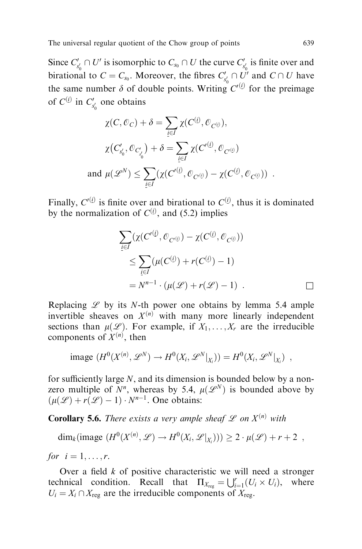Since  $C'_{s'_0} \cap U'$  is isomorphic to  $C_{s_0} \cap U$  the curve  $C'_{s'_0}$  is finite over and birational to  $C = C_{s_0}$ . Moreover, the fibres  $C'_{s'_0} \cap U'$  and  $C \cap U$  have the same number  $\delta$  of double points. Writing  $C^{(i)}$  for the preimage of  $C^{(i)}$  in  $C'_{s'_0}$  one obtains

$$
\chi(C, \mathcal{O}_C) + \delta = \sum_{i \in I} \chi(C^{(i)}, \mathcal{O}_{C^{(i)}}),
$$
  

$$
\chi(C'_{s'_0}, \mathcal{O}_{C'_{s'_0}}) + \delta = \sum_{i \in I} \chi(C'^{(i)}, \mathcal{O}_{C'^{(i)}})
$$
  
and 
$$
\mu(\mathscr{L}^N) \le \sum_{i \in I} (\chi(C'^{(i)}, \mathcal{O}_{C'^{(i)}}) - \chi(C^{(i)}, \mathcal{O}_{C^{(i)}})) .
$$

Finally,  $C^{(i)}$  is finite over and birational to  $C^{(i)}$ , thus it is dominated by the normalization of  $C^{(i)}$ , and (5.2) implies

$$
\sum_{i \in I} (\chi(C'^{(i)}, \mathcal{O}_{C'^{(j)}}) - \chi(C^{(i)}, \mathcal{O}_{C^{(j)}}))
$$
  
\n
$$
\leq \sum_{i \in I} (\mu(C^{(i)}) + r(C^{(i)}) - 1)
$$
  
\n
$$
= N^{n-1} \cdot (\mu(\mathcal{L}) + r(\mathcal{L}) - 1) . \square
$$

Replacing  $L$  by its N-th power one obtains by lemma 5.4 ample invertible sheaves on  $X^{(n)}$  with many more linearly independent sections than  $\mu(\mathcal{L})$ . For example, if  $X_1, \ldots, X_r$  are the irreducible components of  $X^{(n)}$ , then

image 
$$
(H^0(X^{(n)}, \mathscr{L}^N) \to H^0(X_i, \mathscr{L}^N|_{X_i})) = H^0(X_i, \mathscr{L}^N|_{X_i})
$$
,

for sufficiently large  $N$ , and its dimension is bounded below by a nonzero multiple of  $N^n$ , whereas by 5.4,  $\mu(\mathcal{L}^N)$  is bounded above by  $\left(\mu(\mathcal{L}) + r(\mathcal{L}) - 1\right) \cdot N^{n-1}$ . One obtains:

**Corollary 5.6.** There exists a very ample sheaf  $\mathscr L$  on  $X^{(n)}$  with

dim<sub>k</sub>(image  $(H^0(X^{(n)}, \mathscr{L}) \to H^0(X_i, \mathscr{L}|_{X_i}))) \geq 2 \cdot \mu(\mathscr{L}) + r + 2$ ,

for  $i = 1, \ldots, r$ .

Over a field  $k$  of positive characteristic we will need a stronger technical condition. Recall that  $\Pi_{X_{\text{reg}}} = \bigcup_{i=1}^{r} (U_i \times U_i)$ , where  $U_i = X_i \cap X_{\text{reg}}$  are the irreducible components of  $X_{\text{reg}}$ .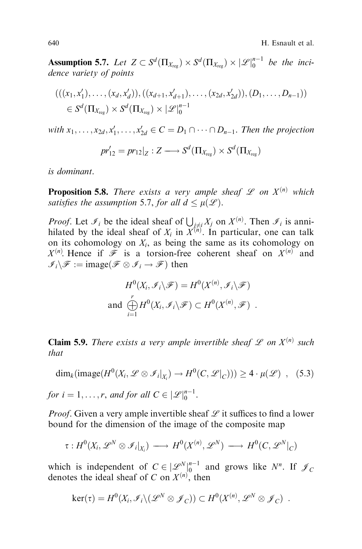**Assumption 5.7.** Let  $Z \subset S^d(\Pi_{X_{\text{reg}}}) \times S^d(\Pi_{X_{\text{reg}}}) \times |\mathscr{L}|_0^{n-1}$  be the incidence variety of points

$$
(((x_1, x'_1), \ldots, (x_d, x'_d)), ((x_{d+1}, x'_{d+1}), \ldots, (x_{2d}, x'_{2d})), (D_1, \ldots, D_{n-1}))
$$
  

$$
\in S^d(\Pi_{X_{reg}}) \times S^d(\Pi_{X_{reg}}) \times |\mathcal{L}|_0^{n-1}
$$

with  $x_1, \ldots, x_{2d}, x'_1, \ldots, x'_{2d} \in C = D_1 \cap \cdots \cap D_{n-1}$ . Then the projection

$$
pr'_{12}=pr_{12}|_Z:Z\longrightarrow S^d(\Pi_{X_{\text{reg}}})\times S^d(\Pi_{X_{\text{reg}}})
$$

is dominant.

**Proposition 5.8.** There exists a very ample sheaf  $\mathscr L$  on  $X^{(n)}$  which satisfies the assumption 5.7, for all  $d \leq \mu(\mathcal{L})$ .

*Proof.* Let  $\mathcal{I}_i$  be the ideal sheaf of  $\bigcup_{j \neq i} X_j$  on  $X^{(n)}$ . Then  $\mathcal{I}_i$  is annihilated by the ideal sheaf of  $X_i$  in  $X^{(n)}$ . In particular, one can talk on its cohomology on  $X_i$ , as being the same as its cohomology on  $X^{(n)}$ . Hence if  $\mathcal F$  is a torsion-free coherent sheaf on  $X^{(n)}$  and  $\mathscr{I}_i \backslash \mathscr{F} := \text{image}(\mathscr{F} \otimes \mathscr{I}_i \to \mathscr{F})$  then

$$
H^{0}(X_{i}, \mathcal{I}_{i} \backslash \mathcal{F}) = H^{0}(X^{(n)}, \mathcal{I}_{i} \backslash \mathcal{F})
$$
  
and 
$$
\bigoplus_{i=1}^{r} H^{0}(X_{i}, \mathcal{I}_{i} \backslash \mathcal{F}) \subset H^{0}(X^{(n)}, \mathcal{F}) .
$$

**Claim 5.9.** There exists a very ample invertible sheaf  $\mathscr L$  on  $X^{(n)}$  such that

$$
\dim_k(\text{image}(H^0(X_i, \mathscr{L} \otimes \mathscr{I}_i|_{X_i}) \to H^0(C, \mathscr{L}|_C))) \ge 4 \cdot \mu(\mathscr{L}) \quad , \quad (5.3)
$$

for  $i = 1, \ldots, r$ , and for all  $C \in |\mathscr{L}|_0^{n-1}$ .

*Proof.* Given a very ample invertible sheaf  $\mathcal{L}$  it suffices to find a lower bound for the dimension of the image of the composite map

$$
\tau: H^0(X_i, \mathscr{L}^N \otimes \mathscr{I}_i|_{X_i}) \longrightarrow H^0(X^{(n)}, \mathscr{L}^N) \longrightarrow H^0(C, \mathscr{L}^N|_C)
$$

which is independent of  $C \in |\mathcal{L}_{\geq 0}^N|_0^{n-1}$  and grows like  $N^n$ . If  $\mathcal{J}_C$ denotes the ideal sheaf of C on  $X^{(n)}$ , then

$$
\ker(\tau) = H^0(X_i, \mathcal{I}_i \setminus (\mathcal{L}^N \otimes \mathcal{J}_C)) \subset H^0(X^{(n)}, \mathcal{L}^N \otimes \mathcal{J}_C) .
$$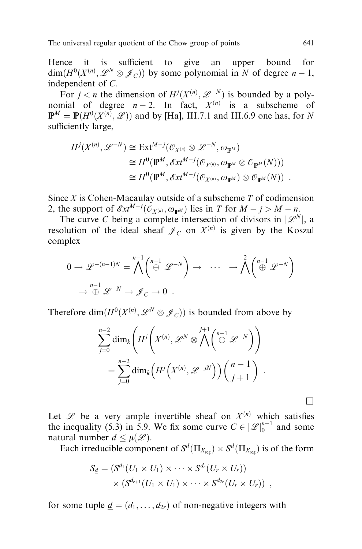Hence it is sufficient to give an upper bound for  $\dim(H^0(X^{(n)}, \mathcal{L}^N \otimes \mathcal{J}_C))$  by some polynomial in N of degree  $n-1$ , independent of C.

For  $j < n$  the dimension of  $H^j(X^{(n)}, \mathcal{L}^{-N})$  is bounded by a polynomial of degree  $n-2$ . In fact,  $X^{(n)}$  is a subscheme of  $\mathbb{P}^M = \mathbb{P}(H^0(X^{(n)}, \mathscr{L}))$  and by [Ha], III.7.1 and III.6.9 one has, for N sufficiently large,

$$
H^{j}(X^{(n)}, \mathcal{L}^{-N}) \cong \text{Ext}^{M-j}(\mathcal{O}_{X^{(n)}} \otimes \mathcal{L}^{-N}, \omega_{\mathbb{P}^{M}})
$$
  
\n
$$
\cong H^{0}(\mathbb{P}^{M}, \mathcal{E}xt^{M-j}(\mathcal{O}_{X^{(n)}}, \omega_{\mathbb{P}^{M}} \otimes \mathcal{O}_{\mathbb{P}^{M}}(N)))
$$
  
\n
$$
\cong H^{0}(\mathbb{P}^{M}, \mathcal{E}xt^{M-j}(\mathcal{O}_{X^{(n)}}, \omega_{\mathbb{P}^{M}}) \otimes \mathcal{O}_{\mathbb{P}^{M}}(N)).
$$

Since  $X$  is Cohen-Macaulay outside of a subscheme  $T$  of codimension 2, the support of  $\mathscr{E}xt^{M-j}(\mathcal{O}_{X^{(n)}}, \omega_{\mathbb{P}^M})$  lies in T for  $M - j > M - n$ .

The curve C being a complete intersection of divisors in  $|\mathscr{L}^N|$ , a resolution of the ideal sheaf  $\mathcal{J}_C$  on  $X^{(n)}$  is given by the Koszul complex

$$
0 \to \mathscr{L}^{-(n-1)N} = \bigwedge^{n-1} \left( \bigoplus^{n-1} \mathscr{L}^{-N} \right) \to \cdots \to \bigwedge^{2} \left( \bigoplus^{n-1} \mathscr{L}^{-N} \right)
$$

$$
\to \bigoplus^{n-1} \mathscr{L}^{-N} \to \mathscr{J}_C \to 0 .
$$

Therefore  $\dim(H^0(X^{(n)}, \mathscr{L}^N \otimes \mathscr{J}_C))$  is bounded from above by

$$
\sum_{j=0}^{n-2} \dim_k \left( H^j \left( X^{(n)}, \mathcal{L}^N \otimes \bigwedge^{j+1} \left( \bigoplus_{j=0}^{n-1} \mathcal{L}^{-N} \right) \right) \right)
$$
  
= 
$$
\sum_{j=0}^{n-2} \dim_k \left( H^j \left( X^{(n)}, \mathcal{L}^{-jN} \right) \right) \left( \bigwedge^{n-1} {j+1} \right) .
$$

Let  $\mathscr L$  be a very ample invertible sheaf on  $X^{(n)}$  which satisfies the inequality (5.3) in 5.9. We fix some curve  $C \in |\mathcal{L}|_0^{n-1}$  and some natural number  $d \leq \mu(\mathcal{L})$ .

Each irreducible component of  $S^d(\Pi_{X_{\text{reg}}}) \times S^d(\Pi_{X_{\text{reg}}})$  is of the form

$$
S_{\underline{d}} = (S^{d_1}(U_1 \times U_1) \times \cdots \times S^{d_r}(U_r \times U_r))
$$
  
 
$$
\times (S^{d_{r+1}}(U_1 \times U_1) \times \cdots \times S^{d_{2r}}(U_r \times U_r)) ,
$$

for some tuple  $\underline{d} = (d_1, \ldots, d_{2r})$  of non-negative integers with

 $\Box$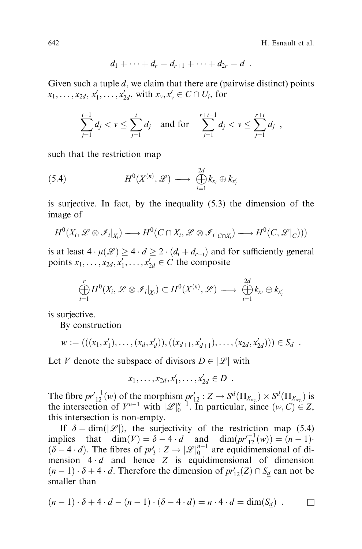642 H. Esnault et al.

$$
d_1+\cdots+d_r=d_{r+1}+\cdots+d_{2r}=d.
$$

Given such a tuple  $d$ , we claim that there are (pairwise distinct) points  $x_1, \ldots, x_{2d}, x'_1, \ldots, x'_{2d}$ , with  $x_v, x'_v \in C \cap U_i$ , for

$$
\sum_{j=1}^{i-1} d_j < v \le \sum_{j=1}^i d_j \text{ and for } \sum_{j=1}^{r+i-1} d_j < v \le \sum_{j=1}^{r+i} d_j ,
$$

such that the restriction map

(5.4) 
$$
H^{0}(X^{(n)}, \mathscr{L}) \longrightarrow \bigoplus_{i=1}^{2d} k_{x_{i}} \oplus k_{x'_{i}}
$$

is surjective. In fact, by the inequality (5.3) the dimension of the image of

$$
H^0(X_i, \mathscr{L} \otimes \mathscr{I}_i|_{X_i}) \longrightarrow H^0(C \cap X_i, \mathscr{L} \otimes \mathscr{I}_i|_{C \cap X_i}) \longrightarrow H^0(C, \mathscr{L}|_C)))
$$

is at least  $4 \cdot \mu(\mathcal{L}) \ge 4 \cdot d \ge 2 \cdot (d_i + d_{r+i})$  and for sufficiently general points  $x_1, \ldots, x_{2d}, x'_1, \ldots, x'_{2d} \in C$  the composite

$$
\bigoplus_{i=1}^r H^0(X_i, \mathscr{L} \otimes \mathscr{I}_i|_{X_i}) \subset H^0(X^{(n)}, \mathscr{L}) \longrightarrow \bigoplus_{i=1}^{2d} k_{x_i} \oplus k_{x'_i}
$$

is surjective.

By construction

$$
w := (((x_1, x'_1), \ldots, (x_d, x'_d)), ((x_{d+1}, x'_{d+1}), \ldots, (x_{2d}, x'_{2d}))) \in S_{\underline{d}}.
$$

Let V denote the subspace of divisors  $D \in |\mathcal{L}|$  with

 $x_1, \ldots, x_{2d}, x'_1, \ldots, x'_{2d} \in D$ .

The fibre  $pr'_{12}^{-1}(w)$  of the morphism  $pr'_{12}: Z \to S^d(\Pi_{X_{reg}}) \times S^d(\Pi_{X_{reg}})$  is the intersection of  $V^{n-1}$  with  $|\mathscr{L}|_0^{n-1}$ . In particular, since  $(w, C) \in Z$ , this intersection is non-empty.

If  $\delta = \dim(|\mathcal{L}|)$ , the surjectivity of the restriction map (5.4) implies that dim $(V) = \delta - 4 \cdot d$  and dim $(pr'_{12}^{-1}(w)) = (n-1) \cdot$  $(\delta - 4 \cdot d)$ . The fibres of  $pr'_3 : Z \to |\mathcal{L}|_0^{n-1}$  are equidimensional of dimension  $4 \cdot d$  and hence  $Z$  is equidimensional of dimension  $(n-1) \cdot \delta + 4 \cdot d$ . Therefore the dimension of  $pr'_{12}(Z) \cap S_d$  can not be smaller than

$$
(n-1)\cdot \delta + 4\cdot d - (n-1)\cdot (\delta - 4\cdot d) = n\cdot 4\cdot d = \dim(S_{\underline{d}}) \quad \Box
$$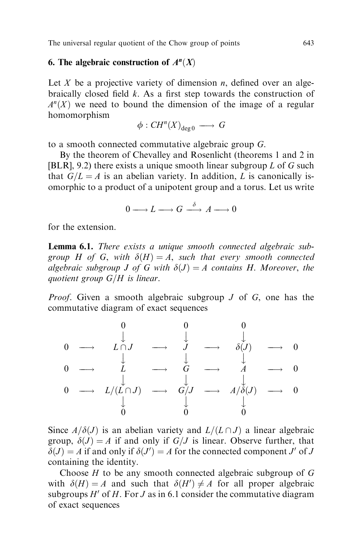# 6. The algebraic construction of  $A<sup>n</sup>(X)$

Let X be a projective variety of dimension *n*, defined over an algebraically closed field  $k$ . As a first step towards the construction of  $A<sup>n</sup>(X)$  we need to bound the dimension of the image of a regular homomorphism

$$
\phi:CH^n(X)_{\deg 0}\longrightarrow G
$$

to a smooth connected commutative algebraic group G.

By the theorem of Chevalley and Rosenlicht (theorems 1 and 2 in [BLR], 9.2) there exists a unique smooth linear subgroup  $L$  of  $G$  such that  $G/L = A$  is an abelian variety. In addition, L is canonically isomorphic to a product of a unipotent group and a torus. Let us write

$$
0 \longrightarrow L \longrightarrow G \stackrel{\delta}{\longrightarrow} A \longrightarrow 0
$$

for the extension.

Lemma 6.1. There exists a unique smooth connected algebraic subgroup H of G, with  $\delta(H) = A$ , such that every smooth connected algebraic subgroup J of G with  $\delta(J) = A$  contains H. Moreover, the quotient group  $G/H$  is linear.

*Proof.* Given a smooth algebraic subgroup  $J$  of  $G$ , one has the commutative diagram of exact sequences

0 00 ? <sup>y</sup> ? <sup>y</sup> ? y <sup>0</sup> ! <sup>L</sup> \ <sup>J</sup> ! <sup>J</sup> ! <sup>d</sup><sup>J</sup> ! <sup>0</sup> ? <sup>y</sup> ? <sup>y</sup> ? y <sup>0</sup> ! <sup>L</sup> ! <sup>G</sup> ! <sup>A</sup> ! <sup>0</sup> ? <sup>y</sup> ? <sup>y</sup> ? y <sup>0</sup> ! <sup>L</sup><sup>=</sup><sup>L</sup> \ <sup>J</sup> ! <sup>G</sup>=<sup>J</sup> ! <sup>A</sup>=<sup>d</sup><sup>J</sup> ! <sup>0</sup> ? <sup>y</sup> ? <sup>y</sup> ? y 0 00

Since  $A/\delta(J)$  is an abelian variety and  $L/(L \cap J)$  a linear algebraic group,  $\delta(J) = A$  if and only if  $G/J$  is linear. Observe further, that  $\delta(J) = A$  if and only if  $\delta(J') = A$  for the connected component J' of J containing the identity.

Choose  $H$  to be any smooth connected algebraic subgroup of  $G$ with  $\delta(H) = A$  and such that  $\delta(H') \neq A$  for all proper algebraic subgroups  $H'$  of H. For J as in 6.1 consider the commutative diagram of exact sequences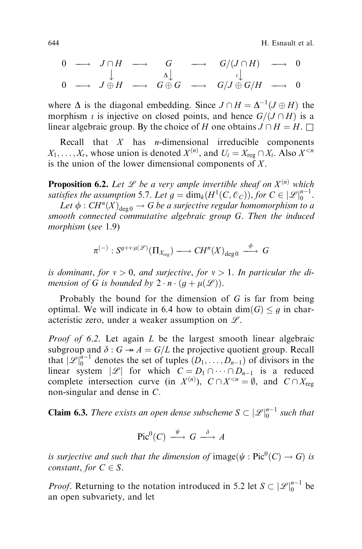644 H. Esnault et al.

$$
\begin{array}{ccccccc}\n0 & \longrightarrow & J \cap H & \longrightarrow & G & \longrightarrow & G/(J \cap H) & \longrightarrow & 0 \\
& & \downarrow & & & \downarrow & & & \downarrow \\
0 & \longrightarrow & J \oplus H & \longrightarrow & G \oplus G & \longrightarrow & G/J \oplus G/H & \longrightarrow & 0\n\end{array}
$$

where  $\Delta$  is the diagonal embedding. Since  $J \cap H = \Delta^{-1}(J \oplus H)$  the morphism *i* is injective on closed points, and hence  $G/(J \cap H)$  is a linear algebraic group. By the choice of H one obtains  $J \cap H = H$ .

Recall that  $X$  has *n*-dimensional irreducible components  $X_1, \ldots, X_r$ , whose union is denoted  $X^{(n)}$ , and  $U_i = X_{\text{reg}} \cap X_i$ . Also  $X^{< n}$ is the union of the lower dimensional components of  $X$ .

**Proposition 6.2.** Let  $\mathcal{L}$  be a very ample invertible sheaf on  $X^{(n)}$  which satisfies the assumption 5.7. Let  $g = \dim_k(H^1(C, \mathcal{O}_C)),$  for  $C \in |\mathscr{L}|_0^{n-1}$ .

Let  $\phi : CH^n(X)_{\text{deco}} \to G$  be a surjective regular homomorphism to a smooth connected commutative algebraic group G. Then the induced morphism (see 1.9)

$$
\pi^{(-)}: S^{g+v \cdot \mu(\mathscr{L})}(\Pi_{X_{reg}}) \longrightarrow CH^n(X)_{deg\,0} \stackrel{\phi}{\longrightarrow} G
$$

is dominant, for  $v > 0$ , and surjective, for  $v > 1$ . In particular the dimension of G is bounded by  $2 \cdot n \cdot (q + \mu(\mathcal{L}))$ .

Probably the bound for the dimension of G is far from being optimal. We will indicate in 6.4 how to obtain dim(G)  $\leq q$  in characteristic zero, under a weaker assumption on  $\mathscr{L}$ .

*Proof of 6.2.* Let again  $L$  be the largest smooth linear algebraic subgroup and  $\delta : G \rightarrow A = G/L$  the projective quotient group. Recall that  $\mathcal{L}\big|_0^{n-1}$  denotes the set of tuples  $(D_1,\ldots,D_{n-1})$  of divisors in the linear system  $|\mathscr{L}|$  for which  $C = D_1 \cap \cdots \cap D_{n-1}$  is a reduced complete intersection curve (in  $X^{(n)}$ ),  $C \cap X^{< n} = \emptyset$ , and  $C \cap X_{reg}$ non-singular and dense in C.

**Claim 6.3.** There exists an open dense subscheme  $S \subset |\mathscr{L}|_0^{n-1}$  such that

$$
Pic^0(C) \xrightarrow{\psi} G \xrightarrow{\delta} A
$$

is surjective and such that the dimension of image( $\psi : \mathrm{Pic}^0(C) \to G$ ) is constant, for  $C \in S$ .

*Proof.* Returning to the notation introduced in 5.2 let  $S \subset |\mathcal{L}|_0^{n-1}$  be an open subvariety, and let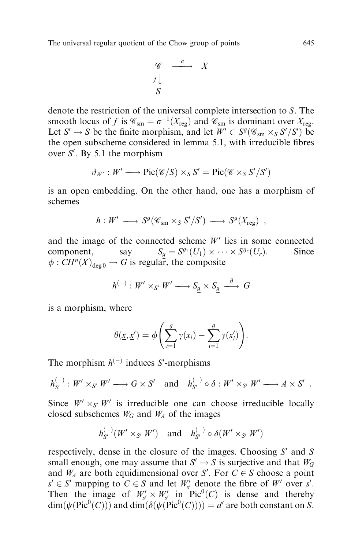$$
\begin{array}{ccc}\n\mathscr{C} & \xrightarrow{\sigma} & X \\
f \downarrow & & \\
S & & & \n\end{array}
$$

denote the restriction of the universal complete intersection to S. The smooth locus of f is  $\mathcal{C}_{sm} = \sigma^{-1}(X_{reg})$  and  $\mathcal{C}_{sm}$  is dominant over  $X_{reg}$ . Let  $S' \to S$  be the finite morphism, and let  $W' \subset S^g(\mathscr{C}_{sm} \times_S S'/S')$  be the open subscheme considered in lemma 5.1, with irreducible fibres over  $S'$ . By 5.1 the morphism

$$
\vartheta_{W'}: W' \longrightarrow Pic(\mathscr{C}/S) \times_S S' = Pic(\mathscr{C} \times_S S'/S')
$$

is an open embedding. On the other hand, one has a morphism of schemes

$$
h: W' \longrightarrow S^g(\mathscr{C}_{sm} \times_S S'/S') \longrightarrow S^g(X_{reg}) ,
$$

and the image of the connected scheme  $W'$  lies in some connected component, say  $S_g = S^{g_1}(U_1) \times \cdots \times S^{g_r}(U_r)$ . Since  $\phi: CH^n(X)_{\text{deco}} \to G$  is regular, the composite

$$
h^{(-)}: W' \times_{S'} W' \longrightarrow S_{\underline{g}} \times S_{\underline{g}} \stackrel{\theta}{\longrightarrow} G
$$

is a morphism, where

$$
\theta(\underline{x}, \underline{x}') = \phi\left(\sum_{i=1}^g \gamma(x_i) - \sum_{i=1}^g \gamma(x'_i)\right).
$$

The morphism  $h^{(-)}$  induces S'-morphisms

$$
h_{S'}^{(-)}: W' \times_{S'} W' \longrightarrow G \times S' \text{ and } h_{S'}^{(-)} \circ \delta: W' \times_{S'} W' \longrightarrow A \times S'.
$$

Since  $W' \times_{S'} W'$  is irreducible one can choose irreducible locally closed subschemes  $W_G$  and  $W_A$  of the images

$$
h_{S'}^{(-)}(W' \times_{S'} W') \quad \text{and} \quad h_{S'}^{(-)} \circ \delta(W' \times_{S'} W')
$$

respectively, dense in the closure of the images. Choosing  $S'$  and S small enough, one may assume that  $S' \rightarrow S$  is surjective and that  $W_G$ and  $W_A$  are both equidimensional over S'. For  $C \in S$  choose a point  $s' \in S'$  mapping to  $C \in S$  and let  $W'_{s'}$  denote the fibre of W' over s'. Then the image of  $W'_{s'} \times W'_{s'}$  in Pic<sup>0</sup>(C) is dense and thereby  $\dim(\psi(\text{Pic}^0(C)))$  and  $\dim(\delta(\psi(\text{Pic}^0(C)))) = d'$  are both constant on S.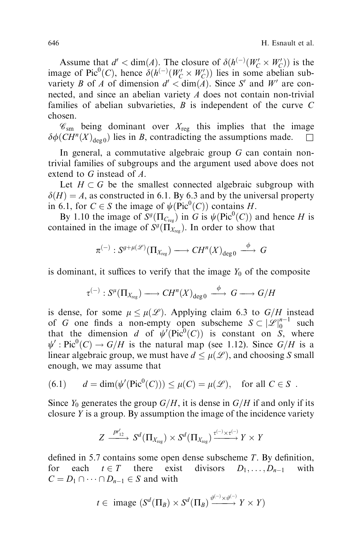Assume that  $d' < \dim(A)$ . The closure of  $\delta(h^{(-)}(W'_C \times W'_C))$  is the image of Pic<sup>0</sup>(C), hence  $\delta(h^{(-)}(W'_C \times W'_C))$  lies in some abelian subvariety B of A of dimension  $d' < dim(A)$ . Since S' and W' are connected, and since an abelian variety A does not contain non-trivial families of abelian subvarieties,  $B$  is independent of the curve  $C$ chosen.

 $\mathscr{C}_{sm}$  being dominant over  $X_{reg}$  this implies that the image  $\delta\phi(CH^n(X)_{\text{deg }0})$  lies in B, contradicting the assumptions made.  $\square$ 

In general, a commutative algebraic group  $G$  can contain nontrivial families of subgroups and the argument used above does not extend to G instead of A.

Let  $H \subset G$  be the smallest connected algebraic subgroup with  $\delta(H) = A$ , as constructed in 6.1. By 6.3 and by the universal property in 6.1, for  $C \in S$  the image of  $\psi(\text{Pic}^0(C))$  contains H.

By 1.10 the image of  $S^g(\Pi_{C_{reg}})$  in G is  $\psi(\text{Pic}^0(C))$  and hence H is contained in the image of  $S^g(\Pi_{X_{reg}})$ . In order to show that

$$
\pi^{(-)}: S^{g+\mu(\mathscr{L})}(\Pi_{X_{reg}}) \longrightarrow CH^n(X)_{deg\,0} \stackrel{\phi}{\longrightarrow} G
$$

is dominant, it suffices to verify that the image  $Y_0$  of the composite

$$
\tau^{(-)}: S^{\mu}(\Pi_{X_{\text{reg}}}) \longrightarrow CH^{n}(X)_{\text{deg }0} \stackrel{\phi}{\longrightarrow} G \longrightarrow G/H
$$

is dense, for some  $\mu \leq \mu(\mathcal{L})$ . Applying claim 6.3 to  $G/H$  instead of G one finds a non-empty open subscheme  $S \subset |\mathscr{L}|_0^{n-1}$  such that the dimension d of  $\psi'(Pic^0(C))$  is constant on S, where  $\psi'$ : Pic<sup>0</sup>(C)  $\rightarrow G/H$  is the natural map (see 1.12). Since  $G/H$  is a linear algebraic group, we must have  $d \leq \mu(\mathcal{L})$ , and choosing S small enough, we may assume that

(6.1) 
$$
d = \dim(\psi'(\text{Pic}^0(C))) \leq \mu(C) = \mu(\mathcal{L}), \text{ for all } C \in S.
$$

Since  $Y_0$  generates the group  $G/H$ , it is dense in  $G/H$  if and only if its closure  $Y$  is a group. By assumption the image of the incidence variety

$$
Z \xrightarrow{p_{12}'} S^d(\Pi_{X_{\text{reg}}}) \times S^d(\Pi_{X_{\text{reg}}}) \xrightarrow{\tau^{(-)} \times \tau^{(-)}} Y \times Y
$$

defined in 5.7 contains some open dense subscheme  $T$ . By definition, for each  $t \in T$  there exist divisors  $D_1, \ldots, D_{n-1}$  with  $C = D_1 \cap \cdots \cap D_{n-1} \in S$  and with

$$
t \in \text{image } (S^d(\Pi_B) \times S^d(\Pi_B) \xrightarrow{\vartheta^{(-)} \times \vartheta^{(-)}} Y \times Y)
$$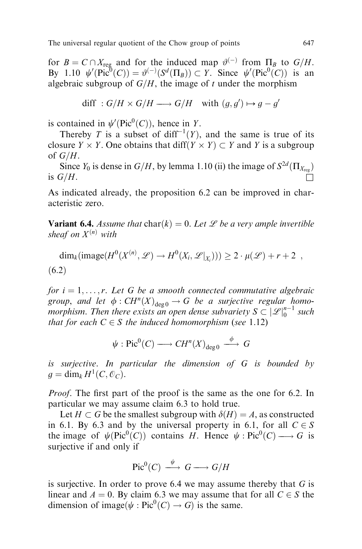for  $B = C \cap X_{reg}$  and for the induced map  $\vartheta^{(-)}$  from  $\Pi_B$  to  $G/H$ . By 1.10  $\psi'(\text{Pic}^0(C)) = \vartheta^{(-)}(S^d(\Pi_B)) \subset Y$ . Since  $\psi'(\text{Pic}^0(C))$  is an algebraic subgroup of  $G/H$ , the image of t under the morphism

diff : 
$$
G/H \times G/H \longrightarrow G/H
$$
 with  $(g, g') \mapsto g - g'$ 

is contained in  $\psi'(\text{Pic}^0(C))$ , hence in Y.

Thereby T is a subset of diff<sup>-1</sup> $(Y)$ , and the same is true of its closure  $Y \times Y$ . One obtains that  $\text{diff}(Y \times Y) \subset Y$  and Y is a subgroup of  $G/H$ .

Since  $Y_0$  is dense in  $G/H$ , by lemma 1.10 (ii) the image of  $S^{2d}(\Pi_{X_{\text{reg}}})$ is  $G/H$ .

As indicated already, the proposition 6.2 can be improved in characteristic zero.

**Variant 6.4.** Assume that  $char(k) = 0$ . Let *L* be a very ample invertible sheaf on  $X^{(n)}$  with

$$
\dim_k(\text{image}(H^0(X^{(n)}, \mathcal{L}) \to H^0(X_i, \mathcal{L}|_{X_i}))) \geq 2 \cdot \mu(\mathcal{L}) + r + 2 ,
$$
  
(6.2)

for  $i = 1, \ldots, r$ . Let G be a smooth connected commutative algebraic group, and let  $\phi : CH^n(X)_{\text{deg } 0} \to G$  be a surjective regular homomorphism. Then there exists an open dense subvariety  $S \subset |\mathscr{L}|_0^{n-1}$  such that for each  $C \in S$  the induced homomorphism (see 1.12)

$$
\psi : \mathrm{Pic}^0(C) \longrightarrow CH^n(X)_{\deg 0} \stackrel{\phi}{\longrightarrow} G
$$

is surjective. In particular the dimension of G is bounded by  $q = \dim_k H^1(C, \mathcal{O}_C).$ 

*Proof.* The first part of the proof is the same as the one for 6.2. In particular we may assume claim 6.3 to hold true.

Let  $H \subset G$  be the smallest subgroup with  $\delta(H) = A$ , as constructed in 6.1. By 6.3 and by the universal property in 6.1, for all  $C \in S$ the image of  $\psi(\text{Pic}^0(C))$  contains H. Hence  $\psi : \text{Pic}^0(C) \longrightarrow G$  is<br>evidence if and only if surjective if and only if

$$
Pic^0(C) \xrightarrow{\psi} G \longrightarrow G/H
$$

is surjective. In order to prove 6.4 we may assume thereby that  $G$  is linear and  $A = 0$ . By claim 6.3 we may assume that for all  $C \in S$  the dimension of image( $\psi$ : Pic<sup>0</sup>(C)  $\rightarrow$  G) is the same.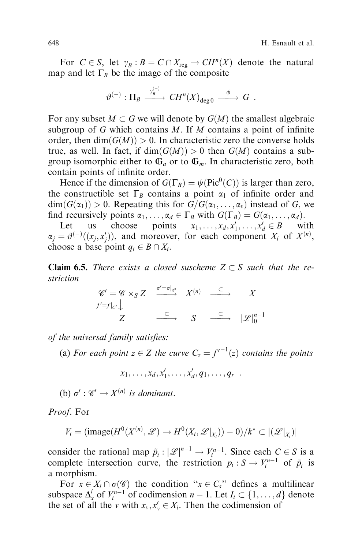For  $C \in S$ , let  $\gamma_B : B = C \cap X_{reg} \to CH^n(X)$  denote the natural map and let  $\Gamma_B$  be the image of the composite

$$
\vartheta^{(-)} : \Pi_B \xrightarrow{\gamma_B^{(-)}} CH^n(X)_{\deg 0} \xrightarrow{\phi} G .
$$

For any subset  $M \subset G$  we will denote by  $G(M)$  the smallest algebraic subgroup of G which contains  $M$ . If  $M$  contains a point of infinite order, then  $dim(G(M)) > 0$ . In characteristic zero the converse holds true, as well. In fact, if  $dim(G(M)) > 0$  then  $G(M)$  contains a subgroup isomorphic either to  $\mathbb{G}_a$  or to  $\mathbb{G}_m$ . In characteristic zero, both contain points of infinite order.

Hence if the dimension of  $G(\Gamma_B) = \psi(\text{Pic}^0(C))$  is larger than zero, the constructible set  $\Gamma_B$  contains a point  $\alpha_1$  of infinite order and  $\dim(G(\alpha_1)) > 0$ . Repeating this for  $G/G(\alpha_1, \ldots, \alpha_v)$  instead of G, we find recursively points  $\alpha_1, \ldots, \alpha_d \in \Gamma_B$  with  $G(\Gamma_B) = G(\alpha_1, \ldots, \alpha_d)$ .

Let us choose points  $x_1, \ldots, x_d, x'_1, \ldots, x'_d \in B$  with  $\alpha_j = \vartheta^{(-)}((x_j, x'_j)),$  and moreover, for each component  $X_i$  of  $X^{(n)}$ , choose a base point  $q_i \in B \cap X_i$ .

**Claim 6.5.** There exists a closed suscheme  $Z \subset S$  such that the restriction

$$
\begin{array}{ccc}\n\mathscr{C}' = \mathscr{C} \times_S Z & \xrightarrow{\sigma' = \sigma|_{\mathscr{C}'}} & X^{(n)} & \xrightarrow{\subset} & X \\
f' = f|_{C'} \downarrow & & \xrightarrow{\subset} & S & \xrightarrow{\subset} & |\mathscr{L}|_0^{n-1} \\
Z & \xrightarrow{\subset} & S & \xrightarrow{\subset} & |\mathscr{L}|_0^{n-1}\n\end{array}
$$

of the universal family satisfies:

(a) For each point  $z \in Z$  the curve  $C_z = f'^{-1}(z)$  contains the points

$$
x_1,\ldots,x_d,x'_1,\ldots,x'_d,q_1,\ldots,q_r.
$$

(b)  $\sigma' : \mathscr{C}' \to X^{(n)}$  is dominant.

Proof. For

$$
V_i = (image(H^0(X^{(n)}, \mathscr{L}) \rightarrow H^0(X_i, \mathscr{L}|_{X_i})) - 0)/k^* \subset |(\mathscr{L}|_{X_i})|
$$

consider the rational map  $\tilde{p}_i : |\mathcal{L}|^{n-1} \to V_i^{n-1}$ . Since each  $C \in S$  is a complete intersection curve, the restriction  $p_i : S \to V_i^{n-1}$  of  $\tilde{p}_i$  is a morphism.

For  $x \in X_i \cap \sigma(\mathscr{C})$  the condition " $x \in C_s$ " defines a multilinear subspace  $\Delta_x^i$  of  $V_i^{n-1}$  of codimension  $n-1$ . Let  $I_i \subset \{1, \ldots, d\}$  denote the set of all the v with  $x_v, x'_v \in X_i$ . Then the codimension of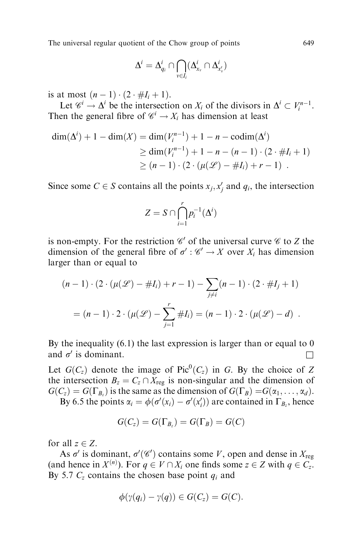$$
\Delta^i=\Delta^i_{q_i}\cap\bigcap_{v\in I_i}(\Delta^i_{x_v}\cap\Delta^i_{x'_v})
$$

is at most  $(n - 1) \cdot (2 \cdot #I_i + 1)$ .

Let  $\mathcal{C}^i \to \Delta^i$  be the intersection on  $X_i$  of the divisors in  $\Delta^i \subset V_i^{n-1}$ . Then the general fibre of  $\mathcal{C}^i \to X_i$  has dimension at least

$$
\dim(\Delta^{i}) + 1 - \dim(X) = \dim(V_i^{n-1}) + 1 - n - \operatorname{codim}(\Delta^{i})
$$
  
\n
$$
\geq \dim(V_i^{n-1}) + 1 - n - (n - 1) \cdot (2 \cdot \#I_i + 1)
$$
  
\n
$$
\geq (n - 1) \cdot (2 \cdot (\mu(\mathcal{L}) - \#I_i) + r - 1) .
$$

Since some  $C \in S$  contains all the points  $x_j, x'_j$  and  $q_i$ , the intersection

$$
Z = S \cap \bigcap_{i=1}^r p_i^{-1}(\Delta^i)
$$

is non-empty. For the restriction  $\mathscr{C}'$  of the universal curve  $\mathscr{C}$  to Z the dimension of the general fibre of  $\sigma' : \mathscr{C}' \to X$  over  $X_i$  has dimension larger than or equal to

$$
(n-1) \cdot (2 \cdot (\mu(\mathcal{L}) - \#I_i) + r - 1) - \sum_{j \neq i} (n-1) \cdot (2 \cdot \#I_j + 1)
$$
  
=  $(n-1) \cdot 2 \cdot (\mu(\mathcal{L}) - \sum_{j=1}^r \#I_i) = (n-1) \cdot 2 \cdot (\mu(\mathcal{L}) - d).$ 

By the inequality (6.1) the last expression is larger than or equal to 0 and  $\sigma'$  is dominant.

Let  $G(C_z)$  denote the image of Pic<sup>0</sup>( $C_z$ ) in G. By the choice of Z the intersection  $B_z = C_z \cap X_{reg}$  is non-singular and the dimension of  $G(C_z) = G(\Gamma_{B_z})$  is the same as the dimension of  $G(\Gamma_B) = G(\alpha_1, \dots, \alpha_d)$ .

By 6.5 the points  $\alpha_i = \phi(\sigma'(x_i) - \sigma'(x'_i))$  are contained in  $\Gamma_{B_z}$ , hence

$$
G(C_z) = G(\Gamma_{B_z}) = G(\Gamma_B) = G(C)
$$

for all  $z \in Z$ .

As  $\sigma'$  is dominant,  $\sigma'(\mathscr{C}')$  contains some V, open and dense in  $X_{reg}$ (and hence in  $X^{(n)}$ ). For  $q \in V \cap X_i$  one finds some  $z \in Z$  with  $q \in C_z$ . By 5.7  $C_z$  contains the chosen base point  $q_i$  and

$$
\phi(\gamma(q_i)-\gamma(q))\in G(C_z)=G(C).
$$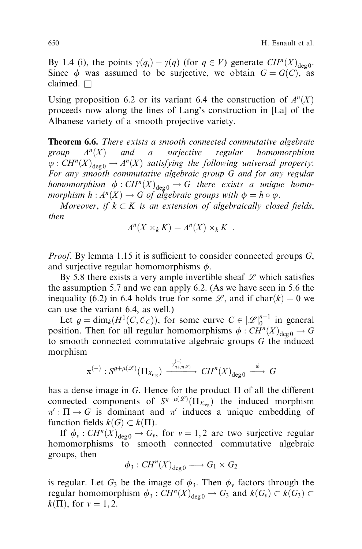By 1.4 (i), the points  $\gamma(q_i) - \gamma(q)$  (for  $q \in V$ ) generate  $CH^n(X)_{\text{deg } 0}$ . Since  $\phi$  was assumed to be surjective, we obtain  $G = G(C)$ , as claimed.  $\Box$ 

Using proposition 6.2 or its variant 6.4 the construction of  $A<sup>n</sup>(X)$ proceeds now along the lines of Lang's construction in [La] of the Albanese variety of a smooth projective variety.

Theorem 6.6. There exists a smooth connected commutative algebraic group  $A<sup>n</sup>(X)$  and a surjective regular homomorphism  $\varphi: CH^n(X)_{\text{deg}\,0} \to A^n(X)$  satisfying the following universal property: For any smooth commutative algebraic group G and for any regular homomorphism  $\phi : CH^n(X)_{\text{deg }0} \to G$  there exists a unique homomorphism  $h : A<sup>n</sup>(X) \to G$  of algebraic groups with  $\phi = h \circ \varphi$ .

Moreover, if  $k \subset K$  is an extension of algebraically closed fields, then

$$
A^{n}(X \times_{k} K) = A^{n}(X) \times_{k} K .
$$

*Proof.* By lemma 1.15 it is sufficient to consider connected groups  $G$ , and surjective regular homomorphisms  $\phi$ .

By 5.8 there exists a very ample invertible sheaf  $L$  which satisfies the assumption 5.7 and we can apply 6.2. (As we have seen in 5.6 the inequality (6.2) in 6.4 holds true for some  $\mathscr{L}$ , and if char $(k) = 0$  we can use the variant 6.4, as well.)

Let  $g = \dim_k(H^1(C, \mathcal{O}_C))$ , for some curve  $C \in |\mathcal{L}|_0^{n-1}$  in general position. Then for all regular homomorphisms  $\phi : CH^n(X)_{\text{deg } 0} \to G$ to smooth connected commutative algebraic groups G the induced morphism

$$
\pi^{(-)}:S^{g+\mu(\mathscr{L})}(\Pi_{X_{\textup{reg}}})\xrightarrow{\frac{\gamma^{(-)}_{g+\mu(\mathscr{L})}}{\ }}CH^{n}(X)_{\textup{deg}\,0}\xrightarrow{\ \phi\ }G
$$

has a dense image in G. Hence for the product  $\Pi$  of all the different connected components of  $S^{g+\mu(\mathscr{L})}(\Pi_{X_{\text{reg}}})$  the induced morphism  $\pi': \Pi \to G$  is dominant and  $\pi'$  induces a unique embedding of function fields  $k(G) \subset k(\Pi)$ .

If  $\phi_v : CH^n(X)_{\text{deg }0} \to G_v$ , for  $v = 1, 2$  are two surjective regular homomorphisms to smooth connected commutative algebraic groups, then

 $\phi_3:CH^n(X)_{\text{deg }0}\longrightarrow G_1\times G_2$ 

is regular. Let  $G_3$  be the image of  $\phi_3$ . Then  $\phi_\nu$  factors through the regular homomorphism  $\phi_3$ :  $CH^n(X)_{\text{deg }0} \to G_3$  and  $k(G_v) \subset k(G_3) \subset$  $k(\Pi)$ , for  $v = 1, 2$ .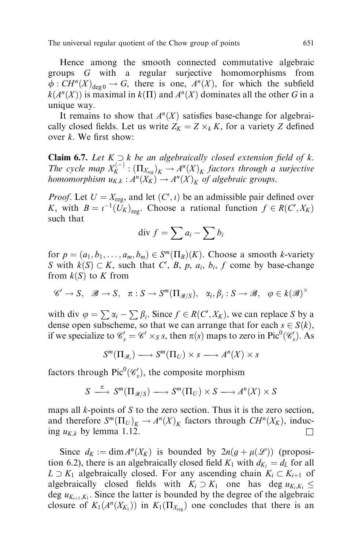Hence among the smooth connected commutative algebraic groups G with a regular surjective homomorphisms from  $\phi: CH^n(X)_{\text{deg }0} \to G$ , there is one,  $A^n(X)$ , for which the subfield  $k(A<sup>n</sup>(X))$  is maximal in  $k(\Pi)$  and  $A<sup>n</sup>(X)$  dominates all the other G in a unique way.

It remains to show that  $A<sup>n</sup>(X)$  satisfies base-change for algebraically closed fields. Let us write  $Z_K = Z \times_k K$ , for a variety Z defined over  $k$ . We first show:

**Claim 6.7.** Let  $K \supseteq k$  be an algebraically closed extension field of k. The cycle map  $X_K^{(-)}$ :  $(\Pi_{X_{reg}})_K \to A^n(X)_K$  factors through a surjective homomorphism  $u_{K,k}: A^{n}(X_{K}) \rightarrow A^{n}(X)_{K}$  of algebraic groups.

*Proof.* Let  $U = X_{reg}$ , and let  $(C', i)$  be an admissible pair defined over K, with  $B = i^{-1}(\tilde{U}_K)_{\text{reg}}$ . Choose a rational function  $f \in R(C', X_K)$ such that

$$
\text{div } f = \sum a_i - \sum b_i
$$

for  $p = (a_1, b_1, \ldots, a_m, b_m) \in S^m(\Pi_B)(K)$ . Choose a smooth k-variety S with  $k(S) \subset K$ , such that C', B, p, a<sub>i</sub>, b<sub>i</sub>, f come by base-change from  $k(S)$  to K from

$$
\mathscr{C}' \to S, \quad \mathscr{B} \to S, \quad \pi : S \to S^m(\Pi_{\mathscr{B}/S}), \quad \alpha_i, \beta_i : S \to \mathscr{B}, \quad \varphi \in k(\mathscr{B})^{\times}
$$

with div  $\varphi = \sum \alpha_i - \sum \beta_i$ . Since  $f \in R(C', X_K)$ , we can replace S by a dense open subscheme, so that we can arrange that for each  $s \in S(k)$ , if we specialize to  $\mathcal{C}_s = \mathcal{C}' \times_S s$ , then  $\pi(s)$  maps to zero in Pic<sup>0</sup>( $\mathcal{C}_s'$ ). As

$$
S^m(\Pi_{\mathscr{B}_s}) \longrightarrow S^m(\Pi_U) \times s \longrightarrow A^n(X) \times s
$$

factors through  $Pic^0(\mathscr{C}'_s)$ , the composite morphism

$$
S \xrightarrow{\pi} S^m(\Pi_{\mathscr{B}/S}) \longrightarrow S^m(\Pi_U) \times S \longrightarrow A^n(X) \times S
$$

maps all  $k$ -points of  $S$  to the zero section. Thus it is the zero section, and therefore  $S^m(\Pi_U)_K \to A^n(X)_K$  factors through  $CH^n(X_K)$ , inducing  $u_{K,k}$  by lemma 1.12.

Since  $d_K := \dim A^n(X_K)$  is bounded by  $2n(g + \mu(\mathcal{L}))$  (proposition 6.2), there is an algebraically closed field  $K_1$  with  $d_{K_1} = d_L$  for all  $L \supset K_1$  algebraically closed. For any ascending chain  $K_i \subset K_{i+1}$  of algebraically closed fields with  $K_i \supset K_1$  one has deg  $u_{K_i,K_1} \leq$ deg  $u_{K_{i+1},K_1}$ . Since the latter is bounded by the degree of the algebraic closure of  $K_1(A^n(X_{K_1}))$  in  $K_1(\Pi_{X_{reg}})$  one concludes that there is an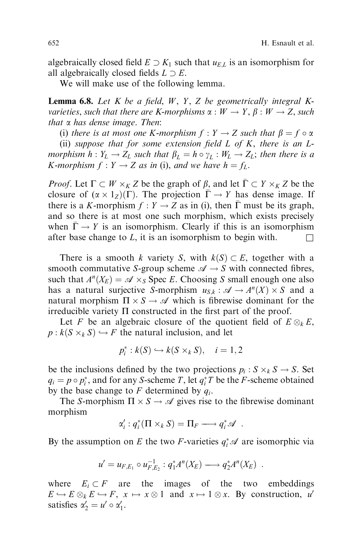algebraically closed field  $E \supset K_1$  such that  $u_{E,L}$  is an isomorphism for all algebraically closed fields  $L \supset E$ .

We will make use of the following lemma.

**Lemma 6.8.** Let  $K$  be a field,  $W$ ,  $Y$ ,  $Z$  be geometrically integral  $K$ varieties, such that there are K-morphisms  $\alpha : W \to Y, \beta : W \to Z$ , such that  $\alpha$  has dense image. Then:

(i) there is at most one K-morphism  $f: Y \to Z$  such that  $\beta = f \circ \alpha$ 

(ii) suppose that for some extension field  $L$  of  $K$ , there is an  $L$ morphism  $h: Y_L \to Z_L$  such that  $\beta_L = h \circ \gamma_L : W_L \to Z_L$ ; then there is a K-morphism  $f: Y \to Z$  as in (i), and we have  $h = f<sub>L</sub>$ .

*Proof.* Let  $\Gamma \subset W \times_K Z$  be the graph of  $\beta$ , and let  $\overline{\Gamma} \subset Y \times_K Z$  be the closure of  $(\alpha \times 1_Z)(\Gamma)$ . The projection  $\overline{\Gamma} \to Y$  has dense image. If there is a K-morphism  $f: Y \to Z$  as in (i), then  $\overline{\Gamma}$  must be its graph, and so there is at most one such morphism, which exists precisely when  $\overline{\Gamma} \to Y$  is an isomorphism. Clearly if this is an isomorphism after base change to L, it is an isomorphism to begin with.  $\square$ 

There is a smooth k variety S, with  $k(S) \subset E$ , together with a smooth commutative S-group scheme  $\mathscr{A} \to S$  with connected fibres, such that  $A^n(X_E) = \mathcal{A} \times_S \text{Spec } E$ . Choosing S small enough one also has a natural surjective S-morphism  $u_{S,k} : \mathcal{A} \to A^n(X) \times S$  and a natural morphism  $\Pi \times S \to \mathscr{A}$  which is fibrewise dominant for the irreducible variety  $\Pi$  constructed in the first part of the proof.

Let F be an algebraic closure of the quotient field of  $E \otimes_k E$ ,  $p : k(S \times_k S) \hookrightarrow F$  the natural inclusion, and let

$$
p_i^*: k(S) \hookrightarrow k(S \times_k S), \quad i=1,2
$$

be the inclusions defined by the two projections  $p_i : S \times_k S \to S$ . Set  $q_i = p \circ p_i^*$ , and for any *S*-scheme *T*, let  $q_i^*$ *T* be the *F*-scheme obtained by the base change to F determined by  $q_i$ .

The S-morphism  $\Pi \times S \to \mathscr{A}$  gives rise to the fibrewise dominant morphism

$$
\alpha_i': q_i^*(\Pi \times_k S) = \Pi_F \longrightarrow q_i^* \mathscr{A} .
$$

By the assumption on E the two F-varieties  $q_i^* \mathscr{A}$  are isomorphic via

$$
u' = u_{F,E_1} \circ u_{F,E_2}^{-1} : q_1^* A^n(X_E) \longrightarrow q_2^* A^n(X_E) .
$$

where  $E_i \subset F$  are the images of the two embeddings  $E \hookrightarrow E \otimes_k E \hookrightarrow F$ ,  $x \mapsto x \otimes 1$  and  $x \mapsto 1 \otimes x$ . By construction, u' satisfies  $\alpha'_2 = u' \circ \alpha'_1$ .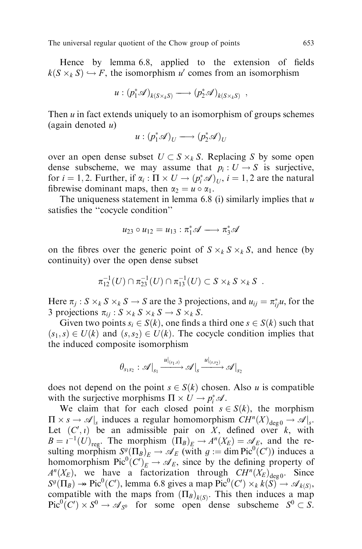Hence by lemma  $6.8$ , applied to the extension of fields  $k(S \times_k S) \hookrightarrow F$ , the isomorphism u' comes from an isomorphism

$$
u:(p_1^*\mathscr{A})_{k(S\times_k S)}\longrightarrow (p_2^*\mathscr{A})_{k(S\times_k S)},
$$

Then  $u$  in fact extends uniquely to an isomorphism of groups schemes (again denoted  $u$ )

$$
u:(p_1^*\mathscr{A})_U\longrightarrow (p_2^*\mathscr{A})_U
$$

over an open dense subset  $U \subset S \times_k S$ . Replacing S by some open dense subscheme, we may assume that  $p_i : U \to S$  is surjective, for  $i = 1, 2$ . Further, if  $\alpha_i : \Pi \times U \rightarrow (p_i^* \mathcal{A})_U$ ,  $i = 1, 2$  are the natural fibrewise dominant maps, then  $\alpha_2 = u \circ \alpha_1$ .

The uniqueness statement in lemma 6.8 (i) similarly implies that  $u$ satisfies the "cocycle condition"

$$
u_{23} \circ u_{12} = u_{13} : \pi_1^* \mathscr{A} \longrightarrow \pi_3^* \mathscr{A}
$$

on the fibres over the generic point of  $S \times_k S \times_k S$ , and hence (by continuity) over the open dense subset

$$
\pi_{12}^{-1}(U) \cap \pi_{23}^{-1}(U) \cap \pi_{13}^{-1}(U) \subset S \times_k S \times_k S .
$$

Here  $\pi_j$ :  $S \times_k S \times_k S \to S$  are the 3 projections, and  $u_{ij} = \pi_{ij}^* u$ , for the 3 projections  $\pi_{ij}: S \times_k S \times_k S \to S \times_k S$ .

Given two points  $s_i \in S(k)$ , one finds a third one  $s \in S(k)$  such that  $(s_1,s) \in U(k)$  and  $(s,s_2) \in U(k)$ . The cocycle condition implies that the induced composite isomorphism

$$
\theta_{s_1s_2}: \mathcal{A}\big|_{s_1} \xrightarrow{u|_{(s_1,s)}} \mathcal{A}\big|_{s} \xrightarrow{u|_{(s,s_2)}} \mathcal{A}\big|_{s_2}
$$

does not depend on the point  $s \in S(k)$  chosen. Also u is compatible with the surjective morphisms  $\Pi \times U \rightarrow p_i^* \mathscr{A}$ .

We claim that for each closed point  $s \in S(k)$ , the morphism  $\Pi \times s \to \mathscr{A}|_s$  induces a regular homomorphism  $CH^n(X)_{\text{deg }0} \to \mathscr{A}|_s$ . Let  $(C', i)$  be an admissible pair on X, defined over k, with  $B = i^{-1}(U)_{\text{reg}}$ . The morphism  $(\Pi_B)_E \to A^n(X_E) = \mathcal{A}_E$ , and the resulting morphism  $S^g(\Pi_B)_E \to \mathscr{A}_E$  (with  $g := \dim \text{Pic}^0(C')$ ) induces a homomorphism  $Pic^0(C')_E^{\sim} \rightarrow \mathscr{A}_E$ , since by the defining property of  $A^n(X_E)$ , we have a factorization through  $CH^n(X_E)_{\text{deg } 0}$ . Since  $S^g(\Pi_B) \to Pic^0(C')$ , lemma 6.8 gives a map  $Pic^0(C') \times_k k(S) \to \mathcal{A}_{k(S)}$ , compatible with the maps from  $(\Pi_B)_{k(S)}$ . This then induces a map  $Pic^0(C') \times S^0 \to \mathscr{A}_{S^0}$  for some open dense subscheme  $S^0 \subset S$ .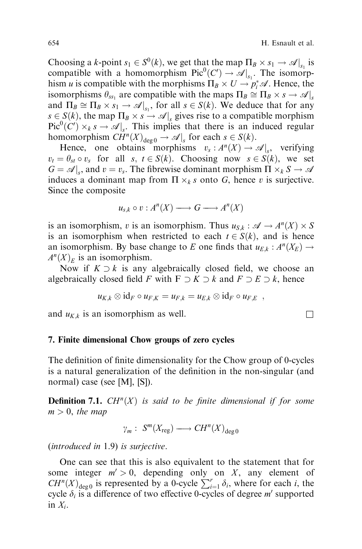Choosing a k-point  $s_1 \in S^0(k)$ , we get that the map  $\Pi_B \times s_1 \to \mathcal{A}|_{s_1}$  is compatible with a homomorphism  $Pic^0(C') \to \mathcal{A}|_{s_1}$ . The isomorphism *u* is compatible with the morphisms  $\Pi_B \times U \to p_i^* \mathscr{A}$ . Hence, the isomorphisms  $\theta_{ss_1}$  are compatible with the maps  $\Pi_B \cong \Pi_B \times s \to \mathcal{A}|_s$ and  $\Pi_B \cong \Pi_B \times s_1 \to \mathcal{A}|_{s_1}$ , for all  $s \in S(k)$ . We deduce that for any  $s \in S(k)$ , the map  $\Pi_B \times s \to \mathcal{A}|_s$  gives rise to a compatible morphism  $Pic^{0}(C') \times_{k} s \rightarrow \mathcal{A}|_{s}$ . This implies that there is an induced regular homomorphism  $\overline{CH}^n(X)_{\text{deg }0} \to \mathscr{A}|_s$  for each  $s \in S(k)$ .

Hence, one obtains morphisms  $v_s: A^n(X) \to \mathcal{A}|_s$ , verifying  $v_t = \theta_{st} \circ v_s$  for all s,  $t \in S(k)$ . Choosing now  $s \in S(k)$ , we set  $G = \mathscr{A}|_s$ , and  $v = v_s$ . The fibrewise dominant morphism  $\Pi \times_k S \to \mathscr{A}$ induces a dominant map from  $\Pi \times_k s$  onto G, hence v is surjective. Since the composite

$$
u_{s,k} \circ v : A^{n}(X) \longrightarrow G \longrightarrow A^{n}(X)
$$

is an isomorphism, v is an isomorphism. Thus  $u_{S,k} : \mathscr{A} \to A^n(X) \times S$ is an isomorphism when restricted to each  $t \in S(k)$ , and is hence an isomorphism. By base change to E one finds that  $u_{E,k}: A^n(X_E) \to$  $A^{n}(X)_{E}$  is an isomorphism.

Now if  $K \supset k$  is any algebraically closed field, we choose an algebraically closed field F with  $F \supset K \supset k$  and  $F \supset E \supset k$ , hence

$$
u_{K,k}\otimes id_F\circ u_{F,K}=u_{F,k}=u_{E,k}\otimes id_F\circ u_{F,E} ,
$$

and  $u_{K,k}$  is an isomorphism as well.

## 7. Finite dimensional Chow groups of zero cycles

The definition of finite dimensionality for the Chow group of 0-cycles is a natural generalization of the definition in the non-singular (and normal) case (see [M], [S]).

**Definition 7.1.**  $CH^n(X)$  is said to be finite dimensional if for some  $m > 0$ , the map

$$
\gamma_m: S^m(X_{\text{reg}}) \longrightarrow CH^n(X)_{\text{deg }0}
$$

(introduced in 1.9) is surjective.

One can see that this is also equivalent to the statement that for some integer  $m' > 0$ , depending only on X, any element of  $CH^{n}(X)_{\text{deg}\,0}$  is represented by a 0-cycle  $\sum_{i=1}^{r} \delta_{i}$ , where for each i, the cycle  $\delta_i$  is a difference of two effective 0-cycles of degree m' supported in  $X_i$ .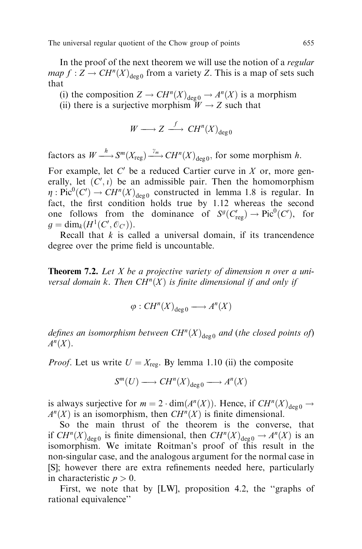In the proof of the next theorem we will use the notion of a *regular map*  $f : Z \to CH^n(X)_{\text{deg }0}$  from a variety Z. This is a map of sets such that

(i) the composition  $Z \to CH^n(X)_{\text{deg }0} \to A^n(X)$  is a morphism (ii) there is a surjective morphism  $W \rightarrow Z$  such that

$$
W \longrightarrow Z \stackrel{f}{\longrightarrow} CH^n(X)_{\deg 0}
$$

factors as  $W \longrightarrow S^m(X_{reg}) \longrightarrow H^n(X)_{deg 0}$ , for some morphism h.

For example, let  $C'$  be a reduced Cartier curve in X or, more generally, let  $(C', i)$  be an admissible pair. Then the homomorphism  $\eta: \text{Pic}^0(C') \to \text{CH}^n(X)_{\text{deg }0}$  constructed in lemma 1.8 is regular. In fact, the first condition holds true by 1.12 whereas the second one follows from the dominance of  $S^g(C_{reg}^r) \to Pic^0(C^r)$ , for  $g = \dim_k(H^1(C', \mathcal{O}_{C'})).$ 

Recall that  $k$  is called a universal domain, if its trancendence degree over the prime field is uncountable.

**Theorem 7.2.** Let X be a projective variety of dimension n over a universal domain k. Then  $CH^n(X)$  is finite dimensional if and only if

 $\varphi: CH^n(X)_{\deg 0} \longrightarrow A^n(X)$ 

defines an isomorphism between  $CH^{n}(X)_{\text{des}\, 0}$  and (the closed points of)  $A<sup>n</sup>(X)$ .

*Proof.* Let us write  $U = X_{\text{reg}}$ . By lemma 1.10 (ii) the composite

$$
S^m(U) \longrightarrow CH^n(X)_{\deg 0} \longrightarrow A^n(X)
$$

is always surjective for  $m = 2 \cdot \dim(A^n(X))$ . Hence, if  $CH^n(X)_{\text{deco}} \to$  $A<sup>n</sup>(X)$  is an isomorphism, then  $CH<sup>n</sup>(X)$  is finite dimensional.

So the main thrust of the theorem is the converse, that if  $CH^n(X)_{\text{deg }0}$  is finite dimensional, then  $CH^n(X)_{\text{deg }0} \to A^n(X)$  is an isomorphism. We imitate Roitman's proof of this result in the non-singular case, and the analogous argument for the normal case in [S]; however there are extra refinements needed here, particularly in characteristic  $p > 0$ .

First, we note that by [LW], proposition 4.2, the "graphs of rational equivalence''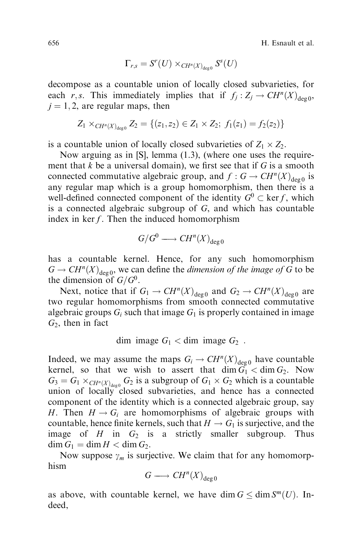656 H. Esnault et al.

$$
\Gamma_{r,s}=S^r(U)\times_{CH^n(X)_{\text{deg}0}}S^s(U)
$$

decompose as a countable union of locally closed subvarieties, for each r,s. This immediately implies that if  $f_i : Z_i \to CH^n(X)_{\text{des } 0}$ ,  $j = 1, 2$ , are regular maps, then

$$
Z_1 \times_{CH^n(X)_{\deg_0}} Z_2 = \{(z_1, z_2) \in Z_1 \times Z_2; f_1(z_1) = f_2(z_2)\}
$$

is a countable union of locally closed subvarieties of  $Z_1 \times Z_2$ .

Now arguing as in [S], lemma (1.3), (where one uses the requirement that  $k$  be a universal domain), we first see that if  $G$  is a smooth connected commutative algebraic group, and  $f : G \to CH^n(X)_{\text{deg }0}$  is any regular map which is a group homomorphism, then there is a well-defined connected component of the identity  $G^0 \subset \text{ker } f$ , which is a connected algebraic subgroup of  $G$ , and which has countable index in  $\ker f$ . Then the induced homomorphism

$$
G/G^0\longrightarrow CH^n(X)_{\deg 0}
$$

has a countable kernel. Hence, for any such homomorphism  $G \to CH^n(X)_{\text{deg }0}$ , we can define the *dimension of the image of G* to be the dimension of  $G/G^0$ .

Next, notice that if  $G_1 \to CH^n(X)_{\text{deg }0}$  and  $G_2 \to CH^n(X)_{\text{deg }0}$  are two regular homomorphisms from smooth connected commutative algebraic groups  $G_i$  such that image  $G_1$  is properly contained in image  $G_2$ , then in fact

dim image 
$$
G_1 < \dim \text{ image } G_2
$$
.

Indeed, we may assume the maps  $G_i \to CH^n(X)_{\text{deg } 0}$  have countable kernel, so that we wish to assert that  $\dim \widetilde{G}_1 < \dim G_2$ . Now  $G_3 = G_1 \times_{CH^n(X)_{\text{deg}0}} G_2$  is a subgroup of  $G_1 \times G_2$  which is a countable union of locally closed subvarieties, and hence has a connected component of the identity which is a connected algebraic group, say H. Then  $H \to G_i$  are homomorphisms of algebraic groups with countable, hence finite kernels, such that  $H \to G_1$  is surjective, and the image of H in  $G_2$  is a strictly smaller subgroup. Thus  $\dim G_1 = \dim H < \dim G_2.$ 

Now suppose  $\gamma_m$  is surjective. We claim that for any homomorphism

$$
G \longrightarrow CH^n(X)_{\deg 0}
$$

as above, with countable kernel, we have dim  $G \le \dim S^m(U)$ . Indeed,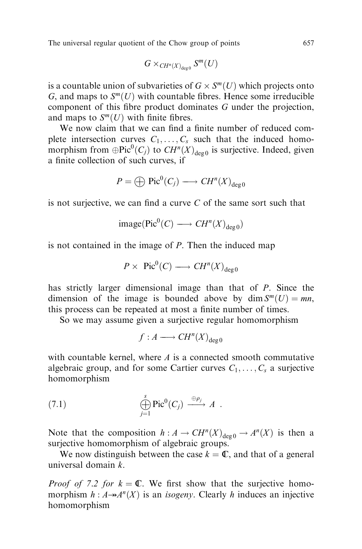$$
G \times_{CH^n(X)_{\deg 0}} S^m(U)
$$

is a countable union of subvarieties of  $G \times S^m(U)$  which projects onto G, and maps to  $S<sup>m</sup>(U)$  with countable fibres. Hence some irreducible component of this fibre product dominates  $G$  under the projection, and maps to  $S^m(U)$  with finite fibres.

We now claim that we can find a finite number of reduced complete intersection curves  $C_1, \ldots, C_s$  such that the induced homomorphism from  $\bigoplus$ Pic ${}^{0}(C_j)$  to  $CH^{n}(X)_{\text{deg }0}$  is surjective. Indeed, given a finite collection of such curves, if

$$
P = \bigoplus \operatorname{Pic}^0(C_j) \longrightarrow CH^n(X)_{\deg 0}
$$

is not surjective, we can find a curve  $C$  of the same sort such that

$$
\text{image}(\text{Pic}^0(C) \longrightarrow CH^n(X)_{\text{deg }0})
$$

is not contained in the image of P. Then the induced map

$$
P \times \operatorname{Pic}^0(C) \longrightarrow CH^n(X)_{\deg 0}
$$

has strictly larger dimensional image than that of P. Since the dimension of the image is bounded above by dim  $S^m(U) = mn$ , this process can be repeated at most a finite number of times.

So we may assume given a surjective regular homomorphism

$$
f: A \longrightarrow CH^n(X)_{\deg 0}
$$

with countable kernel, where  $\vec{A}$  is a connected smooth commutative algebraic group, and for some Cartier curves  $C_1, \ldots, C_s$  a surjective homomorphism

(7.1) 
$$
\bigoplus_{j=1}^{s} \text{Pic}^{0}(C_{j}) \xrightarrow{\oplus \rho_{j}} A.
$$

Note that the composition  $h : A \to CH^n(X)_{\text{deg } 0} \to A^n(X)$  is then a surjective homomorphism of algebraic groups.

We now distinguish between the case  $k = \mathbb{C}$ , and that of a general universal domain k.

*Proof of 7.2 for*  $k = \mathbb{C}$ . We first show that the surjective homomorphism  $h : A \rightarrow A^n(X)$  is an *isogeny*. Clearly h induces an injective homomorphism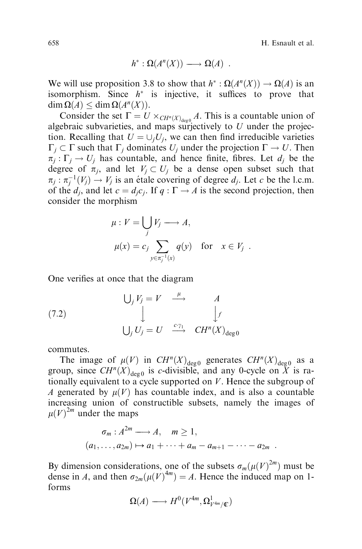658 H. Esnault et al.

$$
h^*: \Omega(A^n(X)) \longrightarrow \Omega(A) .
$$

We will use proposition 3.8 to show that  $h^*: \Omega(A^n(X)) \to \Omega(A)$  is an isomorphism. Since  $h^*$  is injective, it suffices to prove that  $\dim \Omega(A) \leq \dim \Omega(A^n(X)).$ 

Consider the set  $\Gamma = U \times_{CH^n(X)_{\text{deg}0}} A$ . This is a countable union of algebraic subvarieties, and maps surjectively to  $U$  under the projection. Recalling that  $U = \bigcup_i U_i$ , we can then find irreducible varieties  $\Gamma_i \subset \Gamma$  such that  $\Gamma_i$  dominates  $U_i$  under the projection  $\Gamma \to U$ . Then  $\pi_i : \Gamma_i \to U_i$  has countable, and hence finite, fibres. Let  $d_i$  be the degree of  $\pi_i$ , and let  $V_i \subset U_i$  be a dense open subset such that  $\pi_j : \pi_j^{-1}(V_j) \to V_j$  is an étale covering of degree  $d_j$ . Let c be the l.c.m. of the  $d_i$ , and let  $c = d_i c_j$ . If  $q : \Gamma \to A$  is the second projection, then consider the morphism

$$
\mu: V = \bigcup_{j} V_{j} \longrightarrow A,
$$
  

$$
\mu(x) = c_{j} \sum_{y \in \pi_{j}^{-1}(x)} q(y) \text{ for } x \in V_{j}.
$$

One verifies at once that the diagram

(7.2) 
$$
\bigcup_{j} V_{j} = V \xrightarrow{\mu} A
$$

$$
\downarrow \qquad \qquad \downarrow f
$$

$$
\bigcup_{j} U_{j} = U \xrightarrow{c \gamma_{1}} CH^{n}(X)_{\deg 0}
$$

commutes.

The image of  $\mu(V)$  in  $CH^n(X)_{\text{deg } 0}$  generates  $CH^n(X)_{\text{deg } 0}$  as a group, since  $CH^n(X)_{\text{deg}\,0}$  is c-divisible, and any 0-cycle on X is rationally equivalent to a cycle supported on  $V$ . Hence the subgroup of A generated by  $\mu(V)$  has countable index, and is also a countable increasing union of constructible subsets, namely the images of  $\mu(V)^{2m}$  under the maps

$$
\sigma_m: A^{2m} \longrightarrow A, \quad m \ge 1,
$$
  
\n $(a_1, \ldots, a_{2m}) \mapsto a_1 + \cdots + a_m - a_{m+1} - \cdots - a_{2m}.$ 

By dimension considerations, one of the subsets  $\sigma_m(\mu(V)^{2m})$  must be dense in A, and then  $\sigma_{2m}(\mu(V)^{4m}) = A$ . Hence the induced map on 1forms

$$
\Omega(A) \longrightarrow H^0(V^{4m}, \Omega^1_{V^{4m}/\mathbb{C}})
$$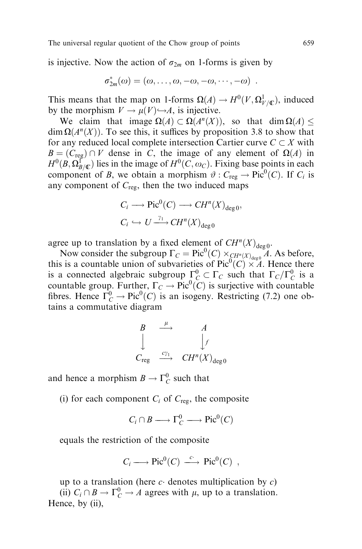is injective. Now the action of  $\sigma_{2m}$  on 1-forms is given by

$$
\sigma_{2m}^*(\omega)=(\omega,\ldots,\omega,-\omega,-\omega,\cdots,-\omega) .
$$

This means that the map on 1-forms  $\Omega(A) \to H^0(V, \Omega^1_{V/\mathbb{C}})$ , induced by the morphism  $V \to \mu(V) \hookrightarrow A$ , is injective.

We claim that image  $\Omega(A) \subset \Omega(A^n(X))$ , so that dim  $\Omega(A)$  <  $\dim \Omega(A^n(X))$ . To see this, it suffices by proposition 3.8 to show that for any reduced local complete intersection Cartier curve  $C \subset X$  with  $B = (C_{reg}) \cap V$  dense in C, the image of any element of  $\Omega(A)$  in  $H^0(B, \Omega_{B/\mathbb{C}}^{\Gamma})$  lies in the image of  $H^0(C, \omega_C)$ . Fixing base points in each component of B, we obtain a morphism  $\vartheta$ :  $C_{reg} \to Pic^0(C)$ . If  $C_i$  is any component of  $C_{\text{reg}}$ , then the two induced maps

$$
C_i \longrightarrow \text{Pic}^0(C) \longrightarrow CH^n(X)_{\text{deg }0},
$$
  

$$
C_i \hookrightarrow U \xrightarrow{\gamma_1} CH^n(X)_{\text{deg }0}
$$

agree up to translation by a fixed element of  $CH^{n}(X)_{\text{deg }0}$ .

Now consider the subgroup  $\Gamma_C = \text{Pic}^0(C) \times_{CH^n(X)_{\text{deg}0}} A$ . As before, this is a countable union of subvarieties of  $Pic^0(C) \times A$ . Hence there is a connected algebraic subgroup  $\Gamma_C^0 \subset \Gamma_C$  such that  $\Gamma_C/\Gamma_C^0$  is a countable group. Further,  $\Gamma_C \to \text{Pic}^0(C)$  is surjective with countable fibres. Hence  $\Gamma_C^0 \to \text{Pic}^0(C)$  is an isogeny. Restricting (7.2) one obtains a commutative diagram

$$
\begin{array}{ccc}\nB & \stackrel{\mu}{\longrightarrow} & A \\
\downarrow & & \downarrow f \\
C_{\text{reg}} & \stackrel{c\gamma_1}{\longrightarrow} & CH^n(X)_{\text{deg }0}\n\end{array}
$$

and hence a morphism  $B \to \Gamma_C^0$  such that

(i) for each component  $C_i$  of  $C_{\text{reg}}$ , the composite

$$
C_i \cap B \longrightarrow \Gamma_C^0 \longrightarrow \text{Pic}^0(C)
$$

equals the restriction of the composite

$$
C_i \longrightarrow Pic^0(C) \stackrel{c}{\longrightarrow} Pic^0(C) ,
$$

up to a translation (here  $c$  denotes multiplication by  $c$ )

(ii)  $C_i \cap B \to \Gamma_C^0 \to A$  agrees with  $\mu$ , up to a translation. Hence, by (ii),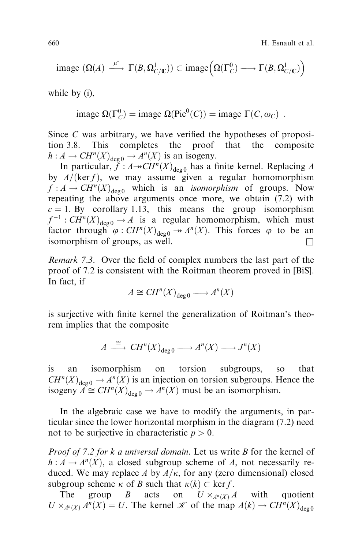660 H. Esnault et al.

$$
\text{image } (\Omega(A) \xrightarrow{\mu^*} \Gamma(B, \Omega^1_{C/\mathbb{C}})) \subset \text{image} \Big( \Omega(\Gamma_C^0) \longrightarrow \Gamma(B, \Omega^1_{C/\mathbb{C}}) \Big)
$$

while by (i),

image  $\Omega(\Gamma_C^0)$  = image  $\Omega(\text{Pic}^0(C))$  = image  $\Gamma(C, \omega_C)$ .

Since  $C$  was arbitrary, we have verified the hypotheses of proposition 3.8. This completes the proof that the composite  $h : A \to CH^n(X)_{\text{deg }0} \to A^n(X)$  is an isogeny.

In particular,  $\tilde{f} : A \rightarrow CH^n(X)_{\text{deg } 0}$  has a finite kernel. Replacing A by  $A/(\ker f)$ , we may assume given a regular homomorphism  $f : A \to CH^n(X)_{\text{deg } 0}$  which is an *isomorphism* of groups. Now repeating the above arguments once more, we obtain (7.2) with  $c = 1$ . By corollary 1.13, this means the group isomorphism  $f^{-1}$ :  $CH^{n}(X)_{\text{deg }0} \rightarrow A$  is a regular homomorphism, which must factor through  $\varphi$  :  $CH^n(X)_{\text{deg}\,0} \to A^n(X)$ . This forces  $\varphi$  to be an isomorphism of groups, as well.  $\Box$ 

*Remark 7.3.* Over the field of complex numbers the last part of the proof of 7.2 is consistent with the Roitman theorem proved in [BiS]. In fact, if

$$
A \cong CH^n(X)_{\deg 0} \longrightarrow A^n(X)
$$

is surjective with finite kernel the generalization of Roitman's theorem implies that the composite

$$
A \xrightarrow{\cong} CH^n(X)_{\deg 0} \longrightarrow A^n(X) \longrightarrow J^n(X)
$$

is an isomorphism on torsion subgroups, so that  $CH^{n}(X)_{\text{deg }0} \rightarrow A^{n}(X)$  is an injection on torsion subgroups. Hence the isogeny  $\widetilde{A} \cong CH^n(X)_{\text{deg }0} \to A^n(X)$  must be an isomorphism.

In the algebraic case we have to modify the arguments, in particular since the lower horizontal morphism in the diagram (7.2) need not to be surjective in characteristic  $p > 0$ .

Proof of 7.2 for k a universal domain. Let us write B for the kernel of  $h: A \to A^{n}(X)$ , a closed subgroup scheme of A, not necessarily reduced. We may replace A by  $A/\kappa$ , for any (zero dimensional) closed subgroup scheme  $\kappa$  of B such that  $\kappa(k) \subset \text{ker } f$ .

The group B acts on  $U \times_{A^n(X)} A$ with quotient  $U \times_{A^n(X)} A^n(X) = U$ . The kernel  $\mathcal K$  of the map  $A(k) \to CH^n(X)_{\text{deg }0}$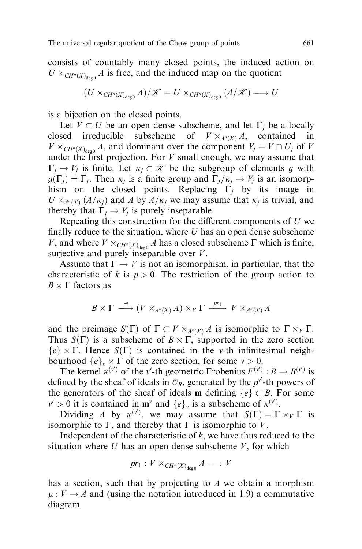consists of countably many closed points, the induced action on  $U \times_{CH^n(X)_{\text{deg}0}} A$  is free, and the induced map on the quotient

$$
(U\times_{CH^n(X)_{\deg 0}}A)/\mathscr{K}=U\times_{CH^n(X)_{\deg 0}}(A/\mathscr{K})\longrightarrow U
$$

is a bijection on the closed points.

Let  $V \subset U$  be an open dense subscheme, and let  $\Gamma_i$  be a locally closed irreducible subscheme of  $V \times_{A^n(X)} A$ , contained in  $V \times_{CH^n(X)_{\text{deg }0}} A$ , and dominant over the component  $V_j = V \cap U_j$  of V under the first projection. For  $V$  small enough, we may assume that  $\Gamma_i \to V_i$  is finite. Let  $\kappa_i \subset \mathcal{K}$  be the subgroup of elements g with  $g(\Gamma_i) = \Gamma_i$ . Then  $\kappa_i$  is a finite group and  $\Gamma_i/\kappa_i \to V_i$  is an isomorphism on the closed points. Replacing  $\Gamma_i$  by its image in  $U \times_{A^n(X)} (A/\kappa_j)$  and A by  $A/\kappa_j$  we may assume that  $\kappa_j$  is trivial, and thereby that  $\Gamma_j \to V_j$  is purely inseparable.

Repeating this construction for the different components of  $U$  we finally reduce to the situation, where  $U$  has an open dense subscheme V, and where  $V \times_{CH^n(X)_{\text{deg}0}} A$  has a closed subscheme  $\Gamma$  which is finite, surjective and purely inseparable over  $V$ .

Assume that  $\Gamma \to V$  is not an isomorphism, in particular, that the characteristic of k is  $p > 0$ . The restriction of the group action to  $B \times \Gamma$  factors as

$$
B \times \Gamma \stackrel{\cong}{\longrightarrow} (V \times_{A^n(X)} A) \times_V \Gamma \stackrel{pr_1}{\longrightarrow} V \times_{A^n(X)} A
$$

and the preimage  $S(\Gamma)$  of  $\Gamma \subset V \times_{A^n(X)} A$  is isomorphic to  $\Gamma \times_V \Gamma$ . Thus  $S(\Gamma)$  is a subscheme of  $B \times \Gamma$ , supported in the zero section  ${e} \times \Gamma$ . Hence  $S(\Gamma)$  is contained in the v-th infinitesimal neighbourhood  $\{e\}_v \times \Gamma$  of the zero section, for some  $v > 0$ .

The kernel  $\kappa^{(v')}$  of the v'-th geometric Frobenius  $F^{(v')}$ :  $B \to B^{(v')}$  is defined by the sheaf of ideals in  $\mathcal{O}_B$ , generated by the  $p^{v'}$ -th powers of the generators of the sheaf of ideals **m** defining  $\{e\} \subset B$ . For some  $v' > 0$  it is contained in **m**<sup>*v*</sup> and  $\{e\}_v$  is a subscheme of  $\kappa^{(v')}$ .

Dividing A by  $\kappa^{(v')}$ , we may assume that  $S(\Gamma) = \Gamma \times_V \Gamma$  is isomorphic to  $\Gamma$ , and thereby that  $\Gamma$  is isomorphic to V.

Independent of the characteristic of  $k$ , we have thus reduced to the situation where  $U$  has an open dense subscheme  $V$ , for which

$$
pr_1: V \times_{CH^n(X)_{\deg 0}} A \longrightarrow V
$$

has a section, such that by projecting to A we obtain a morphism  $\mu : V \to A$  and (using the notation introduced in 1.9) a commutative diagram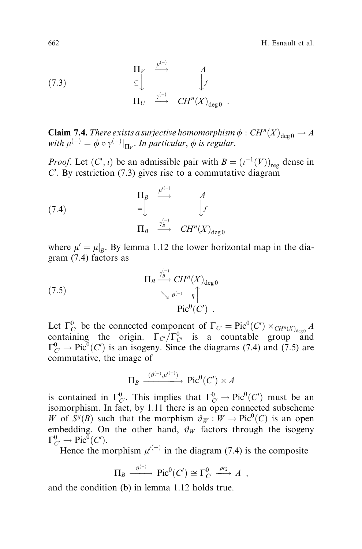662 H. Esnault et al.

(7.3) 
$$
\begin{array}{ccc}\n\Pi_V & \xrightarrow{\mu^{(-)}} & A \\
\subseteq & \downarrow f \\
\Pi_U & \xrightarrow{\gamma^{(-)}} & CH^n(X)_{\text{deg}\,0} \end{array}
$$

**Claim 7.4.** There exists a surjective homomorphism  $\phi$  :  $CH^n(X)_{\text{deg }0} \to A$ with  $\mu^{(-)} = \phi \circ \gamma^{(-)}|_{\Pi_V}$ . In particular,  $\phi$  is regular.

*Proof.* Let  $(C', i)$  be an admissible pair with  $B = (i^{-1}(V))_{reg}$  dense in  $C'$ . By restriction (7.3) gives rise to a commutative diagram

(7.4) 
$$
\Pi_B \xrightarrow{\mu^{(-)}} A
$$

$$
= \begin{bmatrix} \downarrow^{\Lambda} & A \\ \downarrow^{\Lambda} & \downarrow^{\Lambda} \\ \Pi_B & \xrightarrow{\gamma_B^{(-)}} & CH^n(X)_{\deg 0} \end{bmatrix}
$$

where  $\mu' = \mu|_B$ . By lemma 1.12 the lower horizontal map in the diagram (7.4) factors as

(7.5) 
$$
\Pi_B \xrightarrow{\gamma_B^{(-)}} CH^n(X)_{\text{deg }0} \n\searrow \vartheta^{(-)} \eta \uparrow
$$

$$
\text{Pic}^0(C') .
$$

Let  $\Gamma^0_{C'}$  be the connected component of  $\Gamma_{C'} = \text{Pic}^0(C') \times_{CH^n(X)_{\text{deg }0}} A$ containing the origin.  $\Gamma_{C'}/\Gamma_{C}^0$  is a countable group and  $\Gamma_{C}^{0} \to \text{Pic}^{0}(C')$  is an isogeny. Since the diagrams (7.4) and (7.5) are commutative, the image of

$$
\Pi_B \xrightarrow{(\vartheta^{(-)}, \mu^{(-)})} \text{Pic}^0(C') \times A
$$

is contained in  $\Gamma^0_{C}$ . This implies that  $\Gamma^0_{C'} \to \text{Pic}^0(C')$  must be an isomorphism. In fact, by 1.11 there is an open connected subscheme W of  $S^g(B)$  such that the morphism  $\vartheta_W : W \to Pic^0(C)$  is an open embedding. On the other hand,  $\vartheta_W$  factors through the isogeny  $\Gamma^0_{C'} \to \text{Pic}^0(C').$ 

Hence the morphism  $\mu^{(-)}$  in the diagram (7.4) is the composite

$$
\Pi_B \xrightarrow{\vartheta^{(-)}} \operatorname{Pic}^0(C') \cong \Gamma_{C'}^0 \xrightarrow{pr_2} A ,
$$

and the condition (b) in lemma 1.12 holds true.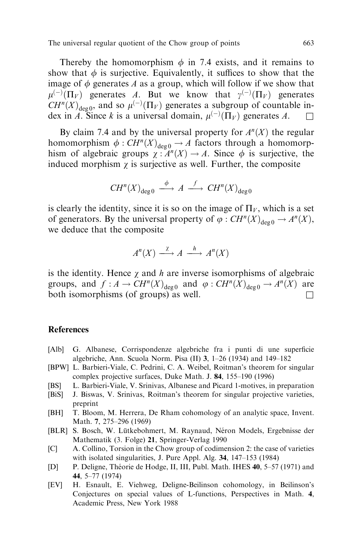Thereby the homomorphism  $\phi$  in 7.4 exists, and it remains to show that  $\phi$  is surjective. Equivalently, it suffices to show that the image of  $\phi$  generates A as a group, which will follow if we show that  $\mu^{(-)}(\Pi_V)$  generates A. But we know that  $\gamma^{(-)}(\Pi_V)$  generates  $CH^{n}(X)_{\text{deg }0}$ , and so  $\mu^{(-)}(\Pi_{V})$  generates a subgroup of countable index in A. Since k is a universal domain,  $\mu^{(-)}(\Pi_V)$  generates A.  $\Box$ 

By claim 7.4 and by the universal property for  $A<sup>n</sup>(X)$  the regular homomorphism  $\phi : CH^n(X)_{\text{deg }0} \to A$  factors through a homomorphism of algebraic groups  $\chi : A^n(X) \to A$ . Since  $\phi$  is surjective, the induced morphism  $\gamma$  is surjective as well. Further, the composite

$$
CH^n(X)_{\deg 0} \stackrel{\phi}{\longrightarrow} A \stackrel{f}{\longrightarrow} CH^n(X)_{\deg 0}
$$

is clearly the identity, since it is so on the image of  $\Pi_V$ , which is a set of generators. By the universal property of  $\varphi : CH^n(X)_{\text{deg }0} \to A^n(X)$ , we deduce that the composite

$$
A^{n}(X) \xrightarrow{\chi} A \xrightarrow{h} A^{n}(X)
$$

is the identity. Hence  $\gamma$  and h are inverse isomorphisms of algebraic groups, and  $f : A \to CH^n(X)_{\text{deg }0}$  and  $\varphi : CH^n(X)_{\text{deg }0} \to A^n(X)$  are both isomorphisms (of groups) as well.

#### References

- [Alb] G. Albanese, Corrispondenze algebriche fra i punti di une superficie algebriche, Ann. Scuola Norm. Pisa (II) 3,  $1-26$  (1934) and  $149-182$
- [BPW] L. Barbieri-Viale, C. Pedrini, C. A. Weibel, Roitman's theorem for singular complex projective surfaces, Duke Math. J. 84, 155-190 (1996)
- [BS] L. Barbieri-Viale, V. Srinivas, Albanese and Picard 1-motives, in preparation
- [BiS] J. Biswas, V. Srinivas, Roitman's theorem for singular projective varieties, preprint
- [BH] T. Bloom, M. Herrera, De Rham cohomology of an analytic space, Invent. Math. 7, 275-296 (1969)
- [BLR] S. Bosch, W. Lütkebohmert, M. Raynaud, Néron Models, Ergebnisse der Mathematik (3. Folge) 21, Springer-Verlag 1990
- [C] A. Collino, Torsion in the Chow group of codimension 2: the case of varieties with isolated singularities, J. Pure Appl. Alg.  $34$ , 147–153 (1984)
- [D] P. Deligne, Théorie de Hodge, II, III, Publ. Math. IHES 40, 5–57 (1971) and 44, 5±77 (1974)
- [EV] H. Esnault, E. Viehweg, Deligne-Beilinson cohomology, in Beilinson's Conjectures on special values of L-functions, Perspectives in Math. 4, Academic Press, New York 1988